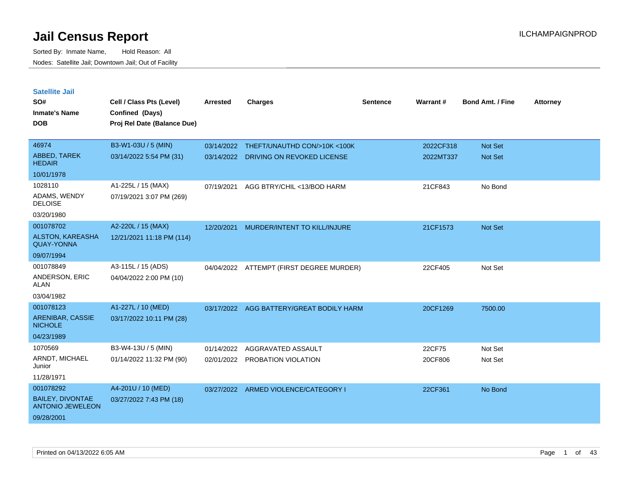| <b>Satellite Jail</b>                              |                             |            |                                        |          |                 |                         |                 |
|----------------------------------------------------|-----------------------------|------------|----------------------------------------|----------|-----------------|-------------------------|-----------------|
| SO#                                                | Cell / Class Pts (Level)    | Arrested   | <b>Charges</b>                         | Sentence | <b>Warrant#</b> | <b>Bond Amt. / Fine</b> | <b>Attorney</b> |
| Inmate's Name                                      | Confined (Days)             |            |                                        |          |                 |                         |                 |
| <b>DOB</b>                                         | Proj Rel Date (Balance Due) |            |                                        |          |                 |                         |                 |
|                                                    |                             |            |                                        |          |                 |                         |                 |
| 46974                                              | B3-W1-03U / 5 (MIN)         |            | 03/14/2022 THEFT/UNAUTHD CON/>10K<100K |          | 2022CF318       | <b>Not Set</b>          |                 |
| ABBED, TAREK<br><b>HEDAIR</b>                      | 03/14/2022 5:54 PM (31)     | 03/14/2022 | DRIVING ON REVOKED LICENSE             |          | 2022MT337       | Not Set                 |                 |
| 10/01/1978                                         |                             |            |                                        |          |                 |                         |                 |
| 1028110                                            | A1-225L / 15 (MAX)          | 07/19/2021 | AGG BTRY/CHIL <13/BOD HARM             |          | 21CF843         | No Bond                 |                 |
| ADAMS, WENDY<br><b>DELOISE</b>                     | 07/19/2021 3:07 PM (269)    |            |                                        |          |                 |                         |                 |
| 03/20/1980                                         |                             |            |                                        |          |                 |                         |                 |
| 001078702                                          | A2-220L / 15 (MAX)          | 12/20/2021 | MURDER/INTENT TO KILL/INJURE           |          | 21CF1573        | Not Set                 |                 |
| <b>ALSTON, KAREASHA</b><br><b>QUAY-YONNA</b>       | 12/21/2021 11:18 PM (114)   |            |                                        |          |                 |                         |                 |
| 09/07/1994                                         |                             |            |                                        |          |                 |                         |                 |
| 001078849                                          | A3-115L / 15 (ADS)          | 04/04/2022 | ATTEMPT (FIRST DEGREE MURDER)          |          | 22CF405         | Not Set                 |                 |
| ANDERSON, ERIC<br>ALAN                             | 04/04/2022 2:00 PM (10)     |            |                                        |          |                 |                         |                 |
| 03/04/1982                                         |                             |            |                                        |          |                 |                         |                 |
| 001078123                                          | A1-227L / 10 (MED)          | 03/17/2022 | AGG BATTERY/GREAT BODILY HARM          |          | 20CF1269        | 7500.00                 |                 |
| ARENIBAR, CASSIE<br><b>NICHOLE</b>                 | 03/17/2022 10:11 PM (28)    |            |                                        |          |                 |                         |                 |
| 04/23/1989                                         |                             |            |                                        |          |                 |                         |                 |
| 1070569                                            | B3-W4-13U / 5 (MIN)         | 01/14/2022 | AGGRAVATED ASSAULT                     |          | 22CF75          | Not Set                 |                 |
| ARNDT, MICHAEL<br>Junior                           | 01/14/2022 11:32 PM (90)    | 02/01/2022 | <b>PROBATION VIOLATION</b>             |          | 20CF806         | Not Set                 |                 |
| 11/28/1971                                         |                             |            |                                        |          |                 |                         |                 |
| 001078292                                          | A4-201U / 10 (MED)          |            | 03/27/2022 ARMED VIOLENCE/CATEGORY I   |          | 22CF361         | No Bond                 |                 |
| <b>BAILEY, DIVONTAE</b><br><b>ANTONIO JEWELEON</b> | 03/27/2022 7:43 PM (18)     |            |                                        |          |                 |                         |                 |
| 09/28/2001                                         |                             |            |                                        |          |                 |                         |                 |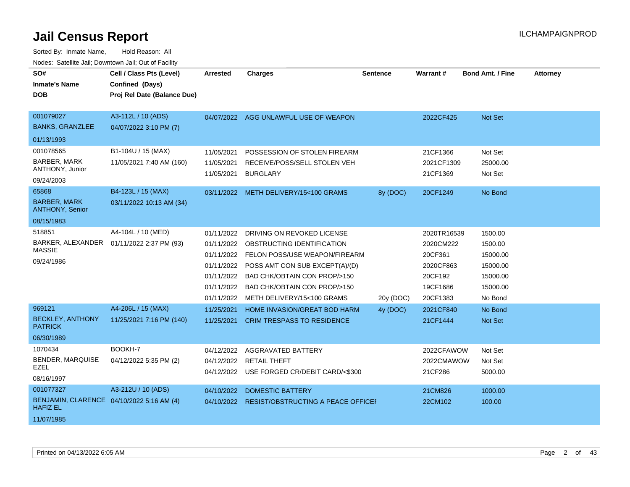| SO#<br><b>Inmate's Name</b><br><b>DOB</b>                                                                                   | Cell / Class Pts (Level)<br>Confined (Days)<br>Proj Rel Date (Balance Due)                       | Arrested                                             | <b>Charges</b>                                                                                                                                                                                                                                             | <b>Sentence</b> | Warrant#                                                                            | <b>Bond Amt. / Fine</b>                                                       | <b>Attorney</b> |
|-----------------------------------------------------------------------------------------------------------------------------|--------------------------------------------------------------------------------------------------|------------------------------------------------------|------------------------------------------------------------------------------------------------------------------------------------------------------------------------------------------------------------------------------------------------------------|-----------------|-------------------------------------------------------------------------------------|-------------------------------------------------------------------------------|-----------------|
| 001079027<br><b>BANKS, GRANZLEE</b><br>01/13/1993                                                                           | A3-112L / 10 (ADS)<br>04/07/2022 3:10 PM (7)                                                     |                                                      | 04/07/2022 AGG UNLAWFUL USE OF WEAPON                                                                                                                                                                                                                      |                 | 2022CF425                                                                           | Not Set                                                                       |                 |
| 001078565<br><b>BARBER, MARK</b><br>ANTHONY, Junior<br>09/24/2003<br>65868<br><b>BARBER, MARK</b><br><b>ANTHONY, Senior</b> | B1-104U / 15 (MAX)<br>11/05/2021 7:40 AM (160)<br>B4-123L / 15 (MAX)<br>03/11/2022 10:13 AM (34) | 11/05/2021<br>11/05/2021<br>11/05/2021               | POSSESSION OF STOLEN FIREARM<br>RECEIVE/POSS/SELL STOLEN VEH<br><b>BURGLARY</b><br>03/11/2022 METH DELIVERY/15<100 GRAMS                                                                                                                                   | 8y (DOC)        | 21CF1366<br>2021CF1309<br>21CF1369<br>20CF1249                                      | Not Set<br>25000.00<br>Not Set<br>No Bond                                     |                 |
| 08/15/1983                                                                                                                  |                                                                                                  |                                                      |                                                                                                                                                                                                                                                            |                 |                                                                                     |                                                                               |                 |
| 518851<br><b>MASSIE</b><br>09/24/1986                                                                                       | A4-104L / 10 (MED)<br>BARKER, ALEXANDER  01/11/2022 2:37 PM (93)                                 | 01/11/2022<br>01/11/2022<br>01/11/2022<br>01/11/2022 | DRIVING ON REVOKED LICENSE<br>OBSTRUCTING IDENTIFICATION<br>01/11/2022 FELON POSS/USE WEAPON/FIREARM<br>POSS AMT CON SUB EXCEPT(A)/(D)<br>01/11/2022 BAD CHK/OBTAIN CON PROP/>150<br>BAD CHK/OBTAIN CON PROP/>150<br>01/11/2022 METH DELIVERY/15<100 GRAMS | 20y (DOC)       | 2020TR16539<br>2020CM222<br>20CF361<br>2020CF863<br>20CF192<br>19CF1686<br>20CF1383 | 1500.00<br>1500.00<br>15000.00<br>15000.00<br>15000.00<br>15000.00<br>No Bond |                 |
| 969121<br><b>BECKLEY, ANTHONY</b><br><b>PATRICK</b><br>06/30/1989                                                           | A4-206L / 15 (MAX)<br>11/25/2021 7:16 PM (140)                                                   | 11/25/2021<br>11/25/2021                             | HOME INVASION/GREAT BOD HARM<br><b>CRIM TRESPASS TO RESIDENCE</b>                                                                                                                                                                                          | 4y (DOC)        | 2021CF840<br>21CF1444                                                               | No Bond<br>Not Set                                                            |                 |
| 1070434<br><b>BENDER, MARQUISE</b><br>EZEL<br>08/16/1997                                                                    | BOOKH-7<br>04/12/2022 5:35 PM (2)                                                                | 04/12/2022                                           | 04/12/2022 AGGRAVATED BATTERY<br><b>RETAIL THEFT</b><br>04/12/2022 USE FORGED CR/DEBIT CARD/<\$300                                                                                                                                                         |                 | 2022CFAWOW<br>2022CMAWOW<br>21CF286                                                 | Not Set<br>Not Set<br>5000.00                                                 |                 |
| 001077327<br>BENJAMIN, CLARENCE 04/10/2022 5:16 AM (4)<br><b>HAFIZ EL</b><br>11/07/1985                                     | A3-212U / 10 (ADS)                                                                               | 04/10/2022                                           | <b>DOMESTIC BATTERY</b><br>04/10/2022 RESIST/OBSTRUCTING A PEACE OFFICEF                                                                                                                                                                                   |                 | 21CM826<br>22CM102                                                                  | 1000.00<br>100.00                                                             |                 |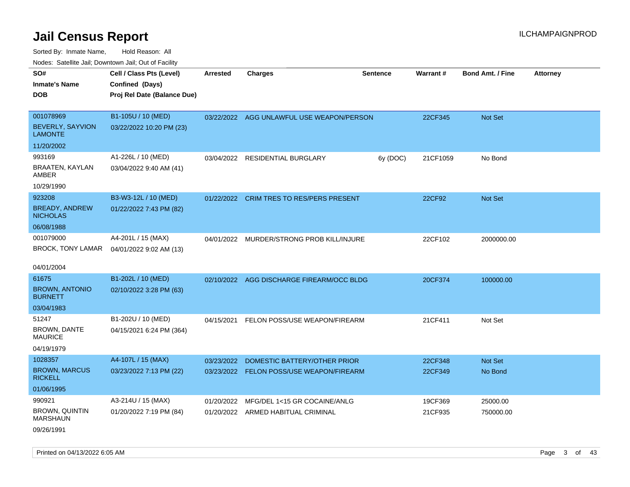Sorted By: Inmate Name, Hold Reason: All Nodes: Satellite Jail; Downtown Jail; Out of Facility

| SO#                                      | Cell / Class Pts (Level)    | Arrested   | <b>Charges</b>                            | <b>Sentence</b> | Warrant# | <b>Bond Amt. / Fine</b> | <b>Attorney</b> |
|------------------------------------------|-----------------------------|------------|-------------------------------------------|-----------------|----------|-------------------------|-----------------|
| <b>Inmate's Name</b>                     | Confined (Days)             |            |                                           |                 |          |                         |                 |
| <b>DOB</b>                               | Proj Rel Date (Balance Due) |            |                                           |                 |          |                         |                 |
|                                          |                             |            |                                           |                 |          |                         |                 |
| 001078969                                | B1-105U / 10 (MED)          |            | 03/22/2022 AGG UNLAWFUL USE WEAPON/PERSON |                 | 22CF345  | Not Set                 |                 |
| BEVERLY, SAYVION<br><b>LAMONTE</b>       | 03/22/2022 10:20 PM (23)    |            |                                           |                 |          |                         |                 |
| 11/20/2002                               |                             |            |                                           |                 |          |                         |                 |
| 993169                                   | A1-226L / 10 (MED)          |            | 03/04/2022 RESIDENTIAL BURGLARY           | 6y (DOC)        | 21CF1059 | No Bond                 |                 |
| BRAATEN, KAYLAN<br>AMBER                 | 03/04/2022 9:40 AM (41)     |            |                                           |                 |          |                         |                 |
| 10/29/1990                               |                             |            |                                           |                 |          |                         |                 |
| 923208                                   | B3-W3-12L / 10 (MED)        |            | 01/22/2022 CRIM TRES TO RES/PERS PRESENT  |                 | 22CF92   | Not Set                 |                 |
| <b>BREADY, ANDREW</b><br><b>NICHOLAS</b> | 01/22/2022 7:43 PM (82)     |            |                                           |                 |          |                         |                 |
| 06/08/1988                               |                             |            |                                           |                 |          |                         |                 |
| 001079000                                | A4-201L / 15 (MAX)          |            | 04/01/2022 MURDER/STRONG PROB KILL/INJURE |                 | 22CF102  | 2000000.00              |                 |
| BROCK, TONY LAMAR                        | 04/01/2022 9:02 AM (13)     |            |                                           |                 |          |                         |                 |
|                                          |                             |            |                                           |                 |          |                         |                 |
| 04/01/2004                               |                             |            |                                           |                 |          |                         |                 |
| 61675                                    | B1-202L / 10 (MED)          |            | 02/10/2022 AGG DISCHARGE FIREARM/OCC BLDG |                 | 20CF374  | 100000.00               |                 |
| <b>BROWN, ANTONIO</b><br><b>BURNETT</b>  | 02/10/2022 3:28 PM (63)     |            |                                           |                 |          |                         |                 |
| 03/04/1983                               |                             |            |                                           |                 |          |                         |                 |
| 51247                                    | B1-202U / 10 (MED)          | 04/15/2021 | FELON POSS/USE WEAPON/FIREARM             |                 | 21CF411  | Not Set                 |                 |
| BROWN, DANTE<br><b>MAURICE</b>           | 04/15/2021 6:24 PM (364)    |            |                                           |                 |          |                         |                 |
| 04/19/1979                               |                             |            |                                           |                 |          |                         |                 |
| 1028357                                  | A4-107L / 15 (MAX)          | 03/23/2022 | DOMESTIC BATTERY/OTHER PRIOR              |                 | 22CF348  | Not Set                 |                 |
| <b>BROWN, MARCUS</b><br><b>RICKELL</b>   | 03/23/2022 7:13 PM (22)     |            | 03/23/2022 FELON POSS/USE WEAPON/FIREARM  |                 | 22CF349  | No Bond                 |                 |
| 01/06/1995                               |                             |            |                                           |                 |          |                         |                 |
| 990921                                   | A3-214U / 15 (MAX)          | 01/20/2022 | MFG/DEL 1<15 GR COCAINE/ANLG              |                 | 19CF369  | 25000.00                |                 |
| <b>BROWN, QUINTIN</b><br><b>MARSHAUN</b> | 01/20/2022 7:19 PM (84)     |            | 01/20/2022 ARMED HABITUAL CRIMINAL        |                 | 21CF935  | 750000.00               |                 |
| 09/26/1991                               |                             |            |                                           |                 |          |                         |                 |

Printed on 04/13/2022 6:05 AM **Page 3 of 43**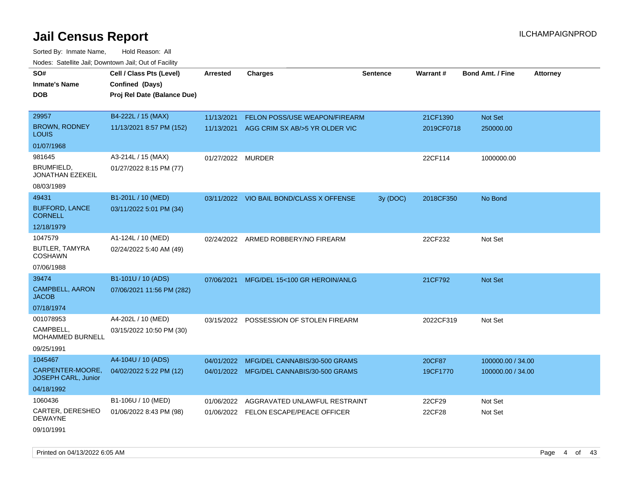Sorted By: Inmate Name, Hold Reason: All Nodes: Satellite Jail; Downtown Jail; Out of Facility

| SO#<br><b>Inmate's Name</b><br><b>DOB</b> | Cell / Class Pts (Level)<br>Confined (Days)<br>Proj Rel Date (Balance Due) | Arrested          | <b>Charges</b>                           | <b>Sentence</b> | Warrant#   | <b>Bond Amt. / Fine</b> | <b>Attorney</b> |
|-------------------------------------------|----------------------------------------------------------------------------|-------------------|------------------------------------------|-----------------|------------|-------------------------|-----------------|
| 29957                                     | B4-222L / 15 (MAX)                                                         | 11/13/2021        | <b>FELON POSS/USE WEAPON/FIREARM</b>     |                 | 21CF1390   | Not Set                 |                 |
| <b>BROWN, RODNEY</b><br>LOUIS             | 11/13/2021 8:57 PM (152)                                                   | 11/13/2021        | AGG CRIM SX AB/>5 YR OLDER VIC           |                 | 2019CF0718 | 250000.00               |                 |
| 01/07/1968                                |                                                                            |                   |                                          |                 |            |                         |                 |
| 981645                                    | A3-214L / 15 (MAX)                                                         | 01/27/2022 MURDER |                                          |                 | 22CF114    | 1000000.00              |                 |
| BRUMFIELD,<br><b>JONATHAN EZEKEIL</b>     | 01/27/2022 8:15 PM (77)                                                    |                   |                                          |                 |            |                         |                 |
| 08/03/1989                                |                                                                            |                   |                                          |                 |            |                         |                 |
| 49431                                     | B1-201L / 10 (MED)                                                         |                   | 03/11/2022 VIO BAIL BOND/CLASS X OFFENSE | 3y (DOC)        | 2018CF350  | No Bond                 |                 |
| <b>BUFFORD, LANCE</b><br><b>CORNELL</b>   | 03/11/2022 5:01 PM (34)                                                    |                   |                                          |                 |            |                         |                 |
| 12/18/1979                                |                                                                            |                   |                                          |                 |            |                         |                 |
| 1047579                                   | A1-124L / 10 (MED)                                                         |                   | 02/24/2022 ARMED ROBBERY/NO FIREARM      |                 | 22CF232    | Not Set                 |                 |
| BUTLER, TAMYRA<br><b>COSHAWN</b>          | 02/24/2022 5:40 AM (49)                                                    |                   |                                          |                 |            |                         |                 |
| 07/06/1988                                |                                                                            |                   |                                          |                 |            |                         |                 |
| 39474                                     | B1-101U / 10 (ADS)                                                         |                   | 07/06/2021 MFG/DEL 15<100 GR HEROIN/ANLG |                 | 21CF792    | Not Set                 |                 |
| <b>CAMPBELL, AARON</b><br><b>JACOB</b>    | 07/06/2021 11:56 PM (282)                                                  |                   |                                          |                 |            |                         |                 |
| 07/18/1974                                |                                                                            |                   |                                          |                 |            |                         |                 |
| 001078953                                 | A4-202L / 10 (MED)                                                         |                   | 03/15/2022 POSSESSION OF STOLEN FIREARM  |                 | 2022CF319  | Not Set                 |                 |
| CAMPBELL.<br>MOHAMMED BURNELL             | 03/15/2022 10:50 PM (30)                                                   |                   |                                          |                 |            |                         |                 |
| 09/25/1991                                |                                                                            |                   |                                          |                 |            |                         |                 |
| 1045467                                   | A4-104U / 10 (ADS)                                                         | 04/01/2022        | MFG/DEL CANNABIS/30-500 GRAMS            |                 | 20CF87     | 100000.00 / 34.00       |                 |
| CARPENTER-MOORE,<br>JOSEPH CARL, Junior   | 04/02/2022 5:22 PM (12)                                                    |                   | 04/01/2022 MFG/DEL CANNABIS/30-500 GRAMS |                 | 19CF1770   | 100000.00 / 34.00       |                 |
| 04/18/1992                                |                                                                            |                   |                                          |                 |            |                         |                 |
| 1060436                                   | B1-106U / 10 (MED)                                                         | 01/06/2022        | AGGRAVATED UNLAWFUL RESTRAINT            |                 | 22CF29     | Not Set                 |                 |
| CARTER, DERESHEO<br>DEWAYNE               | 01/06/2022 8:43 PM (98)                                                    |                   | 01/06/2022 FELON ESCAPE/PEACE OFFICER    |                 | 22CF28     | Not Set                 |                 |
| 09/10/1991                                |                                                                            |                   |                                          |                 |            |                         |                 |

Printed on 04/13/2022 6:05 AM Page 4 of 43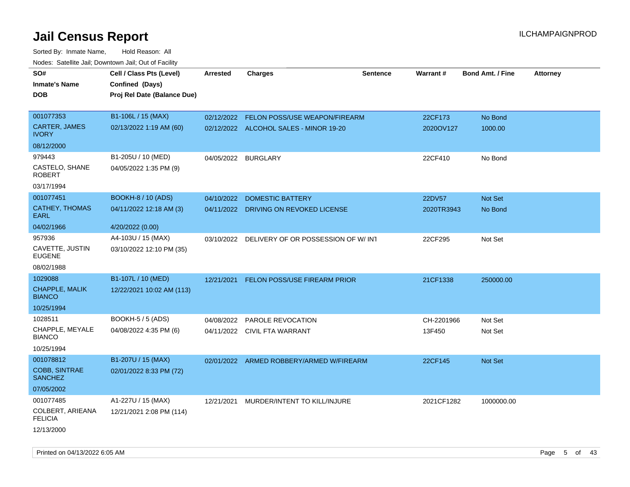| Todoo. Catolino can, Bomnomii can, Cat of Faoint<br>SO#<br><b>Inmate's Name</b><br><b>DOB</b> | Cell / Class Pts (Level)<br>Confined (Days)<br>Proj Rel Date (Balance Due) | Arrested   | <b>Charges</b>                           | <b>Sentence</b> | <b>Warrant#</b> | <b>Bond Amt. / Fine</b> | <b>Attorney</b> |
|-----------------------------------------------------------------------------------------------|----------------------------------------------------------------------------|------------|------------------------------------------|-----------------|-----------------|-------------------------|-----------------|
| 001077353                                                                                     | B1-106L / 15 (MAX)                                                         | 02/12/2022 | FELON POSS/USE WEAPON/FIREARM            |                 | 22CF173         | No Bond                 |                 |
| CARTER, JAMES<br><b>IVORY</b>                                                                 | 02/13/2022 1:19 AM (60)                                                    |            | 02/12/2022 ALCOHOL SALES - MINOR 19-20   |                 | 2020OV127       | 1000.00                 |                 |
| 08/12/2000                                                                                    |                                                                            |            |                                          |                 |                 |                         |                 |
| 979443                                                                                        | B1-205U / 10 (MED)                                                         | 04/05/2022 | <b>BURGLARY</b>                          |                 | 22CF410         | No Bond                 |                 |
| CASTELO, SHANE<br><b>ROBERT</b>                                                               | 04/05/2022 1:35 PM (9)                                                     |            |                                          |                 |                 |                         |                 |
| 03/17/1994                                                                                    |                                                                            |            |                                          |                 |                 |                         |                 |
| 001077451                                                                                     | <b>BOOKH-8 / 10 (ADS)</b>                                                  | 04/10/2022 | <b>DOMESTIC BATTERY</b>                  |                 | 22DV57          | Not Set                 |                 |
| <b>CATHEY, THOMAS</b><br>EARL                                                                 | 04/11/2022 12:18 AM (3)                                                    |            | 04/11/2022 DRIVING ON REVOKED LICENSE    |                 | 2020TR3943      | No Bond                 |                 |
| 04/02/1966                                                                                    | 4/20/2022 (0.00)                                                           |            |                                          |                 |                 |                         |                 |
| 957936                                                                                        | A4-103U / 15 (MAX)                                                         | 03/10/2022 | DELIVERY OF OR POSSESSION OF W/INT       |                 | 22CF295         | Not Set                 |                 |
| CAVETTE, JUSTIN<br><b>EUGENE</b>                                                              | 03/10/2022 12:10 PM (35)                                                   |            |                                          |                 |                 |                         |                 |
| 08/02/1988                                                                                    |                                                                            |            |                                          |                 |                 |                         |                 |
| 1029088                                                                                       | B1-107L / 10 (MED)                                                         | 12/21/2021 | <b>FELON POSS/USE FIREARM PRIOR</b>      |                 | 21CF1338        | 250000.00               |                 |
| CHAPPLE, MALIK<br><b>BIANCO</b>                                                               | 12/22/2021 10:02 AM (113)                                                  |            |                                          |                 |                 |                         |                 |
| 10/25/1994                                                                                    |                                                                            |            |                                          |                 |                 |                         |                 |
| 1028511                                                                                       | <b>BOOKH-5 / 5 (ADS)</b>                                                   | 04/08/2022 | PAROLE REVOCATION                        |                 | CH-2201966      | Not Set                 |                 |
| CHAPPLE, MEYALE<br><b>BIANCO</b>                                                              | 04/08/2022 4:35 PM (6)                                                     |            | 04/11/2022 CIVIL FTA WARRANT             |                 | 13F450          | Not Set                 |                 |
| 10/25/1994                                                                                    |                                                                            |            |                                          |                 |                 |                         |                 |
| 001078812                                                                                     | B1-207U / 15 (MAX)                                                         |            | 02/01/2022 ARMED ROBBERY/ARMED W/FIREARM |                 | 22CF145         | Not Set                 |                 |
| COBB, SINTRAE<br><b>SANCHEZ</b>                                                               | 02/01/2022 8:33 PM (72)                                                    |            |                                          |                 |                 |                         |                 |
| 07/05/2002                                                                                    |                                                                            |            |                                          |                 |                 |                         |                 |
| 001077485                                                                                     | A1-227U / 15 (MAX)                                                         | 12/21/2021 | MURDER/INTENT TO KILL/INJURE             |                 | 2021CF1282      | 1000000.00              |                 |
| COLBERT, ARIEANA<br><b>FELICIA</b>                                                            | 12/21/2021 2:08 PM (114)                                                   |            |                                          |                 |                 |                         |                 |
| 12/13/2000                                                                                    |                                                                            |            |                                          |                 |                 |                         |                 |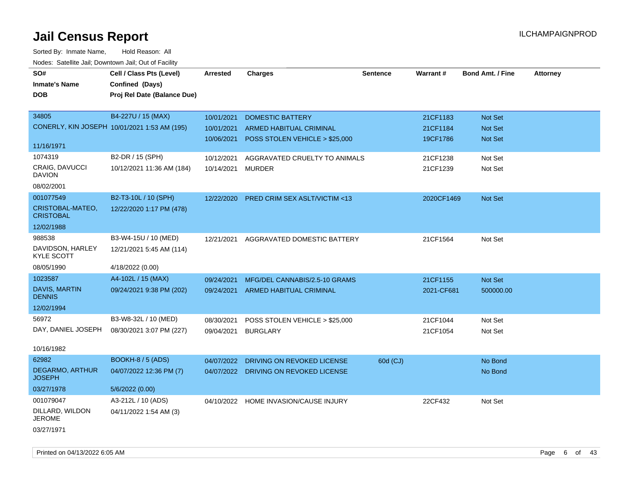| rougs. Calcinic Jan, Downtown Jan, Out of Facility |                                              |            |                                       |                 |            |                         |                 |
|----------------------------------------------------|----------------------------------------------|------------|---------------------------------------|-----------------|------------|-------------------------|-----------------|
| SO#                                                | Cell / Class Pts (Level)                     | Arrested   | <b>Charges</b>                        | <b>Sentence</b> | Warrant#   | <b>Bond Amt. / Fine</b> | <b>Attorney</b> |
| <b>Inmate's Name</b>                               | Confined (Days)                              |            |                                       |                 |            |                         |                 |
| <b>DOB</b>                                         | Proj Rel Date (Balance Due)                  |            |                                       |                 |            |                         |                 |
|                                                    |                                              |            |                                       |                 |            |                         |                 |
| 34805                                              | B4-227U / 15 (MAX)                           | 10/01/2021 | <b>DOMESTIC BATTERY</b>               |                 | 21CF1183   | Not Set                 |                 |
|                                                    | CONERLY, KIN JOSEPH 10/01/2021 1:53 AM (195) | 10/01/2021 | ARMED HABITUAL CRIMINAL               |                 | 21CF1184   | Not Set                 |                 |
|                                                    |                                              | 10/06/2021 | POSS STOLEN VEHICLE > \$25,000        |                 | 19CF1786   | Not Set                 |                 |
| 11/16/1971                                         |                                              |            |                                       |                 |            |                         |                 |
| 1074319                                            | B2-DR / 15 (SPH)                             | 10/12/2021 | AGGRAVATED CRUELTY TO ANIMALS         |                 | 21CF1238   | Not Set                 |                 |
| CRAIG, DAVUCCI<br><b>DAVION</b>                    | 10/12/2021 11:36 AM (184)                    | 10/14/2021 | <b>MURDER</b>                         |                 | 21CF1239   | Not Set                 |                 |
| 08/02/2001                                         |                                              |            |                                       |                 |            |                         |                 |
| 001077549                                          | B2-T3-10L / 10 (SPH)                         | 12/22/2020 | PRED CRIM SEX ASLT/VICTIM <13         |                 | 2020CF1469 | Not Set                 |                 |
| CRISTOBAL-MATEO,<br><b>CRISTOBAL</b>               | 12/22/2020 1:17 PM (478)                     |            |                                       |                 |            |                         |                 |
| 12/02/1988                                         |                                              |            |                                       |                 |            |                         |                 |
| 988538                                             | B3-W4-15U / 10 (MED)                         | 12/21/2021 | AGGRAVATED DOMESTIC BATTERY           |                 | 21CF1564   | Not Set                 |                 |
| DAVIDSON, HARLEY<br><b>KYLE SCOTT</b>              | 12/21/2021 5:45 AM (114)                     |            |                                       |                 |            |                         |                 |
| 08/05/1990                                         | 4/18/2022 (0.00)                             |            |                                       |                 |            |                         |                 |
| 1023587                                            | A4-102L / 15 (MAX)                           | 09/24/2021 | MFG/DEL CANNABIS/2.5-10 GRAMS         |                 | 21CF1155   | Not Set                 |                 |
| <b>DAVIS, MARTIN</b><br><b>DENNIS</b>              | 09/24/2021 9:38 PM (202)                     |            | 09/24/2021 ARMED HABITUAL CRIMINAL    |                 | 2021-CF681 | 500000.00               |                 |
| 12/02/1994                                         |                                              |            |                                       |                 |            |                         |                 |
| 56972                                              | B3-W8-32L / 10 (MED)                         | 08/30/2021 | POSS STOLEN VEHICLE > \$25,000        |                 | 21CF1044   | Not Set                 |                 |
| DAY, DANIEL JOSEPH                                 | 08/30/2021 3:07 PM (227)                     | 09/04/2021 | <b>BURGLARY</b>                       |                 | 21CF1054   | Not Set                 |                 |
| 10/16/1982                                         |                                              |            |                                       |                 |            |                         |                 |
| 62982                                              | <b>BOOKH-8 / 5 (ADS)</b>                     | 04/07/2022 | DRIVING ON REVOKED LICENSE            | 60d (CJ)        |            | No Bond                 |                 |
| DEGARMO, ARTHUR<br><b>JOSEPH</b>                   | 04/07/2022 12:36 PM (7)                      |            | 04/07/2022 DRIVING ON REVOKED LICENSE |                 |            | No Bond                 |                 |
| 03/27/1978                                         | 5/6/2022 (0.00)                              |            |                                       |                 |            |                         |                 |
| 001079047                                          | A3-212L / 10 (ADS)                           | 04/10/2022 | HOME INVASION/CAUSE INJURY            |                 | 22CF432    | Not Set                 |                 |
| DILLARD, WILDON<br><b>JEROME</b>                   | 04/11/2022 1:54 AM (3)                       |            |                                       |                 |            |                         |                 |
| 03/27/1971                                         |                                              |            |                                       |                 |            |                         |                 |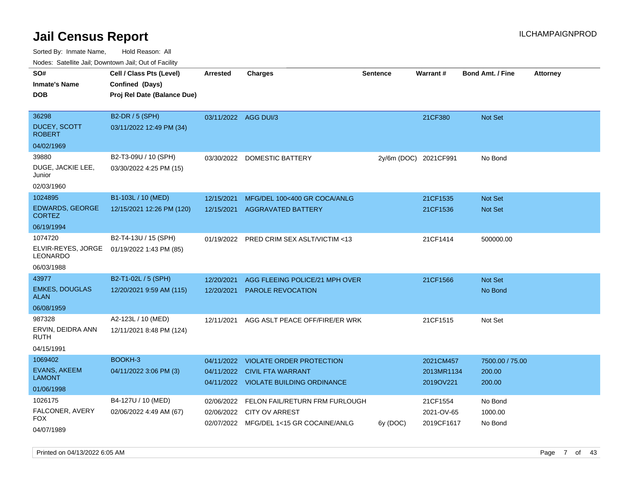| roacs. Catellite Jall, Downtown Jall, Out of Facility            |                                                                            |                          |                                                                                                      |                 |                                      |                                     |                 |
|------------------------------------------------------------------|----------------------------------------------------------------------------|--------------------------|------------------------------------------------------------------------------------------------------|-----------------|--------------------------------------|-------------------------------------|-----------------|
| SO#<br><b>Inmate's Name</b><br><b>DOB</b>                        | Cell / Class Pts (Level)<br>Confined (Days)<br>Proj Rel Date (Balance Due) | <b>Arrested</b>          | <b>Charges</b>                                                                                       | <b>Sentence</b> | <b>Warrant#</b>                      | <b>Bond Amt. / Fine</b>             | <b>Attorney</b> |
| 36298<br>DUCEY, SCOTT<br><b>ROBERT</b>                           | B2-DR / 5 (SPH)<br>03/11/2022 12:49 PM (34)                                | 03/11/2022 AGG DUI/3     |                                                                                                      |                 | 21CF380                              | Not Set                             |                 |
| 04/02/1969<br>39880<br>DUGE, JACKIE LEE,<br>Junior<br>02/03/1960 | B2-T3-09U / 10 (SPH)<br>03/30/2022 4:25 PM (15)                            | 03/30/2022               | <b>DOMESTIC BATTERY</b>                                                                              |                 | 2y/6m (DOC) 2021CF991                | No Bond                             |                 |
| 1024895<br><b>EDWARDS, GEORGE</b><br><b>CORTEZ</b><br>06/19/1994 | B1-103L / 10 (MED)<br>12/15/2021 12:26 PM (120)                            | 12/15/2021<br>12/15/2021 | MFG/DEL 100<400 GR COCA/ANLG<br><b>AGGRAVATED BATTERY</b>                                            |                 | 21CF1535<br>21CF1536                 | Not Set<br><b>Not Set</b>           |                 |
| 1074720<br>ELVIR-REYES, JORGE<br>LEONARDO<br>06/03/1988          | B2-T4-13U / 15 (SPH)<br>01/19/2022 1:43 PM (85)                            |                          | 01/19/2022 PRED CRIM SEX ASLT/VICTIM <13                                                             |                 | 21CF1414                             | 500000.00                           |                 |
| 43977<br><b>EMKES, DOUGLAS</b><br><b>ALAN</b><br>06/08/1959      | B2-T1-02L / 5 (SPH)<br>12/20/2021 9:59 AM (115)                            | 12/20/2021<br>12/20/2021 | AGG FLEEING POLICE/21 MPH OVER<br><b>PAROLE REVOCATION</b>                                           |                 | 21CF1566                             | Not Set<br>No Bond                  |                 |
| 987328<br>ERVIN, DEIDRA ANN<br><b>RUTH</b><br>04/15/1991         | A2-123L / 10 (MED)<br>12/11/2021 8:48 PM (124)                             | 12/11/2021               | AGG ASLT PEACE OFF/FIRE/ER WRK                                                                       |                 | 21CF1515                             | Not Set                             |                 |
| 1069402<br><b>EVANS, AKEEM</b><br><b>LAMONT</b><br>01/06/1998    | BOOKH-3<br>04/11/2022 3:06 PM (3)                                          | 04/11/2022<br>04/11/2022 | <b>VIOLATE ORDER PROTECTION</b><br><b>CIVIL FTA WARRANT</b><br>04/11/2022 VIOLATE BUILDING ORDINANCE |                 | 2021CM457<br>2013MR1134<br>2019OV221 | 7500.00 / 75.00<br>200.00<br>200.00 |                 |
| 1026175<br>FALCONER, AVERY<br>FOX.<br>04/07/1989                 | B4-127U / 10 (MED)<br>02/06/2022 4:49 AM (67)                              | 02/06/2022<br>02/06/2022 | FELON FAIL/RETURN FRM FURLOUGH<br><b>CITY OV ARREST</b><br>02/07/2022 MFG/DEL 1<15 GR COCAINE/ANLG   | 6y (DOC)        | 21CF1554<br>2021-OV-65<br>2019CF1617 | No Bond<br>1000.00<br>No Bond       |                 |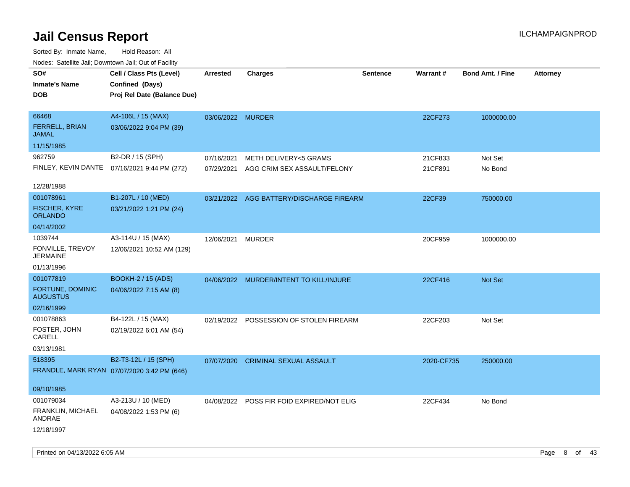| rougs. Calcing Jan, Downtown Jan, Out of Facility |                                              |                   |                                           |                 |            |                         |                 |
|---------------------------------------------------|----------------------------------------------|-------------------|-------------------------------------------|-----------------|------------|-------------------------|-----------------|
| SO#                                               | Cell / Class Pts (Level)                     | <b>Arrested</b>   | <b>Charges</b>                            | <b>Sentence</b> | Warrant#   | <b>Bond Amt. / Fine</b> | <b>Attorney</b> |
| <b>Inmate's Name</b>                              | Confined (Days)                              |                   |                                           |                 |            |                         |                 |
| <b>DOB</b>                                        | Proj Rel Date (Balance Due)                  |                   |                                           |                 |            |                         |                 |
|                                                   |                                              |                   |                                           |                 |            |                         |                 |
| 66468                                             | A4-106L / 15 (MAX)                           | 03/06/2022 MURDER |                                           |                 | 22CF273    | 1000000.00              |                 |
| FERRELL, BRIAN<br>JAMAL                           | 03/06/2022 9:04 PM (39)                      |                   |                                           |                 |            |                         |                 |
| 11/15/1985                                        |                                              |                   |                                           |                 |            |                         |                 |
| 962759                                            | B2-DR / 15 (SPH)                             | 07/16/2021        | METH DELIVERY<5 GRAMS                     |                 | 21CF833    | Not Set                 |                 |
|                                                   | FINLEY, KEVIN DANTE 07/16/2021 9:44 PM (272) |                   | 07/29/2021 AGG CRIM SEX ASSAULT/FELONY    |                 | 21CF891    | No Bond                 |                 |
|                                                   |                                              |                   |                                           |                 |            |                         |                 |
| 12/28/1988                                        |                                              |                   |                                           |                 |            |                         |                 |
| 001078961                                         | B1-207L / 10 (MED)                           |                   | 03/21/2022 AGG BATTERY/DISCHARGE FIREARM  |                 | 22CF39     | 750000.00               |                 |
| FISCHER, KYRE<br><b>ORLANDO</b>                   | 03/21/2022 1:21 PM (24)                      |                   |                                           |                 |            |                         |                 |
| 04/14/2002                                        |                                              |                   |                                           |                 |            |                         |                 |
| 1039744                                           | A3-114U / 15 (MAX)                           | 12/06/2021        | <b>MURDER</b>                             |                 | 20CF959    | 1000000.00              |                 |
| FONVILLE, TREVOY<br><b>JERMAINE</b>               | 12/06/2021 10:52 AM (129)                    |                   |                                           |                 |            |                         |                 |
| 01/13/1996                                        |                                              |                   |                                           |                 |            |                         |                 |
| 001077819                                         | <b>BOOKH-2 / 15 (ADS)</b>                    |                   | 04/06/2022 MURDER/INTENT TO KILL/INJURE   |                 | 22CF416    | Not Set                 |                 |
| FORTUNE, DOMINIC<br><b>AUGUSTUS</b>               | 04/06/2022 7:15 AM (8)                       |                   |                                           |                 |            |                         |                 |
| 02/16/1999                                        |                                              |                   |                                           |                 |            |                         |                 |
| 001078863                                         | B4-122L / 15 (MAX)                           |                   | 02/19/2022 POSSESSION OF STOLEN FIREARM   |                 | 22CF203    | Not Set                 |                 |
| FOSTER, JOHN<br>CARELL                            | 02/19/2022 6:01 AM (54)                      |                   |                                           |                 |            |                         |                 |
| 03/13/1981                                        |                                              |                   |                                           |                 |            |                         |                 |
| 518395                                            | B2-T3-12L / 15 (SPH)                         | 07/07/2020        | <b>CRIMINAL SEXUAL ASSAULT</b>            |                 | 2020-CF735 | 250000.00               |                 |
|                                                   | FRANDLE, MARK RYAN 07/07/2020 3:42 PM (646)  |                   |                                           |                 |            |                         |                 |
|                                                   |                                              |                   |                                           |                 |            |                         |                 |
| 09/10/1985                                        |                                              |                   |                                           |                 |            |                         |                 |
| 001079034                                         | A3-213U / 10 (MED)                           |                   | 04/08/2022 POSS FIR FOID EXPIRED/NOT ELIG |                 | 22CF434    | No Bond                 |                 |
| FRANKLIN, MICHAEL<br>ANDRAE                       | 04/08/2022 1:53 PM (6)                       |                   |                                           |                 |            |                         |                 |
| 12/18/1997                                        |                                              |                   |                                           |                 |            |                         |                 |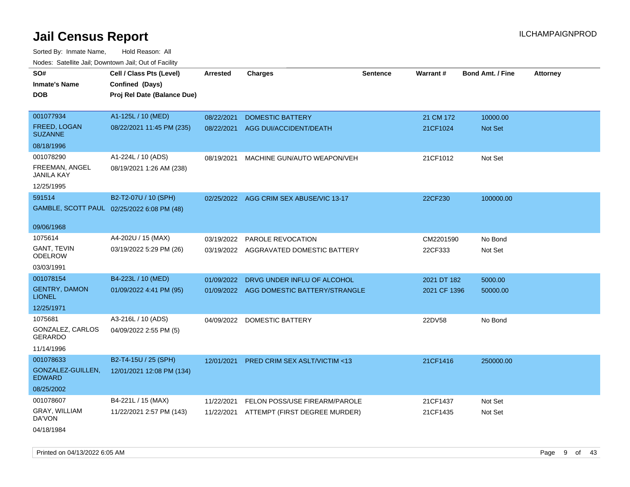| SO#<br>Inmate's Name                  | Cell / Class Pts (Level)<br>Confined (Days) | <b>Arrested</b> | <b>Charges</b>                           | <b>Sentence</b> | Warrant#     | <b>Bond Amt. / Fine</b> | <b>Attorney</b> |
|---------------------------------------|---------------------------------------------|-----------------|------------------------------------------|-----------------|--------------|-------------------------|-----------------|
| DOB                                   | Proj Rel Date (Balance Due)                 |                 |                                          |                 |              |                         |                 |
|                                       |                                             |                 |                                          |                 |              |                         |                 |
| 001077934                             | A1-125L / 10 (MED)                          | 08/22/2021      | <b>DOMESTIC BATTERY</b>                  |                 | 21 CM 172    | 10000.00                |                 |
| <b>FREED, LOGAN</b><br><b>SUZANNE</b> | 08/22/2021 11:45 PM (235)                   | 08/22/2021      | AGG DUI/ACCIDENT/DEATH                   |                 | 21CF1024     | <b>Not Set</b>          |                 |
| 08/18/1996                            |                                             |                 |                                          |                 |              |                         |                 |
| 001078290                             | A1-224L / 10 (ADS)                          | 08/19/2021      | MACHINE GUN/AUTO WEAPON/VEH              |                 | 21CF1012     | Not Set                 |                 |
| FREEMAN, ANGEL<br>JANILA KAY          | 08/19/2021 1:26 AM (238)                    |                 |                                          |                 |              |                         |                 |
| 12/25/1995                            |                                             |                 |                                          |                 |              |                         |                 |
| 591514                                | B2-T2-07U / 10 (SPH)                        |                 | 02/25/2022 AGG CRIM SEX ABUSE/VIC 13-17  |                 | 22CF230      | 100000.00               |                 |
|                                       | GAMBLE, SCOTT PAUL 02/25/2022 6:08 PM (48)  |                 |                                          |                 |              |                         |                 |
| 09/06/1968                            |                                             |                 |                                          |                 |              |                         |                 |
| 1075614                               | A4-202U / 15 (MAX)                          | 03/19/2022      | <b>PAROLE REVOCATION</b>                 |                 | CM2201590    | No Bond                 |                 |
| GANT, TEVIN<br>ODELROW                | 03/19/2022 5:29 PM (26)                     |                 | 03/19/2022 AGGRAVATED DOMESTIC BATTERY   |                 | 22CF333      | Not Set                 |                 |
| 03/03/1991                            |                                             |                 |                                          |                 |              |                         |                 |
| 001078154                             | B4-223L / 10 (MED)                          | 01/09/2022      | DRVG UNDER INFLU OF ALCOHOL              |                 | 2021 DT 182  | 5000.00                 |                 |
| <b>GENTRY, DAMON</b><br><b>LIONEL</b> | 01/09/2022 4:41 PM (95)                     |                 | 01/09/2022 AGG DOMESTIC BATTERY/STRANGLE |                 | 2021 CF 1396 | 50000.00                |                 |
| 12/25/1971                            |                                             |                 |                                          |                 |              |                         |                 |
| 1075681                               | A3-216L / 10 (ADS)                          |                 | 04/09/2022 DOMESTIC BATTERY              |                 | 22DV58       | No Bond                 |                 |
| GONZALEZ, CARLOS<br>GERARDO           | 04/09/2022 2:55 PM (5)                      |                 |                                          |                 |              |                         |                 |
| 11/14/1996                            |                                             |                 |                                          |                 |              |                         |                 |
| 001078633                             | B2-T4-15U / 25 (SPH)                        | 12/01/2021      | <b>PRED CRIM SEX ASLT/VICTIM &lt;13</b>  |                 | 21CF1416     | 250000.00               |                 |
| GONZALEZ-GUILLEN,<br><b>EDWARD</b>    | 12/01/2021 12:08 PM (134)                   |                 |                                          |                 |              |                         |                 |
| 08/25/2002                            |                                             |                 |                                          |                 |              |                         |                 |
| 001078607                             | B4-221L / 15 (MAX)                          | 11/22/2021      | FELON POSS/USE FIREARM/PAROLE            |                 | 21CF1437     | Not Set                 |                 |
| GRAY, WILLIAM<br>DA'VON               | 11/22/2021 2:57 PM (143)                    |                 | 11/22/2021 ATTEMPT (FIRST DEGREE MURDER) |                 | 21CF1435     | Not Set                 |                 |
| 04/18/1984                            |                                             |                 |                                          |                 |              |                         |                 |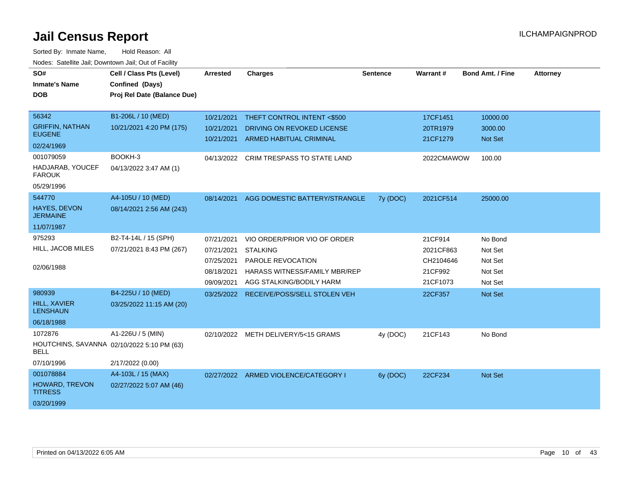| SO#<br><b>Inmate's Name</b>             | Cell / Class Pts (Level)<br>Confined (Days) | Arrested   | <b>Charges</b>                       | <b>Sentence</b> | Warrant#   | <b>Bond Amt. / Fine</b> | <b>Attorney</b> |
|-----------------------------------------|---------------------------------------------|------------|--------------------------------------|-----------------|------------|-------------------------|-----------------|
| <b>DOB</b>                              | Proj Rel Date (Balance Due)                 |            |                                      |                 |            |                         |                 |
|                                         |                                             |            |                                      |                 |            |                         |                 |
| 56342                                   | B1-206L / 10 (MED)                          | 10/21/2021 | THEFT CONTROL INTENT <\$500          |                 | 17CF1451   | 10000.00                |                 |
| <b>GRIFFIN, NATHAN</b><br><b>EUGENE</b> | 10/21/2021 4:20 PM (175)                    | 10/21/2021 | DRIVING ON REVOKED LICENSE           |                 | 20TR1979   | 3000.00                 |                 |
| 02/24/1969                              |                                             | 10/21/2021 | <b>ARMED HABITUAL CRIMINAL</b>       |                 | 21CF1279   | <b>Not Set</b>          |                 |
| 001079059                               | BOOKH-3                                     | 04/13/2022 | CRIM TRESPASS TO STATE LAND          |                 | 2022CMAWOW | 100.00                  |                 |
| HADJARAB, YOUCEF<br><b>FAROUK</b>       | 04/13/2022 3:47 AM (1)                      |            |                                      |                 |            |                         |                 |
| 05/29/1996                              |                                             |            |                                      |                 |            |                         |                 |
| 544770                                  | A4-105U / 10 (MED)                          | 08/14/2021 | AGG DOMESTIC BATTERY/STRANGLE        | 7y (DOC)        | 2021CF514  | 25000.00                |                 |
| <b>HAYES, DEVON</b><br><b>JERMAINE</b>  | 08/14/2021 2:56 AM (243)                    |            |                                      |                 |            |                         |                 |
| 11/07/1987                              |                                             |            |                                      |                 |            |                         |                 |
| 975293                                  | B2-T4-14L / 15 (SPH)                        | 07/21/2021 | VIO ORDER/PRIOR VIO OF ORDER         |                 | 21CF914    | No Bond                 |                 |
| HILL, JACOB MILES                       | 07/21/2021 8:43 PM (267)                    | 07/21/2021 | <b>STALKING</b>                      |                 | 2021CF863  | Not Set                 |                 |
|                                         |                                             | 07/25/2021 | PAROLE REVOCATION                    |                 | CH2104646  | Not Set                 |                 |
| 02/06/1988                              |                                             | 08/18/2021 | <b>HARASS WITNESS/FAMILY MBR/REP</b> |                 | 21CF992    | Not Set                 |                 |
|                                         |                                             | 09/09/2021 | AGG STALKING/BODILY HARM             |                 | 21CF1073   | Not Set                 |                 |
| 980939                                  | B4-225U / 10 (MED)                          | 03/25/2022 | RECEIVE/POSS/SELL STOLEN VEH         |                 | 22CF357    | Not Set                 |                 |
| <b>HILL, XAVIER</b><br><b>LENSHAUN</b>  | 03/25/2022 11:15 AM (20)                    |            |                                      |                 |            |                         |                 |
| 06/18/1988                              |                                             |            |                                      |                 |            |                         |                 |
| 1072876                                 | A1-226U / 5 (MIN)                           | 02/10/2022 | METH DELIVERY/5<15 GRAMS             | 4y (DOC)        | 21CF143    | No Bond                 |                 |
| <b>BELL</b>                             | HOUTCHINS, SAVANNA 02/10/2022 5:10 PM (63)  |            |                                      |                 |            |                         |                 |
| 07/10/1996                              | 2/17/2022 (0.00)                            |            |                                      |                 |            |                         |                 |
| 001078884                               | A4-103L / 15 (MAX)                          |            | 02/27/2022 ARMED VIOLENCE/CATEGORY I | 6y (DOC)        | 22CF234    | Not Set                 |                 |
| HOWARD, TREVON<br><b>TITRESS</b>        | 02/27/2022 5:07 AM (46)                     |            |                                      |                 |            |                         |                 |
| 03/20/1999                              |                                             |            |                                      |                 |            |                         |                 |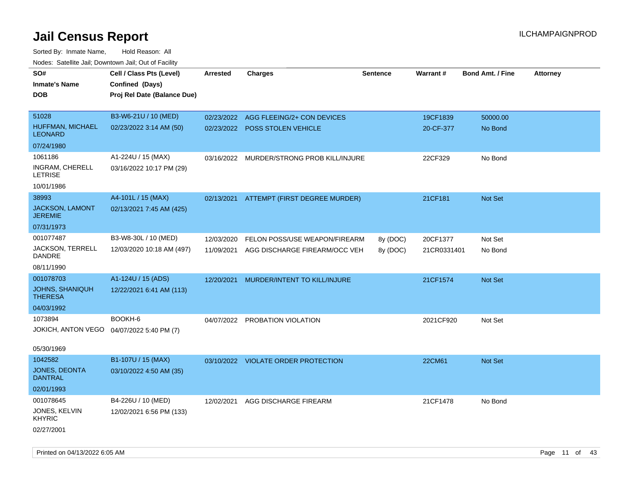| roaco. Catolino dall, Downtown dall, Out of Fability |                             |                 |                                           |                 |             |                         |                 |
|------------------------------------------------------|-----------------------------|-----------------|-------------------------------------------|-----------------|-------------|-------------------------|-----------------|
| SO#                                                  | Cell / Class Pts (Level)    | <b>Arrested</b> | <b>Charges</b>                            | <b>Sentence</b> | Warrant#    | <b>Bond Amt. / Fine</b> | <b>Attorney</b> |
| <b>Inmate's Name</b>                                 | Confined (Days)             |                 |                                           |                 |             |                         |                 |
| <b>DOB</b>                                           | Proj Rel Date (Balance Due) |                 |                                           |                 |             |                         |                 |
|                                                      |                             |                 |                                           |                 |             |                         |                 |
| 51028                                                | B3-W6-21U / 10 (MED)        | 02/23/2022      | AGG FLEEING/2+ CON DEVICES                |                 | 19CF1839    | 50000.00                |                 |
| HUFFMAN, MICHAEL<br><b>LEONARD</b>                   | 02/23/2022 3:14 AM (50)     |                 | 02/23/2022 POSS STOLEN VEHICLE            |                 | 20-CF-377   | No Bond                 |                 |
| 07/24/1980                                           |                             |                 |                                           |                 |             |                         |                 |
| 1061186                                              | A1-224U / 15 (MAX)          |                 | 03/16/2022 MURDER/STRONG PROB KILL/INJURE |                 | 22CF329     | No Bond                 |                 |
| INGRAM, CHERELL<br><b>LETRISE</b>                    | 03/16/2022 10:17 PM (29)    |                 |                                           |                 |             |                         |                 |
| 10/01/1986                                           |                             |                 |                                           |                 |             |                         |                 |
| 38993                                                | A4-101L / 15 (MAX)          |                 | 02/13/2021 ATTEMPT (FIRST DEGREE MURDER)  |                 | 21CF181     | Not Set                 |                 |
| JACKSON, LAMONT<br><b>JEREMIE</b>                    | 02/13/2021 7:45 AM (425)    |                 |                                           |                 |             |                         |                 |
| 07/31/1973                                           |                             |                 |                                           |                 |             |                         |                 |
| 001077487                                            | B3-W8-30L / 10 (MED)        | 12/03/2020      | FELON POSS/USE WEAPON/FIREARM             | 8y (DOC)        | 20CF1377    | Not Set                 |                 |
| JACKSON, TERRELL<br><b>DANDRE</b>                    | 12/03/2020 10:18 AM (497)   | 11/09/2021      | AGG DISCHARGE FIREARM/OCC VEH             | 8y (DOC)        | 21CR0331401 | No Bond                 |                 |
| 08/11/1990                                           |                             |                 |                                           |                 |             |                         |                 |
| 001078703                                            | A1-124U / 15 (ADS)          | 12/20/2021      | MURDER/INTENT TO KILL/INJURE              |                 | 21CF1574    | Not Set                 |                 |
| <b>JOHNS, SHANIQUH</b><br><b>THERESA</b>             | 12/22/2021 6:41 AM (113)    |                 |                                           |                 |             |                         |                 |
| 04/03/1992                                           |                             |                 |                                           |                 |             |                         |                 |
| 1073894                                              | BOOKH-6                     |                 | 04/07/2022 PROBATION VIOLATION            |                 | 2021CF920   | Not Set                 |                 |
| JOKICH, ANTON VEGO                                   | 04/07/2022 5:40 PM (7)      |                 |                                           |                 |             |                         |                 |
|                                                      |                             |                 |                                           |                 |             |                         |                 |
| 05/30/1969                                           |                             |                 |                                           |                 |             |                         |                 |
| 1042582                                              | B1-107U / 15 (MAX)          |                 | 03/10/2022 VIOLATE ORDER PROTECTION       |                 | 22CM61      | Not Set                 |                 |
| JONES, DEONTA<br><b>DANTRAL</b>                      | 03/10/2022 4:50 AM (35)     |                 |                                           |                 |             |                         |                 |
| 02/01/1993                                           |                             |                 |                                           |                 |             |                         |                 |
| 001078645                                            | B4-226U / 10 (MED)          | 12/02/2021      | AGG DISCHARGE FIREARM                     |                 | 21CF1478    | No Bond                 |                 |
| JONES, KELVIN<br><b>KHYRIC</b>                       | 12/02/2021 6:56 PM (133)    |                 |                                           |                 |             |                         |                 |
| 02/27/2001                                           |                             |                 |                                           |                 |             |                         |                 |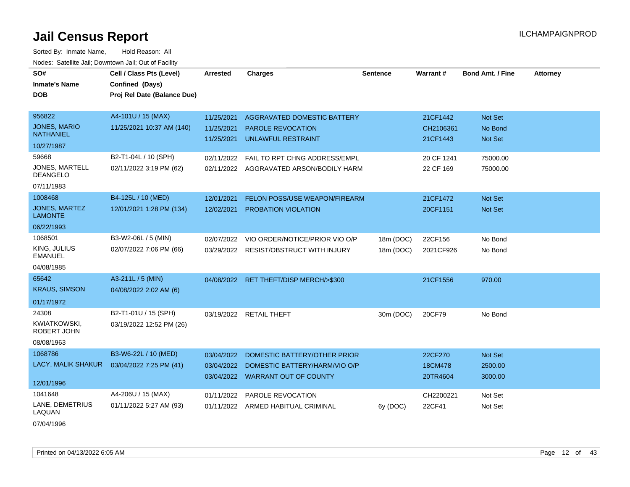| SO#<br><b>Inmate's Name</b><br><b>DOB</b> | Cell / Class Pts (Level)<br>Confined (Days)<br>Proj Rel Date (Balance Due) | <b>Arrested</b> | <b>Charges</b>                          | <b>Sentence</b> | <b>Warrant#</b> | <b>Bond Amt. / Fine</b> | <b>Attorney</b> |
|-------------------------------------------|----------------------------------------------------------------------------|-----------------|-----------------------------------------|-----------------|-----------------|-------------------------|-----------------|
| 956822                                    | A4-101U / 15 (MAX)                                                         | 11/25/2021      | AGGRAVATED DOMESTIC BATTERY             |                 | 21CF1442        | Not Set                 |                 |
| <b>JONES, MARIO</b><br><b>NATHANIEL</b>   | 11/25/2021 10:37 AM (140)                                                  | 11/25/2021      | <b>PAROLE REVOCATION</b>                |                 | CH2106361       | No Bond                 |                 |
| 10/27/1987                                |                                                                            | 11/25/2021      | UNLAWFUL RESTRAINT                      |                 | 21CF1443        | Not Set                 |                 |
| 59668                                     | B2-T1-04L / 10 (SPH)                                                       | 02/11/2022      | FAIL TO RPT CHNG ADDRESS/EMPL           |                 | 20 CF 1241      | 75000.00                |                 |
| JONES, MARTELL<br><b>DEANGELO</b>         | 02/11/2022 3:19 PM (62)                                                    |                 | 02/11/2022 AGGRAVATED ARSON/BODILY HARM |                 | 22 CF 169       | 75000.00                |                 |
| 07/11/1983                                |                                                                            |                 |                                         |                 |                 |                         |                 |
| 1008468                                   | B4-125L / 10 (MED)                                                         | 12/01/2021      | FELON POSS/USE WEAPON/FIREARM           |                 | 21CF1472        | Not Set                 |                 |
| JONES, MARTEZ<br><b>LAMONTE</b>           | 12/01/2021 1:28 PM (134)                                                   | 12/02/2021      | PROBATION VIOLATION                     |                 | 20CF1151        | Not Set                 |                 |
| 06/22/1993                                |                                                                            |                 |                                         |                 |                 |                         |                 |
| 1068501                                   | B3-W2-06L / 5 (MIN)                                                        | 02/07/2022      | VIO ORDER/NOTICE/PRIOR VIO O/P          | 18m (DOC)       | 22CF156         | No Bond                 |                 |
| KING, JULIUS<br><b>EMANUEL</b>            | 02/07/2022 7:06 PM (66)                                                    | 03/29/2022      | <b>RESIST/OBSTRUCT WITH INJURY</b>      | 18m (DOC)       | 2021CF926       | No Bond                 |                 |
| 04/08/1985                                |                                                                            |                 |                                         |                 |                 |                         |                 |
| 65642                                     | A3-211L / 5 (MIN)                                                          | 04/08/2022      | RET THEFT/DISP MERCH/>\$300             |                 | 21CF1556        | 970.00                  |                 |
| <b>KRAUS, SIMSON</b>                      | 04/08/2022 2:02 AM (6)                                                     |                 |                                         |                 |                 |                         |                 |
| 01/17/1972                                |                                                                            |                 |                                         |                 |                 |                         |                 |
| 24308                                     | B2-T1-01U / 15 (SPH)                                                       | 03/19/2022      | <b>RETAIL THEFT</b>                     | 30m (DOC)       | 20CF79          | No Bond                 |                 |
| <b>KWIATKOWSKI,</b><br><b>ROBERT JOHN</b> | 03/19/2022 12:52 PM (26)                                                   |                 |                                         |                 |                 |                         |                 |
| 08/08/1963                                |                                                                            |                 |                                         |                 |                 |                         |                 |
| 1068786                                   | B3-W6-22L / 10 (MED)                                                       | 03/04/2022      | DOMESTIC BATTERY/OTHER PRIOR            |                 | 22CF270         | <b>Not Set</b>          |                 |
| LACY, MALIK SHAKUR                        | 03/04/2022 7:25 PM (41)                                                    | 03/04/2022      | DOMESTIC BATTERY/HARM/VIO O/P           |                 | 18CM478         | 2500.00                 |                 |
| 12/01/1996                                |                                                                            |                 | 03/04/2022 WARRANT OUT OF COUNTY        |                 | 20TR4604        | 3000.00                 |                 |
| 1041648                                   | A4-206U / 15 (MAX)                                                         | 01/11/2022      | <b>PAROLE REVOCATION</b>                |                 | CH2200221       | Not Set                 |                 |
| LANE, DEMETRIUS<br>LAQUAN                 | 01/11/2022 5:27 AM (93)                                                    |                 | 01/11/2022 ARMED HABITUAL CRIMINAL      | 6y (DOC)        | 22CF41          | Not Set                 |                 |
| 07/04/1996                                |                                                                            |                 |                                         |                 |                 |                         |                 |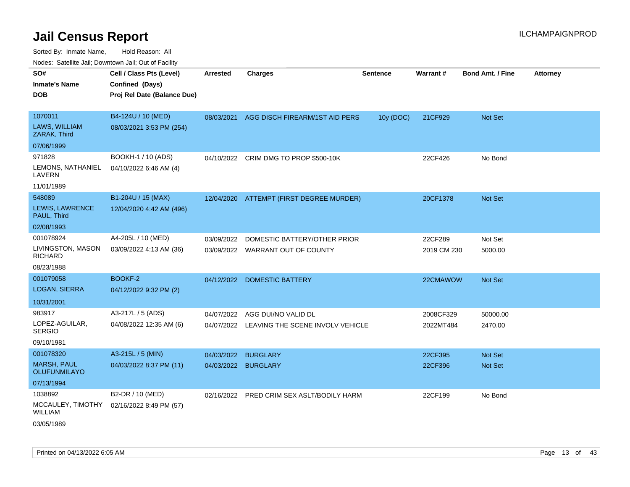Sorted By: Inmate Name, Hold Reason: All Nodes: Satellite Jail; Downtown Jail; Out of Facility

| rougs. Calcing Jan, Downtown Jan, Out of Facility |                             |                     |                                             |                 |             |                         |                 |
|---------------------------------------------------|-----------------------------|---------------------|---------------------------------------------|-----------------|-------------|-------------------------|-----------------|
| SO#                                               | Cell / Class Pts (Level)    | <b>Arrested</b>     | <b>Charges</b>                              | <b>Sentence</b> | Warrant#    | <b>Bond Amt. / Fine</b> | <b>Attorney</b> |
| <b>Inmate's Name</b>                              | Confined (Days)             |                     |                                             |                 |             |                         |                 |
| <b>DOB</b>                                        | Proj Rel Date (Balance Due) |                     |                                             |                 |             |                         |                 |
|                                                   |                             |                     |                                             |                 |             |                         |                 |
| 1070011                                           | B4-124U / 10 (MED)          | 08/03/2021          | AGG DISCH FIREARM/1ST AID PERS              | 10y (DOC)       | 21CF929     | Not Set                 |                 |
| LAWS, WILLIAM<br>ZARAK, Third                     | 08/03/2021 3:53 PM (254)    |                     |                                             |                 |             |                         |                 |
| 07/06/1999                                        |                             |                     |                                             |                 |             |                         |                 |
| 971828                                            | BOOKH-1 / 10 (ADS)          |                     | 04/10/2022 CRIM DMG TO PROP \$500-10K       |                 | 22CF426     | No Bond                 |                 |
| LEMONS, NATHANIEL<br>LAVERN                       | 04/10/2022 6:46 AM (4)      |                     |                                             |                 |             |                         |                 |
| 11/01/1989                                        |                             |                     |                                             |                 |             |                         |                 |
| 548089                                            | B1-204U / 15 (MAX)          |                     | 12/04/2020 ATTEMPT (FIRST DEGREE MURDER)    |                 | 20CF1378    | Not Set                 |                 |
| LEWIS, LAWRENCE<br>PAUL, Third                    | 12/04/2020 4:42 AM (496)    |                     |                                             |                 |             |                         |                 |
| 02/08/1993                                        |                             |                     |                                             |                 |             |                         |                 |
| 001078924                                         | A4-205L / 10 (MED)          | 03/09/2022          | DOMESTIC BATTERY/OTHER PRIOR                |                 | 22CF289     | Not Set                 |                 |
| LIVINGSTON, MASON<br><b>RICHARD</b>               | 03/09/2022 4:13 AM (36)     |                     | 03/09/2022 WARRANT OUT OF COUNTY            |                 | 2019 CM 230 | 5000.00                 |                 |
| 08/23/1988                                        |                             |                     |                                             |                 |             |                         |                 |
| 001079058                                         | BOOKF-2                     |                     | 04/12/2022 DOMESTIC BATTERY                 |                 | 22CMAWOW    | Not Set                 |                 |
| <b>LOGAN, SIERRA</b>                              | 04/12/2022 9:32 PM (2)      |                     |                                             |                 |             |                         |                 |
| 10/31/2001                                        |                             |                     |                                             |                 |             |                         |                 |
| 983917                                            | A3-217L / 5 (ADS)           | 04/07/2022          | AGG DUI/NO VALID DL                         |                 | 2008CF329   | 50000.00                |                 |
| LOPEZ-AGUILAR,<br><b>SERGIO</b>                   | 04/08/2022 12:35 AM (6)     |                     | 04/07/2022 LEAVING THE SCENE INVOLV VEHICLE |                 | 2022MT484   | 2470.00                 |                 |
| 09/10/1981                                        |                             |                     |                                             |                 |             |                         |                 |
| 001078320                                         | A3-215L / 5 (MIN)           | 04/03/2022          | <b>BURGLARY</b>                             |                 | 22CF395     | <b>Not Set</b>          |                 |
| <b>MARSH, PAUL</b><br><b>OLUFUNMILAYO</b>         | 04/03/2022 8:37 PM (11)     | 04/03/2022 BURGLARY |                                             |                 | 22CF396     | <b>Not Set</b>          |                 |
| 07/13/1994                                        |                             |                     |                                             |                 |             |                         |                 |
| 1038892                                           | B2-DR / 10 (MED)            | 02/16/2022          | PRED CRIM SEX ASLT/BODILY HARM              |                 | 22CF199     | No Bond                 |                 |
| MCCAULEY, TIMOTHY<br><b>WILLIAM</b>               | 02/16/2022 8:49 PM (57)     |                     |                                             |                 |             |                         |                 |

03/05/1989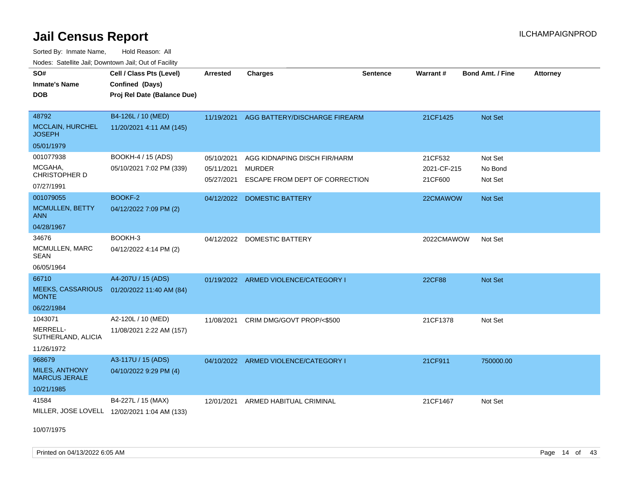Sorted By: Inmate Name, Hold Reason: All

| Nodes: Satellite Jail; Downtown Jail; Out of Facility |                                              |                 |                                          |                 |                 |                  |                 |
|-------------------------------------------------------|----------------------------------------------|-----------------|------------------------------------------|-----------------|-----------------|------------------|-----------------|
| SO#                                                   | Cell / Class Pts (Level)                     | <b>Arrested</b> | <b>Charges</b>                           | <b>Sentence</b> | <b>Warrant#</b> | Bond Amt. / Fine | <b>Attorney</b> |
| <b>Inmate's Name</b>                                  | Confined (Days)                              |                 |                                          |                 |                 |                  |                 |
| <b>DOB</b>                                            | Proj Rel Date (Balance Due)                  |                 |                                          |                 |                 |                  |                 |
|                                                       |                                              |                 |                                          |                 |                 |                  |                 |
| 48792                                                 | B4-126L / 10 (MED)                           |                 | 11/19/2021 AGG BATTERY/DISCHARGE FIREARM |                 | 21CF1425        | Not Set          |                 |
| <b>MCCLAIN, HURCHEL</b><br><b>JOSEPH</b>              | 11/20/2021 4:11 AM (145)                     |                 |                                          |                 |                 |                  |                 |
| 05/01/1979                                            |                                              |                 |                                          |                 |                 |                  |                 |
| 001077938                                             | BOOKH-4 / 15 (ADS)                           | 05/10/2021      | AGG KIDNAPING DISCH FIR/HARM             |                 | 21CF532         | Not Set          |                 |
| MCGAHA,                                               | 05/10/2021 7:02 PM (339)                     | 05/11/2021      | <b>MURDER</b>                            |                 | 2021-CF-215     | No Bond          |                 |
| CHRISTOPHER D                                         |                                              | 05/27/2021      | ESCAPE FROM DEPT OF CORRECTION           |                 | 21CF600         | Not Set          |                 |
| 07/27/1991                                            |                                              |                 |                                          |                 |                 |                  |                 |
| 001079055                                             | BOOKF-2                                      | 04/12/2022      | <b>DOMESTIC BATTERY</b>                  |                 | 22CMAWOW        | Not Set          |                 |
| MCMULLEN, BETTY<br><b>ANN</b>                         | 04/12/2022 7:09 PM (2)                       |                 |                                          |                 |                 |                  |                 |
| 04/28/1967                                            |                                              |                 |                                          |                 |                 |                  |                 |
| 34676                                                 | BOOKH-3                                      | 04/12/2022      | <b>DOMESTIC BATTERY</b>                  |                 | 2022CMAWOW      | Not Set          |                 |
| MCMULLEN, MARC<br><b>SEAN</b>                         | 04/12/2022 4:14 PM (2)                       |                 |                                          |                 |                 |                  |                 |
| 06/05/1964                                            |                                              |                 |                                          |                 |                 |                  |                 |
| 66710                                                 | A4-207U / 15 (ADS)                           |                 | 01/19/2022 ARMED VIOLENCE/CATEGORY I     |                 | 22CF88          | Not Set          |                 |
| <b>MEEKS, CASSARIOUS</b><br><b>MONTE</b>              | 01/20/2022 11:40 AM (84)                     |                 |                                          |                 |                 |                  |                 |
| 06/22/1984                                            |                                              |                 |                                          |                 |                 |                  |                 |
| 1043071                                               | A2-120L / 10 (MED)                           | 11/08/2021      | CRIM DMG/GOVT PROP/<\$500                |                 | 21CF1378        | Not Set          |                 |
| MERRELL-<br>SUTHERLAND, ALICIA                        | 11/08/2021 2:22 AM (157)                     |                 |                                          |                 |                 |                  |                 |
| 11/26/1972                                            |                                              |                 |                                          |                 |                 |                  |                 |
| 968679                                                | A3-117U / 15 (ADS)                           |                 | 04/10/2022 ARMED VIOLENCE/CATEGORY I     |                 | 21CF911         | 750000.00        |                 |
| MILES, ANTHONY<br><b>MARCUS JERALE</b>                | 04/10/2022 9:29 PM (4)                       |                 |                                          |                 |                 |                  |                 |
| 10/21/1985                                            |                                              |                 |                                          |                 |                 |                  |                 |
| 41584                                                 | B4-227L / 15 (MAX)                           | 12/01/2021      | ARMED HABITUAL CRIMINAL                  |                 | 21CF1467        | Not Set          |                 |
|                                                       | MILLER, JOSE LOVELL 12/02/2021 1:04 AM (133) |                 |                                          |                 |                 |                  |                 |

10/07/1975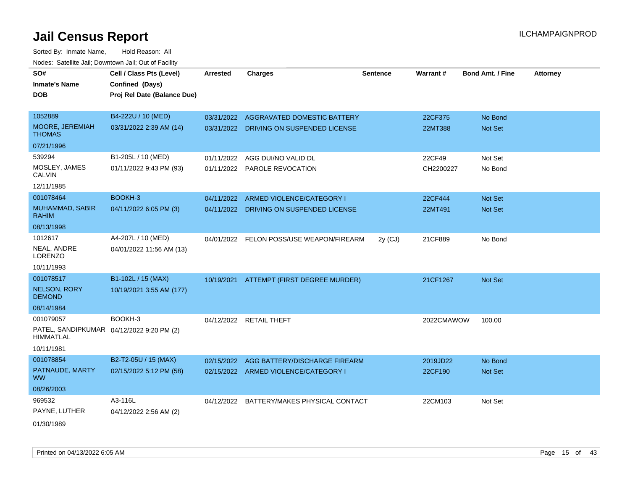| SO#                                                           | Cell / Class Pts (Level)    | <b>Arrested</b> | <b>Charges</b>                           | <b>Sentence</b> | Warrant #  | Bond Amt. / Fine | <b>Attorney</b> |
|---------------------------------------------------------------|-----------------------------|-----------------|------------------------------------------|-----------------|------------|------------------|-----------------|
| <b>Inmate's Name</b>                                          | Confined (Days)             |                 |                                          |                 |            |                  |                 |
| <b>DOB</b>                                                    | Proj Rel Date (Balance Due) |                 |                                          |                 |            |                  |                 |
|                                                               |                             |                 |                                          |                 |            |                  |                 |
| 1052889                                                       | B4-222U / 10 (MED)          |                 | 03/31/2022 AGGRAVATED DOMESTIC BATTERY   |                 | 22CF375    | No Bond          |                 |
| MOORE, JEREMIAH<br><b>THOMAS</b>                              | 03/31/2022 2:39 AM (14)     |                 | 03/31/2022 DRIVING ON SUSPENDED LICENSE  |                 | 22MT388    | Not Set          |                 |
| 07/21/1996                                                    |                             |                 |                                          |                 |            |                  |                 |
| 539294                                                        | B1-205L / 10 (MED)          | 01/11/2022      | AGG DUI/NO VALID DL                      |                 | 22CF49     | Not Set          |                 |
| MOSLEY, JAMES<br><b>CALVIN</b>                                | 01/11/2022 9:43 PM (93)     |                 | 01/11/2022 PAROLE REVOCATION             |                 | CH2200227  | No Bond          |                 |
| 12/11/1985                                                    |                             |                 |                                          |                 |            |                  |                 |
| 001078464                                                     | BOOKH-3                     | 04/11/2022      | ARMED VIOLENCE/CATEGORY I                |                 | 22CF444    | Not Set          |                 |
| MUHAMMAD, SABIR<br><b>RAHIM</b>                               | 04/11/2022 6:05 PM (3)      |                 | 04/11/2022 DRIVING ON SUSPENDED LICENSE  |                 | 22MT491    | <b>Not Set</b>   |                 |
| 08/13/1998                                                    |                             |                 |                                          |                 |            |                  |                 |
| 1012617                                                       | A4-207L / 10 (MED)          |                 | 04/01/2022 FELON POSS/USE WEAPON/FIREARM | $2y$ (CJ)       | 21CF889    | No Bond          |                 |
| NEAL, ANDRE<br><b>LORENZO</b>                                 | 04/01/2022 11:56 AM (13)    |                 |                                          |                 |            |                  |                 |
| 10/11/1993                                                    |                             |                 |                                          |                 |            |                  |                 |
| 001078517                                                     | B1-102L / 15 (MAX)          |                 | 10/19/2021 ATTEMPT (FIRST DEGREE MURDER) |                 | 21CF1267   | Not Set          |                 |
| <b>NELSON, RORY</b><br><b>DEMOND</b>                          | 10/19/2021 3:55 AM (177)    |                 |                                          |                 |            |                  |                 |
| 08/14/1984                                                    |                             |                 |                                          |                 |            |                  |                 |
| 001079057                                                     | BOOKH-3                     |                 | 04/12/2022 RETAIL THEFT                  |                 | 2022CMAWOW | 100.00           |                 |
| PATEL, SANDIPKUMAR 04/12/2022 9:20 PM (2)<br><b>HIMMATLAL</b> |                             |                 |                                          |                 |            |                  |                 |
| 10/11/1981                                                    |                             |                 |                                          |                 |            |                  |                 |
| 001078854                                                     | B2-T2-05U / 15 (MAX)        | 02/15/2022      | AGG BATTERY/DISCHARGE FIREARM            |                 | 2019JD22   | No Bond          |                 |
| PATNAUDE, MARTY<br><b>WW</b>                                  | 02/15/2022 5:12 PM (58)     |                 | 02/15/2022 ARMED VIOLENCE/CATEGORY I     |                 | 22CF190    | Not Set          |                 |
| 08/26/2003                                                    |                             |                 |                                          |                 |            |                  |                 |
| 969532                                                        | A3-116L                     | 04/12/2022      | BATTERY/MAKES PHYSICAL CONTACT           |                 | 22CM103    | Not Set          |                 |
| PAYNE, LUTHER                                                 | 04/12/2022 2:56 AM (2)      |                 |                                          |                 |            |                  |                 |
| 01/30/1989                                                    |                             |                 |                                          |                 |            |                  |                 |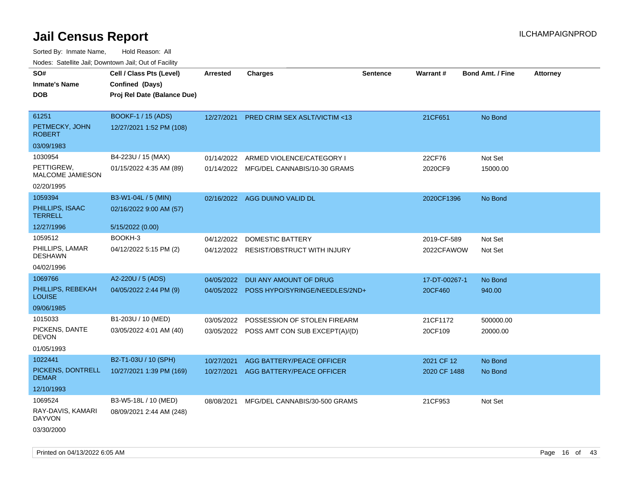| SO#<br><b>Inmate's Name</b><br><b>DOB</b> | Cell / Class Pts (Level)<br>Confined (Days)<br>Proj Rel Date (Balance Due) | <b>Arrested</b> | <b>Charges</b>                            | <b>Sentence</b> | Warrant#      | <b>Bond Amt. / Fine</b> | <b>Attorney</b> |
|-------------------------------------------|----------------------------------------------------------------------------|-----------------|-------------------------------------------|-----------------|---------------|-------------------------|-----------------|
|                                           |                                                                            |                 |                                           |                 |               |                         |                 |
| 61251                                     | <b>BOOKF-1 / 15 (ADS)</b>                                                  | 12/27/2021      | PRED CRIM SEX ASLT/VICTIM <13             |                 | 21CF651       | No Bond                 |                 |
| PETMECKY, JOHN<br><b>ROBERT</b>           | 12/27/2021 1:52 PM (108)                                                   |                 |                                           |                 |               |                         |                 |
| 03/09/1983                                |                                                                            |                 |                                           |                 |               |                         |                 |
| 1030954                                   | B4-223U / 15 (MAX)                                                         | 01/14/2022      | ARMED VIOLENCE/CATEGORY I                 |                 | 22CF76        | Not Set                 |                 |
| PETTIGREW,<br><b>MALCOME JAMIESON</b>     | 01/15/2022 4:35 AM (89)                                                    |                 | 01/14/2022 MFG/DEL CANNABIS/10-30 GRAMS   |                 | 2020CF9       | 15000.00                |                 |
| 02/20/1995                                |                                                                            |                 |                                           |                 |               |                         |                 |
| 1059394                                   | B3-W1-04L / 5 (MIN)                                                        |                 | 02/16/2022 AGG DUI/NO VALID DL            |                 | 2020CF1396    | No Bond                 |                 |
| PHILLIPS, ISAAC<br><b>TERRELL</b>         | 02/16/2022 9:00 AM (57)                                                    |                 |                                           |                 |               |                         |                 |
| 12/27/1996                                | 5/15/2022 (0.00)                                                           |                 |                                           |                 |               |                         |                 |
| 1059512                                   | BOOKH-3                                                                    | 04/12/2022      | DOMESTIC BATTERY                          |                 | 2019-CF-589   | Not Set                 |                 |
| PHILLIPS, LAMAR<br><b>DESHAWN</b>         | 04/12/2022 5:15 PM (2)                                                     | 04/12/2022      | RESIST/OBSTRUCT WITH INJURY               |                 | 2022CFAWOW    | Not Set                 |                 |
| 04/02/1996                                |                                                                            |                 |                                           |                 |               |                         |                 |
| 1069766                                   | A2-220U / 5 (ADS)                                                          | 04/05/2022      | DUI ANY AMOUNT OF DRUG                    |                 | 17-DT-00267-1 | No Bond                 |                 |
| PHILLIPS, REBEKAH<br><b>LOUISE</b>        | 04/05/2022 2:44 PM (9)                                                     |                 | 04/05/2022 POSS HYPO/SYRINGE/NEEDLES/2ND+ |                 | 20CF460       | 940.00                  |                 |
| 09/06/1985                                |                                                                            |                 |                                           |                 |               |                         |                 |
| 1015033                                   | B1-203U / 10 (MED)                                                         | 03/05/2022      | POSSESSION OF STOLEN FIREARM              |                 | 21CF1172      | 500000.00               |                 |
| PICKENS, DANTE<br>DEVON                   | 03/05/2022 4:01 AM (40)                                                    | 03/05/2022      | POSS AMT CON SUB EXCEPT(A)/(D)            |                 | 20CF109       | 20000.00                |                 |
| 01/05/1993                                |                                                                            |                 |                                           |                 |               |                         |                 |
| 1022441                                   | B2-T1-03U / 10 (SPH)                                                       | 10/27/2021      | AGG BATTERY/PEACE OFFICER                 |                 | 2021 CF 12    | No Bond                 |                 |
| PICKENS, DONTRELL<br><b>DEMAR</b>         | 10/27/2021 1:39 PM (169)                                                   | 10/27/2021      | AGG BATTERY/PEACE OFFICER                 |                 | 2020 CF 1488  | No Bond                 |                 |
| 12/10/1993                                |                                                                            |                 |                                           |                 |               |                         |                 |
| 1069524                                   | B3-W5-18L / 10 (MED)                                                       | 08/08/2021      | MFG/DEL CANNABIS/30-500 GRAMS             |                 | 21CF953       | Not Set                 |                 |
| RAY-DAVIS, KAMARI<br><b>DAYVON</b>        | 08/09/2021 2:44 AM (248)                                                   |                 |                                           |                 |               |                         |                 |
| 03/30/2000                                |                                                                            |                 |                                           |                 |               |                         |                 |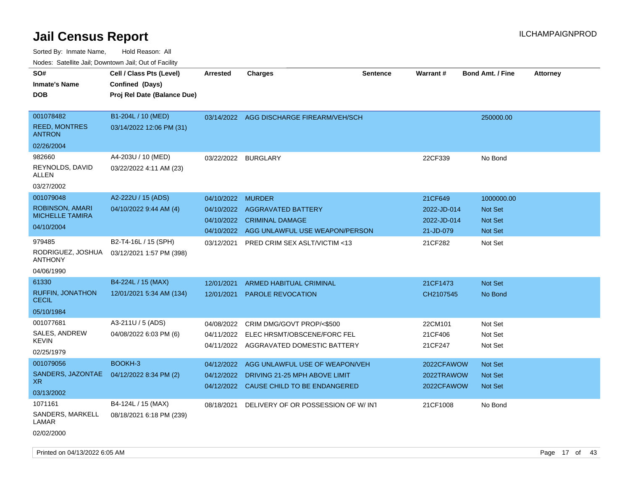| indues. Salenne Jan, Downlown Jan, Out of Facility |                             |                 |                                          |                 |             |                         |                 |
|----------------------------------------------------|-----------------------------|-----------------|------------------------------------------|-----------------|-------------|-------------------------|-----------------|
| SO#                                                | Cell / Class Pts (Level)    | <b>Arrested</b> | <b>Charges</b>                           | <b>Sentence</b> | Warrant#    | <b>Bond Amt. / Fine</b> | <b>Attorney</b> |
| <b>Inmate's Name</b>                               | Confined (Days)             |                 |                                          |                 |             |                         |                 |
| <b>DOB</b>                                         | Proj Rel Date (Balance Due) |                 |                                          |                 |             |                         |                 |
|                                                    |                             |                 |                                          |                 |             |                         |                 |
| 001078482                                          | B1-204L / 10 (MED)          |                 | 03/14/2022 AGG DISCHARGE FIREARM/VEH/SCH |                 |             | 250000.00               |                 |
| <b>REED, MONTRES</b><br><b>ANTRON</b>              | 03/14/2022 12:06 PM (31)    |                 |                                          |                 |             |                         |                 |
| 02/26/2004                                         |                             |                 |                                          |                 |             |                         |                 |
| 982660                                             | A4-203U / 10 (MED)          | 03/22/2022      | <b>BURGLARY</b>                          |                 | 22CF339     | No Bond                 |                 |
| REYNOLDS, DAVID<br>ALLEN                           | 03/22/2022 4:11 AM (23)     |                 |                                          |                 |             |                         |                 |
| 03/27/2002                                         |                             |                 |                                          |                 |             |                         |                 |
| 001079048                                          | A2-222U / 15 (ADS)          | 04/10/2022      | <b>MURDER</b>                            |                 | 21CF649     | 1000000.00              |                 |
| <b>ROBINSON, AMARI</b>                             | 04/10/2022 9:44 AM (4)      | 04/10/2022      | AGGRAVATED BATTERY                       |                 | 2022-JD-014 | <b>Not Set</b>          |                 |
| <b>MICHELLE TAMIRA</b>                             |                             | 04/10/2022      | <b>CRIMINAL DAMAGE</b>                   |                 | 2022-JD-014 | <b>Not Set</b>          |                 |
| 04/10/2004                                         |                             | 04/10/2022      | AGG UNLAWFUL USE WEAPON/PERSON           |                 | 21-JD-079   | Not Set                 |                 |
| 979485                                             | B2-T4-16L / 15 (SPH)        | 03/12/2021      | <b>PRED CRIM SEX ASLT/VICTIM &lt;13</b>  |                 | 21CF282     | Not Set                 |                 |
| RODRIGUEZ, JOSHUA<br>ANTHONY                       | 03/12/2021 1:57 PM (398)    |                 |                                          |                 |             |                         |                 |
| 04/06/1990                                         |                             |                 |                                          |                 |             |                         |                 |
| 61330                                              | B4-224L / 15 (MAX)          | 12/01/2021      | <b>ARMED HABITUAL CRIMINAL</b>           |                 | 21CF1473    | Not Set                 |                 |
| <b>RUFFIN, JONATHON</b><br><b>CECIL</b>            | 12/01/2021 5:34 AM (134)    | 12/01/2021      | PAROLE REVOCATION                        |                 | CH2107545   | No Bond                 |                 |
| 05/10/1984                                         |                             |                 |                                          |                 |             |                         |                 |
| 001077681                                          | A3-211U / 5 (ADS)           | 04/08/2022      | CRIM DMG/GOVT PROP/<\$500                |                 | 22CM101     | Not Set                 |                 |
| SALES, ANDREW                                      | 04/08/2022 6:03 PM (6)      | 04/11/2022      | ELEC HRSMT/OBSCENE/FORC FEL              |                 | 21CF406     | Not Set                 |                 |
| KEVIN                                              |                             |                 | 04/11/2022 AGGRAVATED DOMESTIC BATTERY   |                 | 21CF247     | Not Set                 |                 |
| 02/25/1979                                         |                             |                 |                                          |                 |             |                         |                 |
| 001079056                                          | BOOKH-3                     | 04/12/2022      | AGG UNLAWFUL USE OF WEAPON/VEH           |                 | 2022CFAWOW  | <b>Not Set</b>          |                 |
| SANDERS, JAZONTAE<br>XR.                           | 04/12/2022 8:34 PM (2)      | 04/12/2022      | DRIVING 21-25 MPH ABOVE LIMIT            |                 | 2022TRAWOW  | <b>Not Set</b>          |                 |
| 03/13/2002                                         |                             |                 | 04/12/2022 CAUSE CHILD TO BE ENDANGERED  |                 | 2022CFAWOW  | Not Set                 |                 |
| 1071161                                            | B4-124L / 15 (MAX)          | 08/18/2021      | DELIVERY OF OR POSSESSION OF W/INT       |                 | 21CF1008    | No Bond                 |                 |
| SANDERS, MARKELL<br>LAMAR                          | 08/18/2021 6:18 PM (239)    |                 |                                          |                 |             |                         |                 |
| 02/02/2000                                         |                             |                 |                                          |                 |             |                         |                 |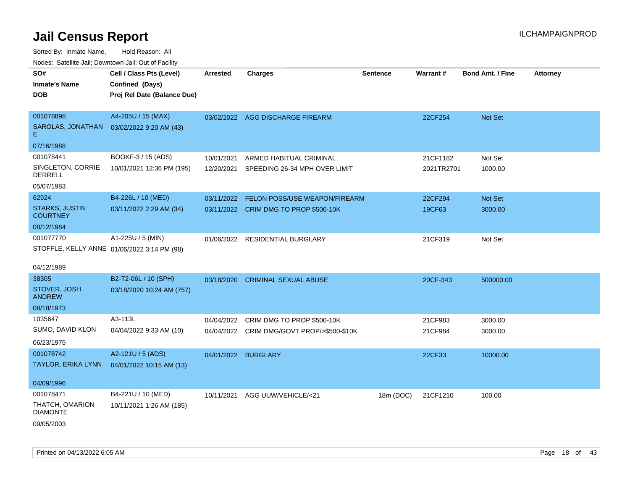| ivuutos. Saltiilit Jali, Duwilluwii Jali, Oul of Facility |                                             |                 |                                            |                 |            |                         |                 |
|-----------------------------------------------------------|---------------------------------------------|-----------------|--------------------------------------------|-----------------|------------|-------------------------|-----------------|
| SO#                                                       | Cell / Class Pts (Level)                    | <b>Arrested</b> | <b>Charges</b>                             | <b>Sentence</b> | Warrant#   | <b>Bond Amt. / Fine</b> | <b>Attorney</b> |
| <b>Inmate's Name</b>                                      | Confined (Days)                             |                 |                                            |                 |            |                         |                 |
| <b>DOB</b>                                                | Proj Rel Date (Balance Due)                 |                 |                                            |                 |            |                         |                 |
|                                                           |                                             |                 |                                            |                 |            |                         |                 |
| 001078898                                                 | A4-205U / 15 (MAX)                          |                 | 03/02/2022 AGG DISCHARGE FIREARM           |                 | 22CF254    | Not Set                 |                 |
| SAROLAS, JONATHAN<br>E.                                   | 03/02/2022 9:20 AM (43)                     |                 |                                            |                 |            |                         |                 |
| 07/16/1988                                                |                                             |                 |                                            |                 |            |                         |                 |
| 001078441                                                 | BOOKF-3 / 15 (ADS)                          | 10/01/2021      | ARMED HABITUAL CRIMINAL                    |                 | 21CF1182   | Not Set                 |                 |
| SINGLETON, CORRIE<br><b>DERRELL</b>                       | 10/01/2021 12:36 PM (195)                   |                 | 12/20/2021 SPEEDING 26-34 MPH OVER LIMIT   |                 | 2021TR2701 | 1000.00                 |                 |
| 05/07/1983                                                |                                             |                 |                                            |                 |            |                         |                 |
| 62924                                                     | B4-226L / 10 (MED)                          |                 | 03/11/2022 FELON POSS/USE WEAPON/FIREARM   |                 | 22CF294    | Not Set                 |                 |
| <b>STARKS, JUSTIN</b><br><b>COURTNEY</b>                  | 03/11/2022 2:29 AM (34)                     |                 | 03/11/2022 CRIM DMG TO PROP \$500-10K      |                 | 19CF63     | 3000.00                 |                 |
| 08/12/1984                                                |                                             |                 |                                            |                 |            |                         |                 |
| 001077770                                                 | A1-225U / 5 (MIN)                           |                 | 01/06/2022 RESIDENTIAL BURGLARY            |                 | 21CF319    | Not Set                 |                 |
|                                                           | STOFFLE, KELLY ANNE 01/06/2022 3:14 PM (98) |                 |                                            |                 |            |                         |                 |
|                                                           |                                             |                 |                                            |                 |            |                         |                 |
| 04/12/1989                                                |                                             |                 |                                            |                 |            |                         |                 |
| 38305                                                     | B2-T2-06L / 10 (SPH)                        | 03/18/2020      | <b>CRIMINAL SEXUAL ABUSE</b>               |                 | 20CF-343   | 500000.00               |                 |
| STOVER, JOSH<br><b>ANDREW</b>                             | 03/18/2020 10:24 AM (757)                   |                 |                                            |                 |            |                         |                 |
| 08/18/1973                                                |                                             |                 |                                            |                 |            |                         |                 |
| 1035647                                                   | A3-113L                                     |                 | 04/04/2022 CRIM DMG TO PROP \$500-10K      |                 | 21CF983    | 3000.00                 |                 |
| SUMO, DAVID KLON                                          | 04/04/2022 9:33 AM (10)                     |                 | 04/04/2022 CRIM DMG/GOVT PROP/>\$500-\$10K |                 | 21CF984    | 3000.00                 |                 |
| 06/23/1975                                                |                                             |                 |                                            |                 |            |                         |                 |
| 001078742                                                 | A2-121U / 5 (ADS)                           |                 | 04/01/2022 BURGLARY                        |                 | 22CF33     | 10000.00                |                 |
| TAYLOR, ERIKA LYNN                                        | 04/01/2022 10:15 AM (13)                    |                 |                                            |                 |            |                         |                 |
|                                                           |                                             |                 |                                            |                 |            |                         |                 |
| 04/09/1996                                                |                                             |                 |                                            |                 |            |                         |                 |
| 001078471                                                 | B4-221U / 10 (MED)                          | 10/11/2021      | AGG UUW/VEHICLE/<21                        | 18m (DOC)       | 21CF1210   | 100.00                  |                 |
| THATCH, OMARION<br><b>DIAMONTE</b>                        | 10/11/2021 1:26 AM (185)                    |                 |                                            |                 |            |                         |                 |
| 09/05/2003                                                |                                             |                 |                                            |                 |            |                         |                 |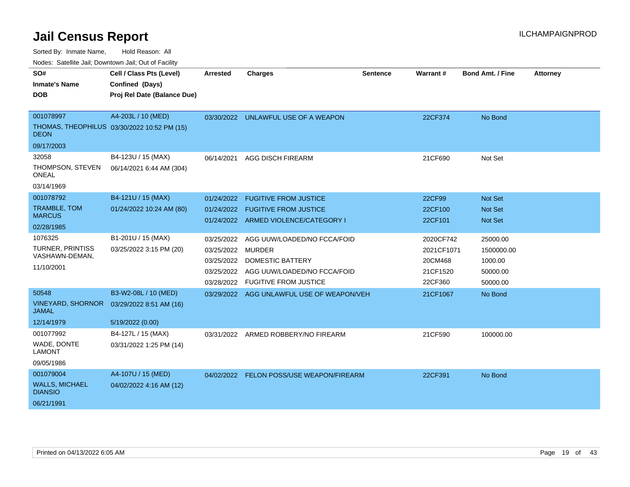Sorted By: Inmate Name, Hold Reason: All

Nodes: Satellite Jail; Downtown Jail; Out of Facility

| SO#<br><b>Inmate's Name</b><br><b>DOB</b>                          | Cell / Class Pts (Level)<br>Confined (Days)<br>Proj Rel Date (Balance Due) | <b>Arrested</b>                                             | <b>Charges</b>                                                                                                                   | <b>Sentence</b> | Warrant#                                                  | <b>Bond Amt. / Fine</b>                                   | <b>Attorney</b> |
|--------------------------------------------------------------------|----------------------------------------------------------------------------|-------------------------------------------------------------|----------------------------------------------------------------------------------------------------------------------------------|-----------------|-----------------------------------------------------------|-----------------------------------------------------------|-----------------|
| 001078997<br><b>DEON</b><br>09/17/2003                             | A4-203L / 10 (MED)<br>THOMAS, THEOPHILUS 03/30/2022 10:52 PM (15)          |                                                             | 03/30/2022 UNLAWFUL USE OF A WEAPON                                                                                              |                 | 22CF374                                                   | No Bond                                                   |                 |
| 32058<br>THOMPSON, STEVEN<br><b>ONEAL</b><br>03/14/1969            | B4-123U / 15 (MAX)<br>06/14/2021 6:44 AM (304)                             | 06/14/2021                                                  | <b>AGG DISCH FIREARM</b>                                                                                                         |                 | 21CF690                                                   | Not Set                                                   |                 |
| 001078792<br>TRAMBLE, TOM<br><b>MARCUS</b><br>02/28/1985           | B4-121U / 15 (MAX)<br>01/24/2022 10:24 AM (80)                             | 01/24/2022<br>01/24/2022                                    | <b>FUGITIVE FROM JUSTICE</b><br><b>FUGITIVE FROM JUSTICE</b><br>01/24/2022 ARMED VIOLENCE/CATEGORY I                             |                 | 22CF99<br>22CF100<br>22CF101                              | <b>Not Set</b><br><b>Not Set</b><br><b>Not Set</b>        |                 |
| 1076325<br><b>TURNER, PRINTISS</b><br>VASHAWN-DEMAN,<br>11/10/2001 | B1-201U / 15 (MAX)<br>03/25/2022 3:15 PM (20)                              | 03/25/2022<br>03/25/2022 MURDER<br>03/25/2022<br>03/28/2022 | AGG UUW/LOADED/NO FCCA/FOID<br><b>DOMESTIC BATTERY</b><br>03/25/2022 AGG UUW/LOADED/NO FCCA/FOID<br><b>FUGITIVE FROM JUSTICE</b> |                 | 2020CF742<br>2021CF1071<br>20CM468<br>21CF1520<br>22CF360 | 25000.00<br>1500000.00<br>1000.00<br>50000.00<br>50000.00 |                 |
| 50548<br><b>VINEYARD, SHORNOR</b><br><b>JAMAL</b><br>12/14/1979    | B3-W2-08L / 10 (MED)<br>03/29/2022 8:51 AM (16)<br>5/19/2022 (0.00)        |                                                             | 03/29/2022 AGG UNLAWFUL USE OF WEAPON/VEH                                                                                        |                 | 21CF1067                                                  | No Bond                                                   |                 |
| 001077992<br>WADE, DONTE<br><b>LAMONT</b><br>09/05/1986            | B4-127L / 15 (MAX)<br>03/31/2022 1:25 PM (14)                              | 03/31/2022                                                  | ARMED ROBBERY/NO FIREARM                                                                                                         |                 | 21CF590                                                   | 100000.00                                                 |                 |
| 001079004<br><b>WALLS, MICHAEL</b><br><b>DIANSIO</b><br>06/21/1991 | A4-107U / 15 (MED)<br>04/02/2022 4:16 AM (12)                              |                                                             | 04/02/2022 FELON POSS/USE WEAPON/FIREARM                                                                                         |                 | 22CF391                                                   | No Bond                                                   |                 |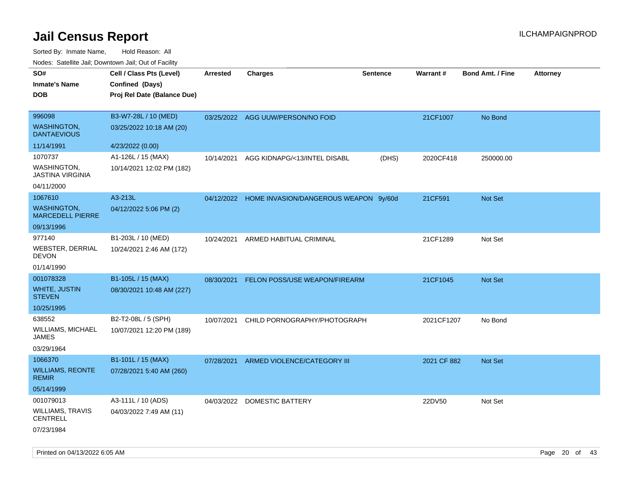Sorted By: Inmate Name, Hold Reason: All Nodes: Satellite Jail; Downtown Jail; Out of Facility

| rougs. Calcing Jan, Downtown Jan, Out of Facility |                             |                 |                                                  |                 |             |                         |                 |
|---------------------------------------------------|-----------------------------|-----------------|--------------------------------------------------|-----------------|-------------|-------------------------|-----------------|
| SO#                                               | Cell / Class Pts (Level)    | <b>Arrested</b> | <b>Charges</b>                                   | <b>Sentence</b> | Warrant#    | <b>Bond Amt. / Fine</b> | <b>Attorney</b> |
| <b>Inmate's Name</b>                              | Confined (Days)             |                 |                                                  |                 |             |                         |                 |
| <b>DOB</b>                                        | Proj Rel Date (Balance Due) |                 |                                                  |                 |             |                         |                 |
|                                                   |                             |                 |                                                  |                 |             |                         |                 |
| 996098                                            | B3-W7-28L / 10 (MED)        |                 | 03/25/2022 AGG UUW/PERSON/NO FOID                |                 | 21CF1007    | No Bond                 |                 |
| <b>WASHINGTON,</b><br><b>DANTAEVIOUS</b>          | 03/25/2022 10:18 AM (20)    |                 |                                                  |                 |             |                         |                 |
| 11/14/1991                                        | 4/23/2022 (0.00)            |                 |                                                  |                 |             |                         |                 |
| 1070737                                           | A1-126L / 15 (MAX)          | 10/14/2021      | AGG KIDNAPG/<13/INTEL DISABL                     | (DHS)           | 2020CF418   | 250000.00               |                 |
| WASHINGTON,<br><b>JASTINA VIRGINIA</b>            | 10/14/2021 12:02 PM (182)   |                 |                                                  |                 |             |                         |                 |
| 04/11/2000                                        |                             |                 |                                                  |                 |             |                         |                 |
| 1067610                                           | A3-213L                     |                 | 04/12/2022 HOME INVASION/DANGEROUS WEAPON 9y/60d |                 | 21CF591     | Not Set                 |                 |
| <b>WASHINGTON,</b><br><b>MARCEDELL PIERRE</b>     | 04/12/2022 5:06 PM (2)      |                 |                                                  |                 |             |                         |                 |
| 09/13/1996                                        |                             |                 |                                                  |                 |             |                         |                 |
| 977140                                            | B1-203L / 10 (MED)          | 10/24/2021      | ARMED HABITUAL CRIMINAL                          |                 | 21CF1289    | Not Set                 |                 |
| WEBSTER, DERRIAL<br><b>DEVON</b>                  | 10/24/2021 2:46 AM (172)    |                 |                                                  |                 |             |                         |                 |
| 01/14/1990                                        |                             |                 |                                                  |                 |             |                         |                 |
| 001078328                                         | B1-105L / 15 (MAX)          | 08/30/2021      | FELON POSS/USE WEAPON/FIREARM                    |                 | 21CF1045    | Not Set                 |                 |
| <b>WHITE, JUSTIN</b><br><b>STEVEN</b>             | 08/30/2021 10:48 AM (227)   |                 |                                                  |                 |             |                         |                 |
| 10/25/1995                                        |                             |                 |                                                  |                 |             |                         |                 |
| 638552                                            | B2-T2-08L / 5 (SPH)         | 10/07/2021      | CHILD PORNOGRAPHY/PHOTOGRAPH                     |                 | 2021CF1207  | No Bond                 |                 |
| WILLIAMS, MICHAEL<br>JAMES                        | 10/07/2021 12:20 PM (189)   |                 |                                                  |                 |             |                         |                 |
| 03/29/1964                                        |                             |                 |                                                  |                 |             |                         |                 |
| 1066370                                           | B1-101L / 15 (MAX)          | 07/28/2021      | ARMED VIOLENCE/CATEGORY III                      |                 | 2021 CF 882 | <b>Not Set</b>          |                 |
| <b>WILLIAMS, REONTE</b><br><b>REMIR</b>           | 07/28/2021 5:40 AM (260)    |                 |                                                  |                 |             |                         |                 |
| 05/14/1999                                        |                             |                 |                                                  |                 |             |                         |                 |
| 001079013                                         | A3-111L / 10 (ADS)          |                 | 04/03/2022 DOMESTIC BATTERY                      |                 | 22DV50      | Not Set                 |                 |
| <b>WILLIAMS, TRAVIS</b><br><b>CENTRELL</b>        | 04/03/2022 7:49 AM (11)     |                 |                                                  |                 |             |                         |                 |
| 07/23/1984                                        |                             |                 |                                                  |                 |             |                         |                 |

Printed on 04/13/2022 6:05 AM Page 20 of 43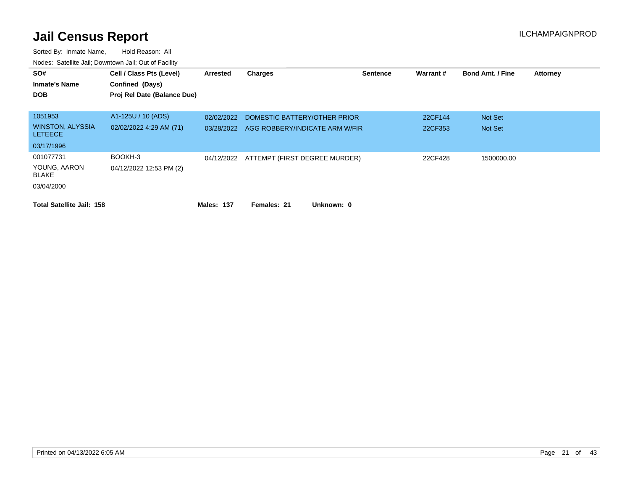| SO#<br><b>Inmate's Name</b><br><b>DOB</b> | Cell / Class Pts (Level)<br>Confined (Days)<br>Proj Rel Date (Balance Due) | Arrested   | <b>Charges</b>                           | <b>Sentence</b> | Warrant# | <b>Bond Amt. / Fine</b> | <b>Attorney</b> |
|-------------------------------------------|----------------------------------------------------------------------------|------------|------------------------------------------|-----------------|----------|-------------------------|-----------------|
| 1051953                                   | A1-125U / 10 (ADS)                                                         | 02/02/2022 | DOMESTIC BATTERY/OTHER PRIOR             |                 | 22CF144  | Not Set                 |                 |
| <b>WINSTON, ALYSSIA</b><br><b>LETEECE</b> | 02/02/2022 4:29 AM (71)                                                    | 03/28/2022 | AGG ROBBERY/INDICATE ARM W/FIR           |                 | 22CF353  | Not Set                 |                 |
| 03/17/1996                                |                                                                            |            |                                          |                 |          |                         |                 |
| 001077731                                 | BOOKH-3                                                                    |            | 04/12/2022 ATTEMPT (FIRST DEGREE MURDER) |                 | 22CF428  | 1500000.00              |                 |
| YOUNG, AARON<br>BLAKE                     | 04/12/2022 12:53 PM (2)                                                    |            |                                          |                 |          |                         |                 |
| 03/04/2000                                |                                                                            |            |                                          |                 |          |                         |                 |
| <b>Total Satellite Jail: 158</b>          |                                                                            | Males: 137 | Females: 21<br>Unknown: 0                |                 |          |                         |                 |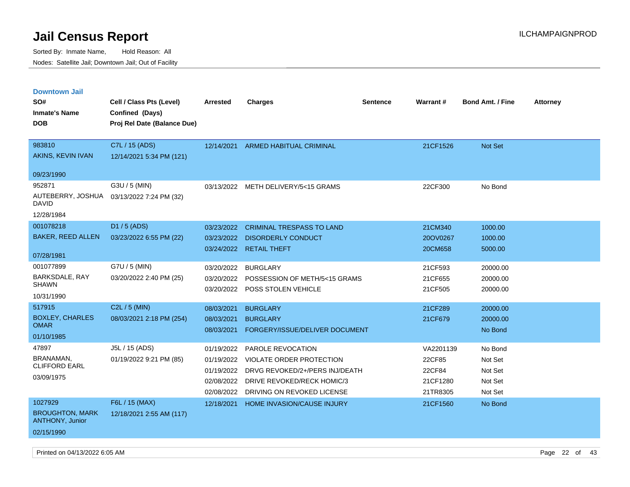| <b>Downtown Jail</b>                             |                             |            |                                     |                 |                 |                         |                 |
|--------------------------------------------------|-----------------------------|------------|-------------------------------------|-----------------|-----------------|-------------------------|-----------------|
| SO#                                              | Cell / Class Pts (Level)    | Arrested   | <b>Charges</b>                      | <b>Sentence</b> | <b>Warrant#</b> | <b>Bond Amt. / Fine</b> | <b>Attorney</b> |
| <b>Inmate's Name</b>                             | <b>Confined (Days)</b>      |            |                                     |                 |                 |                         |                 |
| <b>DOB</b>                                       | Proj Rel Date (Balance Due) |            |                                     |                 |                 |                         |                 |
|                                                  |                             |            |                                     |                 |                 |                         |                 |
| 983810                                           | C7L / 15 (ADS)              | 12/14/2021 | <b>ARMED HABITUAL CRIMINAL</b>      |                 | 21CF1526        | Not Set                 |                 |
| AKINS, KEVIN IVAN                                | 12/14/2021 5:34 PM (121)    |            |                                     |                 |                 |                         |                 |
| 09/23/1990                                       |                             |            |                                     |                 |                 |                         |                 |
| 952871                                           | G3U / 5 (MIN)               |            | 03/13/2022 METH DELIVERY/5<15 GRAMS |                 | 22CF300         | No Bond                 |                 |
| AUTEBERRY, JOSHUA<br><b>DAVID</b>                | 03/13/2022 7:24 PM (32)     |            |                                     |                 |                 |                         |                 |
| 12/28/1984                                       |                             |            |                                     |                 |                 |                         |                 |
| 001078218                                        | D1 / 5 (ADS)                | 03/23/2022 | <b>CRIMINAL TRESPASS TO LAND</b>    |                 | 21CM340         | 1000.00                 |                 |
| <b>BAKER, REED ALLEN</b>                         | 03/23/2022 6:55 PM (22)     | 03/23/2022 | <b>DISORDERLY CONDUCT</b>           |                 | 20OV0267        | 1000.00                 |                 |
|                                                  |                             | 03/24/2022 | <b>RETAIL THEFT</b>                 |                 | 20CM658         | 5000.00                 |                 |
| 07/28/1981                                       |                             |            |                                     |                 |                 |                         |                 |
| 001077899                                        | G7U / 5 (MIN)               | 03/20/2022 | <b>BURGLARY</b>                     |                 | 21CF593         | 20000.00                |                 |
| BARKSDALE, RAY<br><b>SHAWN</b>                   | 03/20/2022 2:40 PM (25)     | 03/20/2022 | POSSESSION OF METH/5<15 GRAMS       |                 | 21CF655         | 20000.00                |                 |
|                                                  |                             | 03/20/2022 | POSS STOLEN VEHICLE                 |                 | 21CF505         | 20000.00                |                 |
| 10/31/1990                                       |                             |            |                                     |                 |                 |                         |                 |
| 517915                                           | C2L / 5 (MIN)               | 08/03/2021 | <b>BURGLARY</b>                     |                 | 21CF289         | 20000.00                |                 |
| <b>BOXLEY, CHARLES</b><br><b>OMAR</b>            | 08/03/2021 2:18 PM (254)    | 08/03/2021 | <b>BURGLARY</b>                     |                 | 21CF679         | 20000.00                |                 |
| 01/10/1985                                       |                             | 08/03/2021 | FORGERY/ISSUE/DELIVER DOCUMENT      |                 |                 | No Bond                 |                 |
| 47897                                            | J5L / 15 (ADS)              | 01/19/2022 | PAROLE REVOCATION                   |                 | VA2201139       | No Bond                 |                 |
| BRANAMAN,                                        | 01/19/2022 9:21 PM (85)     | 01/19/2022 | <b>VIOLATE ORDER PROTECTION</b>     |                 | 22CF85          | Not Set                 |                 |
| <b>CLIFFORD EARL</b>                             |                             | 01/19/2022 | DRVG REVOKED/2+/PERS INJ/DEATH      |                 | 22CF84          | Not Set                 |                 |
| 03/09/1975                                       |                             | 02/08/2022 | DRIVE REVOKED/RECK HOMIC/3          |                 | 21CF1280        | Not Set                 |                 |
|                                                  |                             | 02/08/2022 | DRIVING ON REVOKED LICENSE          |                 | 21TR8305        | Not Set                 |                 |
| 1027929                                          | F6L / 15 (MAX)              | 12/18/2021 | HOME INVASION/CAUSE INJURY          |                 | 21CF1560        | No Bond                 |                 |
| <b>BROUGHTON, MARK</b><br><b>ANTHONY, Junior</b> | 12/18/2021 2:55 AM (117)    |            |                                     |                 |                 |                         |                 |
| 02/15/1990                                       |                             |            |                                     |                 |                 |                         |                 |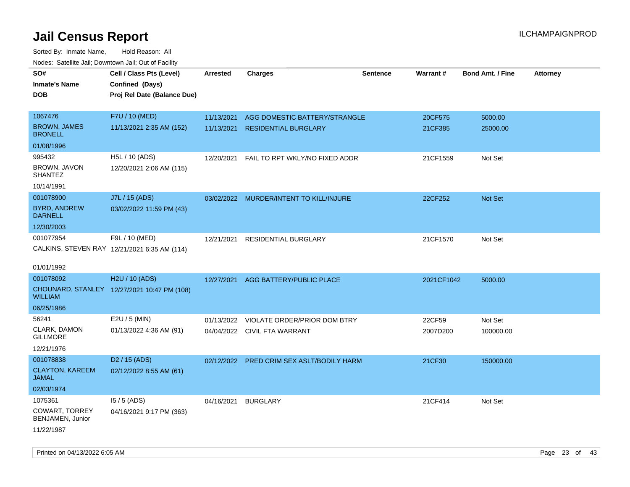| roaco. Odichile Jan, Downtown Jan, Out of Facility |                                              |                 |                                           |                 |            |                         |                 |
|----------------------------------------------------|----------------------------------------------|-----------------|-------------------------------------------|-----------------|------------|-------------------------|-----------------|
| SO#                                                | Cell / Class Pts (Level)                     | <b>Arrested</b> | <b>Charges</b>                            | <b>Sentence</b> | Warrant#   | <b>Bond Amt. / Fine</b> | <b>Attorney</b> |
| <b>Inmate's Name</b>                               | Confined (Days)                              |                 |                                           |                 |            |                         |                 |
| <b>DOB</b>                                         | Proj Rel Date (Balance Due)                  |                 |                                           |                 |            |                         |                 |
|                                                    |                                              |                 |                                           |                 |            |                         |                 |
| 1067476                                            | F7U / 10 (MED)                               | 11/13/2021      | AGG DOMESTIC BATTERY/STRANGLE             |                 | 20CF575    | 5000.00                 |                 |
| <b>BROWN, JAMES</b><br><b>BRONELL</b>              | 11/13/2021 2:35 AM (152)                     | 11/13/2021      | <b>RESIDENTIAL BURGLARY</b>               |                 | 21CF385    | 25000.00                |                 |
| 01/08/1996                                         |                                              |                 |                                           |                 |            |                         |                 |
| 995432                                             | H5L / 10 (ADS)                               | 12/20/2021      | FAIL TO RPT WKLY/NO FIXED ADDR            |                 | 21CF1559   | Not Set                 |                 |
| BROWN, JAVON<br><b>SHANTEZ</b>                     | 12/20/2021 2:06 AM (115)                     |                 |                                           |                 |            |                         |                 |
| 10/14/1991                                         |                                              |                 |                                           |                 |            |                         |                 |
| 001078900                                          | J7L / 15 (ADS)                               |                 | 03/02/2022 MURDER/INTENT TO KILL/INJURE   |                 | 22CF252    | <b>Not Set</b>          |                 |
| <b>BYRD, ANDREW</b><br><b>DARNELL</b>              | 03/02/2022 11:59 PM (43)                     |                 |                                           |                 |            |                         |                 |
| 12/30/2003                                         |                                              |                 |                                           |                 |            |                         |                 |
| 001077954                                          | F9L / 10 (MED)                               | 12/21/2021      | RESIDENTIAL BURGLARY                      |                 | 21CF1570   | Not Set                 |                 |
|                                                    | CALKINS, STEVEN RAY 12/21/2021 6:35 AM (114) |                 |                                           |                 |            |                         |                 |
|                                                    |                                              |                 |                                           |                 |            |                         |                 |
| 01/01/1992                                         |                                              |                 |                                           |                 |            |                         |                 |
| 001078092                                          | H2U / 10 (ADS)                               | 12/27/2021      | AGG BATTERY/PUBLIC PLACE                  |                 | 2021CF1042 | 5000.00                 |                 |
| <b>WILLIAM</b>                                     | CHOUNARD, STANLEY 12/27/2021 10:47 PM (108)  |                 |                                           |                 |            |                         |                 |
| 06/25/1986                                         |                                              |                 |                                           |                 |            |                         |                 |
| 56241                                              | E2U / 5 (MIN)                                | 01/13/2022      | VIOLATE ORDER/PRIOR DOM BTRY              |                 | 22CF59     | Not Set                 |                 |
| CLARK, DAMON<br><b>GILLMORE</b>                    | 01/13/2022 4:36 AM (91)                      |                 | 04/04/2022 CIVIL FTA WARRANT              |                 | 2007D200   | 100000.00               |                 |
| 12/21/1976                                         |                                              |                 |                                           |                 |            |                         |                 |
| 001078838                                          | D <sub>2</sub> / 15 (ADS)                    |                 | 02/12/2022 PRED CRIM SEX ASLT/BODILY HARM |                 | 21CF30     | 150000.00               |                 |
| <b>CLAYTON, KAREEM</b><br>JAMAL                    | 02/12/2022 8:55 AM (61)                      |                 |                                           |                 |            |                         |                 |
| 02/03/1974                                         |                                              |                 |                                           |                 |            |                         |                 |
| 1075361                                            | $15/5$ (ADS)                                 | 04/16/2021      | <b>BURGLARY</b>                           |                 | 21CF414    | Not Set                 |                 |
| <b>COWART, TORREY</b><br>BENJAMEN, Junior          | 04/16/2021 9:17 PM (363)                     |                 |                                           |                 |            |                         |                 |
| 11/22/1987                                         |                                              |                 |                                           |                 |            |                         |                 |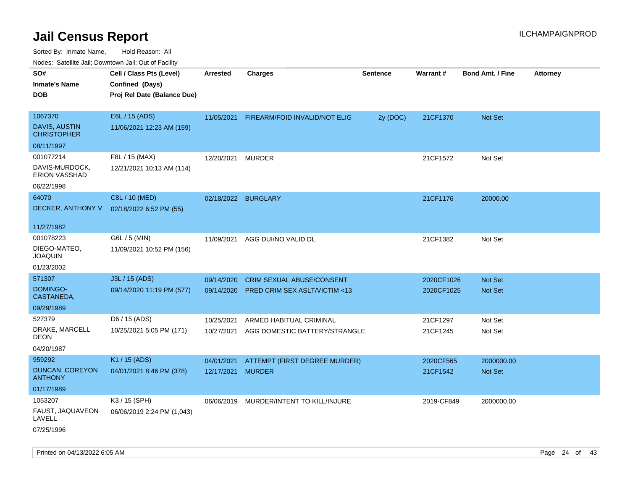| Noues. Salemie Jan, Downtown Jan, Out of Facility |                             |                   |                                         |                 |            |                         |          |
|---------------------------------------------------|-----------------------------|-------------------|-----------------------------------------|-----------------|------------|-------------------------|----------|
| SO#                                               | Cell / Class Pts (Level)    | <b>Arrested</b>   | <b>Charges</b>                          | <b>Sentence</b> | Warrant#   | <b>Bond Amt. / Fine</b> | Attorney |
| <b>Inmate's Name</b>                              | Confined (Days)             |                   |                                         |                 |            |                         |          |
| <b>DOB</b>                                        | Proj Rel Date (Balance Due) |                   |                                         |                 |            |                         |          |
|                                                   |                             |                   |                                         |                 |            |                         |          |
| 1067370                                           | E6L / 15 (ADS)              | 11/05/2021        | FIREARM/FOID INVALID/NOT ELIG           | 2y (DOC)        | 21CF1370   | Not Set                 |          |
| <b>DAVIS, AUSTIN</b><br><b>CHRISTOPHER</b>        | 11/06/2021 12:23 AM (159)   |                   |                                         |                 |            |                         |          |
| 08/11/1997                                        |                             |                   |                                         |                 |            |                         |          |
| 001077214                                         | F8L / 15 (MAX)              | 12/20/2021        | <b>MURDER</b>                           |                 | 21CF1572   | Not Set                 |          |
| DAVIS-MURDOCK,<br>ERION VASSHAD                   | 12/21/2021 10:13 AM (114)   |                   |                                         |                 |            |                         |          |
| 06/22/1998                                        |                             |                   |                                         |                 |            |                         |          |
| 64070                                             | C8L / 10 (MED)              |                   | 02/18/2022 BURGLARY                     |                 | 21CF1176   | 20000.00                |          |
| DECKER, ANTHONY V                                 | 02/18/2022 6:52 PM (55)     |                   |                                         |                 |            |                         |          |
|                                                   |                             |                   |                                         |                 |            |                         |          |
| 11/27/1982                                        |                             |                   |                                         |                 |            |                         |          |
| 001078223                                         | G6L / 5 (MIN)               | 11/09/2021        | AGG DUI/NO VALID DL                     |                 | 21CF1382   | Not Set                 |          |
| DIEGO-MATEO,<br><b>JOAQUIN</b>                    | 11/09/2021 10:52 PM (156)   |                   |                                         |                 |            |                         |          |
| 01/23/2002                                        |                             |                   |                                         |                 |            |                         |          |
| 571307                                            | J3L / 15 (ADS)              | 09/14/2020        | CRIM SEXUAL ABUSE/CONSENT               |                 | 2020CF1026 | Not Set                 |          |
| DOMINGO-<br>CASTANEDA,                            | 09/14/2020 11:19 PM (577)   | 09/14/2020        | <b>PRED CRIM SEX ASLT/VICTIM &lt;13</b> |                 | 2020CF1025 | <b>Not Set</b>          |          |
| 09/29/1989                                        |                             |                   |                                         |                 |            |                         |          |
| 527379                                            | D6 / 15 (ADS)               | 10/25/2021        | ARMED HABITUAL CRIMINAL                 |                 | 21CF1297   | Not Set                 |          |
| DRAKE, MARCELL<br><b>DEON</b>                     | 10/25/2021 5:05 PM (171)    | 10/27/2021        | AGG DOMESTIC BATTERY/STRANGLE           |                 | 21CF1245   | Not Set                 |          |
| 04/20/1987                                        |                             |                   |                                         |                 |            |                         |          |
| 959292                                            | K1 / 15 (ADS)               | 04/01/2021        | ATTEMPT (FIRST DEGREE MURDER)           |                 | 2020CF565  | 2000000.00              |          |
| <b>DUNCAN, COREYON</b><br><b>ANTHONY</b>          | 04/01/2021 8:46 PM (378)    | 12/17/2021 MURDER |                                         |                 | 21CF1542   | Not Set                 |          |
| 01/17/1989                                        |                             |                   |                                         |                 |            |                         |          |
| 1053207                                           | K3 / 15 (SPH)               | 06/06/2019        | MURDER/INTENT TO KILL/INJURE            |                 | 2019-CF849 | 2000000.00              |          |
| FAUST, JAQUAVEON<br>LAVELL                        | 06/06/2019 2:24 PM (1,043)  |                   |                                         |                 |            |                         |          |
| 07/25/1996                                        |                             |                   |                                         |                 |            |                         |          |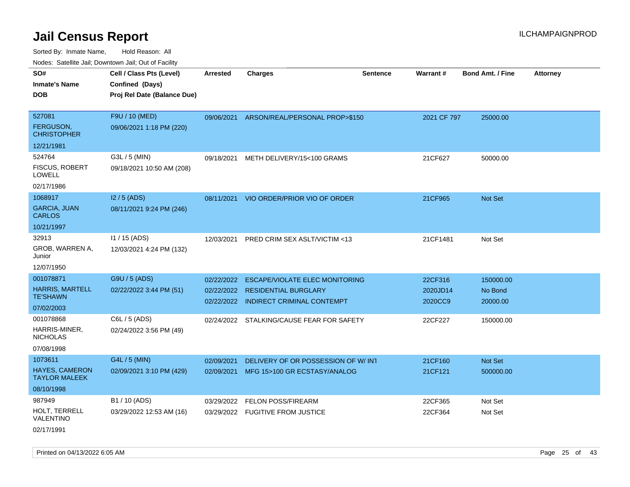| SO#                                    | Cell / Class Pts (Level)    | <b>Arrested</b> | <b>Charges</b>                            | <b>Sentence</b> | Warrant#    | <b>Bond Amt. / Fine</b> | <b>Attorney</b> |
|----------------------------------------|-----------------------------|-----------------|-------------------------------------------|-----------------|-------------|-------------------------|-----------------|
| <b>Inmate's Name</b>                   | Confined (Days)             |                 |                                           |                 |             |                         |                 |
| <b>DOB</b>                             | Proj Rel Date (Balance Due) |                 |                                           |                 |             |                         |                 |
|                                        |                             |                 |                                           |                 |             |                         |                 |
| 527081                                 | F9U / 10 (MED)              |                 | 09/06/2021 ARSON/REAL/PERSONAL PROP>\$150 |                 | 2021 CF 797 | 25000.00                |                 |
| <b>FERGUSON,</b><br><b>CHRISTOPHER</b> | 09/06/2021 1:18 PM (220)    |                 |                                           |                 |             |                         |                 |
| 12/21/1981                             |                             |                 |                                           |                 |             |                         |                 |
| 524764                                 | G3L / 5 (MIN)               | 09/18/2021      | METH DELIVERY/15<100 GRAMS                |                 | 21CF627     | 50000.00                |                 |
| FISCUS, ROBERT<br>LOWELL               | 09/18/2021 10:50 AM (208)   |                 |                                           |                 |             |                         |                 |
| 02/17/1986                             |                             |                 |                                           |                 |             |                         |                 |
| 1068917                                | $12/5$ (ADS)                |                 | 08/11/2021 VIO ORDER/PRIOR VIO OF ORDER   |                 | 21CF965     | Not Set                 |                 |
| <b>GARCIA, JUAN</b><br><b>CARLOS</b>   | 08/11/2021 9:24 PM (246)    |                 |                                           |                 |             |                         |                 |
| 10/21/1997                             |                             |                 |                                           |                 |             |                         |                 |
| 32913                                  | $11 / 15$ (ADS)             | 12/03/2021      | PRED CRIM SEX ASLT/VICTIM <13             |                 | 21CF1481    | Not Set                 |                 |
| GROB, WARREN A,<br>Junior              | 12/03/2021 4:24 PM (132)    |                 |                                           |                 |             |                         |                 |
| 12/07/1950                             |                             |                 |                                           |                 |             |                         |                 |
| 001078871                              | G9U / 5 (ADS)               | 02/22/2022      | <b>ESCAPE/VIOLATE ELEC MONITORING</b>     |                 | 22CF316     | 150000.00               |                 |
| <b>HARRIS, MARTELL</b>                 | 02/22/2022 3:44 PM (51)     |                 | 02/22/2022 RESIDENTIAL BURGLARY           |                 | 2020JD14    | No Bond                 |                 |
| <b>TE'SHAWN</b>                        |                             |                 | 02/22/2022 INDIRECT CRIMINAL CONTEMPT     |                 | 2020CC9     | 20000.00                |                 |
| 07/02/2003                             |                             |                 |                                           |                 |             |                         |                 |
| 001078868                              | C6L / 5 (ADS)               |                 | 02/24/2022 STALKING/CAUSE FEAR FOR SAFETY |                 | 22CF227     | 150000.00               |                 |
| HARRIS-MINER,<br><b>NICHOLAS</b>       | 02/24/2022 3:56 PM (49)     |                 |                                           |                 |             |                         |                 |
| 07/08/1998                             |                             |                 |                                           |                 |             |                         |                 |
| 1073611                                | G4L / 5 (MIN)               | 02/09/2021      | DELIVERY OF OR POSSESSION OF W/ INT       |                 | 21CF160     | Not Set                 |                 |
| HAYES, CAMERON<br><b>TAYLOR MALEEK</b> | 02/09/2021 3:10 PM (429)    | 02/09/2021      | MFG 15>100 GR ECSTASY/ANALOG              |                 | 21CF121     | 500000.00               |                 |
| 08/10/1998                             |                             |                 |                                           |                 |             |                         |                 |
| 987949                                 | B1 / 10 (ADS)               | 03/29/2022      | <b>FELON POSS/FIREARM</b>                 |                 | 22CF365     | Not Set                 |                 |
| HOLT, TERRELL<br>VALENTINO             | 03/29/2022 12:53 AM (16)    |                 | 03/29/2022 FUGITIVE FROM JUSTICE          |                 | 22CF364     | Not Set                 |                 |
| 02/17/1991                             |                             |                 |                                           |                 |             |                         |                 |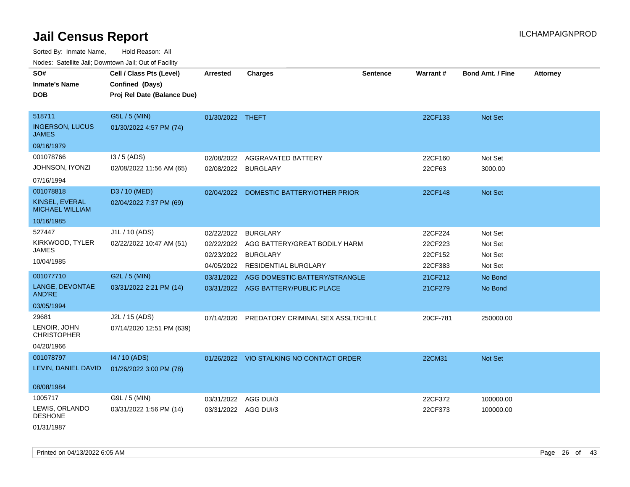Sorted By: Inmate Name, Hold Reason: All

Nodes: Satellite Jail; Downtown Jail; Out of Facility

| SO#<br><b>Inmate's Name</b><br><b>DOB</b>                           | Cell / Class Pts (Level)<br>Confined (Days)<br>Proj Rel Date (Balance Due) | <b>Arrested</b>                        | <b>Charges</b>                                                                                         | <b>Sentence</b> | Warrant#                                 | <b>Bond Amt. / Fine</b>                  | <b>Attorney</b> |
|---------------------------------------------------------------------|----------------------------------------------------------------------------|----------------------------------------|--------------------------------------------------------------------------------------------------------|-----------------|------------------------------------------|------------------------------------------|-----------------|
| 518711<br><b>INGERSON, LUCUS</b><br><b>JAMES</b><br>09/16/1979      | G5L / 5 (MIN)<br>01/30/2022 4:57 PM (74)                                   | 01/30/2022 THEFT                       |                                                                                                        |                 | 22CF133                                  | Not Set                                  |                 |
| 001078766<br>JOHNSON, IYONZI<br>07/16/1994                          | $13/5$ (ADS)<br>02/08/2022 11:56 AM (65)                                   | 02/08/2022<br>02/08/2022 BURGLARY      | AGGRAVATED BATTERY                                                                                     |                 | 22CF160<br>22CF63                        | Not Set<br>3000.00                       |                 |
| 001078818<br>KINSEL, EVERAL<br><b>MICHAEL WILLIAM</b><br>10/16/1985 | D3 / 10 (MED)<br>02/04/2022 7:37 PM (69)                                   |                                        | 02/04/2022 DOMESTIC BATTERY/OTHER PRIOR                                                                |                 | 22CF148                                  | Not Set                                  |                 |
| 527447<br>KIRKWOOD, TYLER<br><b>JAMES</b><br>10/04/1985             | J1L / 10 (ADS)<br>02/22/2022 10:47 AM (51)                                 | 02/22/2022<br>02/22/2022<br>02/23/2022 | <b>BURGLARY</b><br>AGG BATTERY/GREAT BODILY HARM<br><b>BURGLARY</b><br>04/05/2022 RESIDENTIAL BURGLARY |                 | 22CF224<br>22CF223<br>22CF152<br>22CF383 | Not Set<br>Not Set<br>Not Set<br>Not Set |                 |
| 001077710<br>LANGE, DEVONTAE<br><b>AND'RE</b><br>03/05/1994         | G2L / 5 (MIN)<br>03/31/2022 2:21 PM (14)                                   | 03/31/2022                             | AGG DOMESTIC BATTERY/STRANGLE<br>03/31/2022 AGG BATTERY/PUBLIC PLACE                                   |                 | 21CF212<br>21CF279                       | No Bond<br>No Bond                       |                 |
| 29681<br>LENOIR, JOHN<br><b>CHRISTOPHER</b><br>04/20/1966           | J2L / 15 (ADS)<br>07/14/2020 12:51 PM (639)                                | 07/14/2020                             | PREDATORY CRIMINAL SEX ASSLT/CHILE                                                                     |                 | 20CF-781                                 | 250000.00                                |                 |
| 001078797<br>LEVIN, DANIEL DAVID<br>08/08/1984                      | 14 / 10 (ADS)<br>01/26/2022 3:00 PM (78)                                   |                                        | 01/26/2022 VIO STALKING NO CONTACT ORDER                                                               |                 | 22CM31                                   | Not Set                                  |                 |
| 1005717<br>LEWIS, ORLANDO<br><b>DESHONE</b><br>01/31/1987           | G9L / 5 (MIN)<br>03/31/2022 1:56 PM (14)                                   | 03/31/2022<br>03/31/2022 AGG DUI/3     | AGG DUI/3                                                                                              |                 | 22CF372<br>22CF373                       | 100000.00<br>100000.00                   |                 |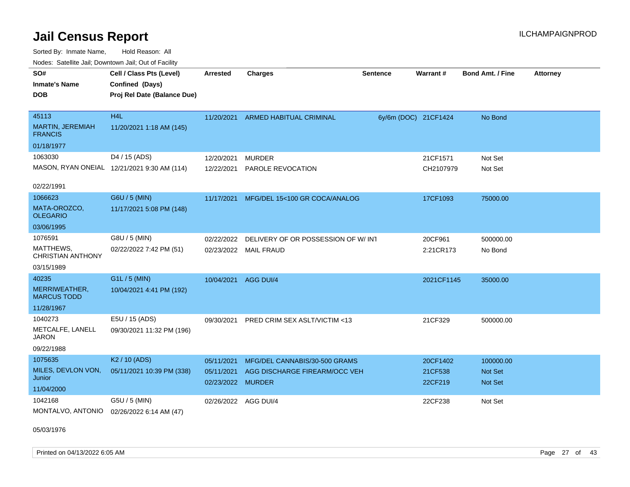Sorted By: Inmate Name, Hold Reason: All Nodes: Satellite Jail; Downtown Jail; Out of Facility

| SO#<br><b>Inmate's Name</b><br><b>DOB</b>                      | Cell / Class Pts (Level)<br>Confined (Days)<br>Proj Rel Date (Balance Due) | <b>Arrested</b>                               | <b>Charges</b>                                                 | <b>Sentence</b>      | <b>Warrant#</b>                | <b>Bond Amt. / Fine</b>                | <b>Attorney</b> |
|----------------------------------------------------------------|----------------------------------------------------------------------------|-----------------------------------------------|----------------------------------------------------------------|----------------------|--------------------------------|----------------------------------------|-----------------|
| 45113<br>MARTIN, JEREMIAH<br><b>FRANCIS</b>                    | H <sub>4</sub> L<br>11/20/2021 1:18 AM (145)                               | 11/20/2021                                    | <b>ARMED HABITUAL CRIMINAL</b>                                 | 6y/6m (DOC) 21CF1424 |                                | No Bond                                |                 |
| 01/18/1977                                                     |                                                                            |                                               |                                                                |                      |                                |                                        |                 |
| 1063030                                                        | D4 / 15 (ADS)<br>MASON, RYAN ONEIAL 12/21/2021 9:30 AM (114)               | 12/20/2021<br>12/22/2021                      | <b>MURDER</b><br>PAROLE REVOCATION                             |                      | 21CF1571<br>CH2107979          | Not Set<br>Not Set                     |                 |
| 02/22/1991                                                     |                                                                            |                                               |                                                                |                      |                                |                                        |                 |
| 1066623<br>MATA-OROZCO,<br><b>OLEGARIO</b>                     | G6U / 5 (MIN)<br>11/17/2021 5:08 PM (148)                                  | 11/17/2021                                    | MFG/DEL 15<100 GR COCA/ANALOG                                  |                      | 17CF1093                       | 75000.00                               |                 |
| 03/06/1995                                                     |                                                                            |                                               |                                                                |                      |                                |                                        |                 |
| 1076591<br>MATTHEWS,<br><b>CHRISTIAN ANTHONY</b><br>03/15/1989 | G8U / 5 (MIN)<br>02/22/2022 7:42 PM (51)                                   | 02/22/2022                                    | DELIVERY OF OR POSSESSION OF W/INT<br>02/23/2022 MAIL FRAUD    |                      | 20CF961<br>2:21CR173           | 500000.00<br>No Bond                   |                 |
| 40235<br>MERRIWEATHER,<br><b>MARCUS TODD</b>                   | G1L / 5 (MIN)<br>10/04/2021 4:41 PM (192)                                  | 10/04/2021                                    | AGG DUI/4                                                      |                      | 2021CF1145                     | 35000.00                               |                 |
| 11/28/1967                                                     |                                                                            |                                               |                                                                |                      |                                |                                        |                 |
| 1040273<br>METCALFE, LANELL<br><b>JARON</b><br>09/22/1988      | E5U / 15 (ADS)<br>09/30/2021 11:32 PM (196)                                | 09/30/2021                                    | PRED CRIM SEX ASLT/VICTIM <13                                  |                      | 21CF329                        | 500000.00                              |                 |
| 1075635<br>MILES, DEVLON VON,<br>Junior<br>11/04/2000          | K <sub>2</sub> / 10 (ADS)<br>05/11/2021 10:39 PM (338)                     | 05/11/2021<br>05/11/2021<br>02/23/2022 MURDER | MFG/DEL CANNABIS/30-500 GRAMS<br>AGG DISCHARGE FIREARM/OCC VEH |                      | 20CF1402<br>21CF538<br>22CF219 | 100000.00<br><b>Not Set</b><br>Not Set |                 |
| 1042168<br>MONTALVO, ANTONIO                                   | G5U / 5 (MIN)<br>02/26/2022 6:14 AM (47)                                   | 02/26/2022 AGG DUI/4                          |                                                                |                      | 22CF238                        | Not Set                                |                 |

05/03/1976

Printed on 04/13/2022 6:05 AM Page 27 of 43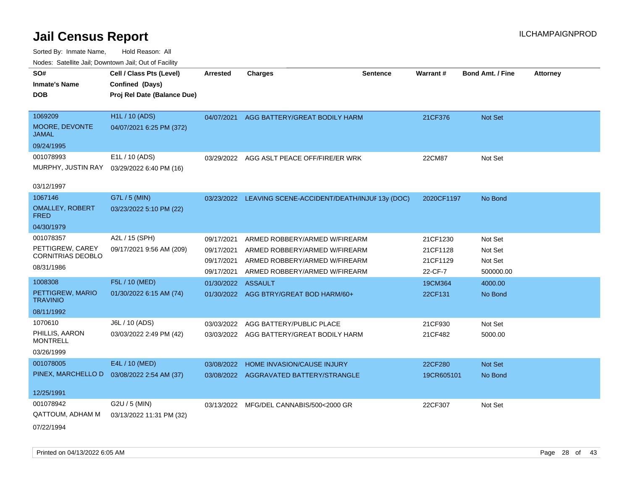| rouco. Calcinic Jan, Downtown Jan, Out of Facility |                                                                            |                          |                                                                |                 |                      |                         |                 |
|----------------------------------------------------|----------------------------------------------------------------------------|--------------------------|----------------------------------------------------------------|-----------------|----------------------|-------------------------|-----------------|
| SO#<br><b>Inmate's Name</b><br><b>DOB</b>          | Cell / Class Pts (Level)<br>Confined (Days)<br>Proj Rel Date (Balance Due) | <b>Arrested</b>          | <b>Charges</b>                                                 | <b>Sentence</b> | <b>Warrant#</b>      | <b>Bond Amt. / Fine</b> | <b>Attorney</b> |
| 1069209<br>MOORE, DEVONTE<br>JAMAL                 | <b>H1L / 10 (ADS)</b><br>04/07/2021 6:25 PM (372)                          | 04/07/2021               | AGG BATTERY/GREAT BODILY HARM                                  |                 | 21CF376              | Not Set                 |                 |
| 09/24/1995                                         |                                                                            |                          |                                                                |                 |                      |                         |                 |
| 001078993<br>MURPHY, JUSTIN RAY<br>03/12/1997      | E1L / 10 (ADS)<br>03/29/2022 6:40 PM (16)                                  |                          | 03/29/2022 AGG ASLT PEACE OFF/FIRE/ER WRK                      |                 | 22CM87               | Not Set                 |                 |
| 1067146                                            | G7L / 5 (MIN)                                                              |                          |                                                                |                 |                      |                         |                 |
| <b>OMALLEY, ROBERT</b><br>FRED                     | 03/23/2022 5:10 PM (22)                                                    | 03/23/2022               | LEAVING SCENE-ACCIDENT/DEATH/INJUF 13y (DOC)                   |                 | 2020CF1197           | No Bond                 |                 |
| 04/30/1979                                         |                                                                            |                          |                                                                |                 |                      |                         |                 |
| 001078357                                          | A2L / 15 (SPH)                                                             | 09/17/2021               | ARMED ROBBERY/ARMED W/FIREARM                                  |                 | 21CF1230             | Not Set                 |                 |
| PETTIGREW, CAREY<br><b>CORNITRIAS DEOBLO</b>       | 09/17/2021 9:56 AM (209)                                                   | 09/17/2021<br>09/17/2021 | ARMED ROBBERY/ARMED W/FIREARM<br>ARMED ROBBERY/ARMED W/FIREARM |                 | 21CF1128<br>21CF1129 | Not Set<br>Not Set      |                 |
| 08/31/1986                                         |                                                                            | 09/17/2021               | ARMED ROBBERY/ARMED W/FIREARM                                  |                 | 22-CF-7              | 500000.00               |                 |
| 1008308                                            | F5L / 10 (MED)                                                             | 01/30/2022               | <b>ASSAULT</b>                                                 |                 | 19CM364              | 4000.00                 |                 |
| PETTIGREW, MARIO<br><b>TRAVINIO</b>                | 01/30/2022 6:15 AM (74)                                                    | 01/30/2022               | AGG BTRY/GREAT BOD HARM/60+                                    |                 | 22CF131              | No Bond                 |                 |
| 08/11/1992                                         |                                                                            |                          |                                                                |                 |                      |                         |                 |
| 1070610                                            | J6L / 10 (ADS)                                                             | 03/03/2022               | AGG BATTERY/PUBLIC PLACE                                       |                 | 21CF930              | Not Set                 |                 |
| PHILLIS, AARON<br><b>MONTRELL</b>                  | 03/03/2022 2:49 PM (42)                                                    | 03/03/2022               | AGG BATTERY/GREAT BODILY HARM                                  |                 | 21CF482              | 5000.00                 |                 |
| 03/26/1999                                         |                                                                            |                          |                                                                |                 |                      |                         |                 |
| 001078005                                          | E4L / 10 (MED)                                                             | 03/08/2022               | <b>HOME INVASION/CAUSE INJURY</b>                              |                 | 22CF280              | <b>Not Set</b>          |                 |
| PINEX, MARCHELLO D                                 | 03/08/2022 2:54 AM (37)                                                    | 03/08/2022               | AGGRAVATED BATTERY/STRANGLE                                    |                 | 19CR605101           | No Bond                 |                 |
| 12/25/1991                                         |                                                                            |                          |                                                                |                 |                      |                         |                 |
| 001078942<br>QATTOUM, ADHAM M                      | G2U / 5 (MIN)<br>03/13/2022 11:31 PM (32)                                  |                          | 03/13/2022 MFG/DEL CANNABIS/500<2000 GR                        |                 | 22CF307              | Not Set                 |                 |
| 07/22/1994                                         |                                                                            |                          |                                                                |                 |                      |                         |                 |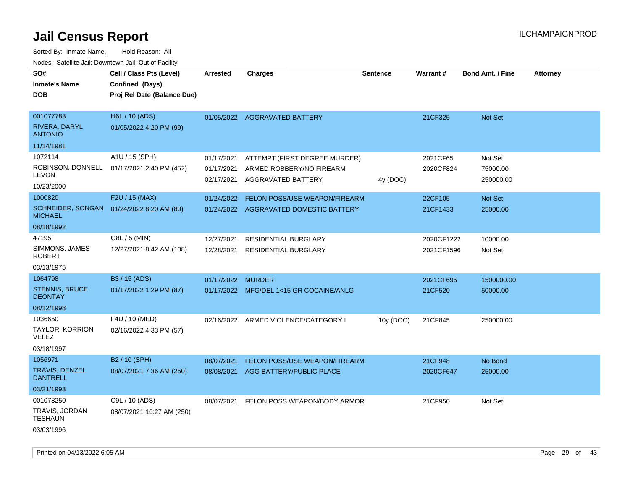| rougs. Calcing Jan, Downtown Jan, Out of Facility |                                                                            |                          |                                                |                 |                 |                         |                 |
|---------------------------------------------------|----------------------------------------------------------------------------|--------------------------|------------------------------------------------|-----------------|-----------------|-------------------------|-----------------|
| SO#<br><b>Inmate's Name</b><br><b>DOB</b>         | Cell / Class Pts (Level)<br>Confined (Days)<br>Proj Rel Date (Balance Due) | <b>Arrested</b>          | <b>Charges</b>                                 | <b>Sentence</b> | <b>Warrant#</b> | <b>Bond Amt. / Fine</b> | <b>Attorney</b> |
|                                                   |                                                                            |                          |                                                |                 |                 |                         |                 |
| 001077783                                         | H6L / 10 (ADS)                                                             |                          | 01/05/2022 AGGRAVATED BATTERY                  |                 | 21CF325         | Not Set                 |                 |
| RIVERA, DARYL<br><b>ANTONIO</b>                   | 01/05/2022 4:20 PM (99)                                                    |                          |                                                |                 |                 |                         |                 |
| 11/14/1981                                        |                                                                            |                          |                                                |                 |                 |                         |                 |
| 1072114                                           | A1U / 15 (SPH)                                                             | 01/17/2021               | ATTEMPT (FIRST DEGREE MURDER)                  |                 | 2021CF65        | Not Set                 |                 |
| LEVON                                             | ROBINSON, DONNELL 01/17/2021 2:40 PM (452)                                 | 01/17/2021<br>02/17/2021 | ARMED ROBBERY/NO FIREARM<br>AGGRAVATED BATTERY | 4y (DOC)        | 2020CF824       | 75000.00<br>250000.00   |                 |
| 10/23/2000                                        |                                                                            |                          |                                                |                 |                 |                         |                 |
| 1000820                                           | F2U / 15 (MAX)                                                             | 01/24/2022               | <b>FELON POSS/USE WEAPON/FIREARM</b>           |                 | 22CF105         | Not Set                 |                 |
| <b>MICHAEL</b>                                    | SCHNEIDER, SONGAN 01/24/2022 8:20 AM (80)                                  |                          | 01/24/2022 AGGRAVATED DOMESTIC BATTERY         |                 | 21CF1433        | 25000.00                |                 |
| 08/18/1992                                        |                                                                            |                          |                                                |                 |                 |                         |                 |
| 47195                                             | G8L / 5 (MIN)                                                              | 12/27/2021               | <b>RESIDENTIAL BURGLARY</b>                    |                 | 2020CF1222      | 10000.00                |                 |
| SIMMONS, JAMES<br>ROBERT                          | 12/27/2021 8:42 AM (108)                                                   | 12/28/2021               | <b>RESIDENTIAL BURGLARY</b>                    |                 | 2021CF1596      | Not Set                 |                 |
| 03/13/1975                                        |                                                                            |                          |                                                |                 |                 |                         |                 |
| 1064798                                           | B3 / 15 (ADS)                                                              | 01/17/2022 MURDER        |                                                |                 | 2021CF695       | 1500000.00              |                 |
| <b>STENNIS, BRUCE</b><br><b>DEONTAY</b>           | 01/17/2022 1:29 PM (87)                                                    |                          | 01/17/2022 MFG/DEL 1<15 GR COCAINE/ANLG        |                 | 21CF520         | 50000.00                |                 |
| 08/12/1998                                        |                                                                            |                          |                                                |                 |                 |                         |                 |
| 1036650                                           | F4U / 10 (MED)                                                             |                          | 02/16/2022 ARMED VIOLENCE/CATEGORY I           | 10y (DOC)       | 21CF845         | 250000.00               |                 |
| TAYLOR, KORRION<br>VELEZ                          | 02/16/2022 4:33 PM (57)                                                    |                          |                                                |                 |                 |                         |                 |
| 03/18/1997                                        |                                                                            |                          |                                                |                 |                 |                         |                 |
| 1056971                                           | B2 / 10 (SPH)                                                              | 08/07/2021               | FELON POSS/USE WEAPON/FIREARM                  |                 | 21CF948         | No Bond                 |                 |
| <b>TRAVIS, DENZEL</b><br><b>DANTRELL</b>          | 08/07/2021 7:36 AM (250)                                                   | 08/08/2021               | AGG BATTERY/PUBLIC PLACE                       |                 | 2020CF647       | 25000.00                |                 |
| 03/21/1993                                        |                                                                            |                          |                                                |                 |                 |                         |                 |
| 001078250                                         | C9L / 10 (ADS)                                                             | 08/07/2021               | FELON POSS WEAPON/BODY ARMOR                   |                 | 21CF950         | Not Set                 |                 |
| TRAVIS, JORDAN<br>TESHAUN                         | 08/07/2021 10:27 AM (250)                                                  |                          |                                                |                 |                 |                         |                 |
| 03/03/1996                                        |                                                                            |                          |                                                |                 |                 |                         |                 |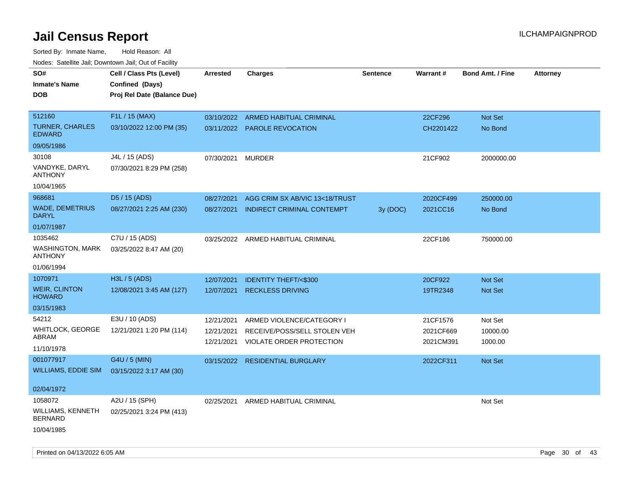| roaco. Catolino cali, Domntonn cali, Out of Facility |                             |            |                                    |                 |           |                         |                 |
|------------------------------------------------------|-----------------------------|------------|------------------------------------|-----------------|-----------|-------------------------|-----------------|
| SO#                                                  | Cell / Class Pts (Level)    | Arrested   | <b>Charges</b>                     | <b>Sentence</b> | Warrant#  | <b>Bond Amt. / Fine</b> | <b>Attorney</b> |
| <b>Inmate's Name</b>                                 | Confined (Days)             |            |                                    |                 |           |                         |                 |
| <b>DOB</b>                                           | Proj Rel Date (Balance Due) |            |                                    |                 |           |                         |                 |
|                                                      |                             |            |                                    |                 |           |                         |                 |
| 512160                                               | F1L / 15 (MAX)              |            | 03/10/2022 ARMED HABITUAL CRIMINAL |                 | 22CF296   | Not Set                 |                 |
| <b>TURNER, CHARLES</b><br><b>EDWARD</b>              | 03/10/2022 12:00 PM (35)    |            | 03/11/2022 PAROLE REVOCATION       |                 | CH2201422 | No Bond                 |                 |
| 09/05/1986                                           |                             |            |                                    |                 |           |                         |                 |
| 30108                                                | J4L / 15 (ADS)              | 07/30/2021 | <b>MURDER</b>                      |                 | 21CF902   | 2000000.00              |                 |
| VANDYKE, DARYL<br><b>ANTHONY</b>                     | 07/30/2021 8:29 PM (258)    |            |                                    |                 |           |                         |                 |
| 10/04/1965                                           |                             |            |                                    |                 |           |                         |                 |
| 968681                                               | D5 / 15 (ADS)               | 08/27/2021 | AGG CRIM SX AB/VIC 13<18/TRUST     |                 | 2020CF499 | 250000.00               |                 |
| <b>WADE, DEMETRIUS</b><br><b>DARYL</b>               | 08/27/2021 2:25 AM (230)    | 08/27/2021 | INDIRECT CRIMINAL CONTEMPT         | 3y (DOC)        | 2021CC16  | No Bond                 |                 |
| 01/07/1987                                           |                             |            |                                    |                 |           |                         |                 |
| 1035462                                              | C7U / 15 (ADS)              |            | 03/25/2022 ARMED HABITUAL CRIMINAL |                 | 22CF186   | 750000.00               |                 |
| WASHINGTON, MARK<br><b>ANTHONY</b>                   | 03/25/2022 8:47 AM (20)     |            |                                    |                 |           |                         |                 |
| 01/06/1994                                           |                             |            |                                    |                 |           |                         |                 |
| 1070971                                              | H3L / 5 (ADS)               | 12/07/2021 | <b>IDENTITY THEFT/&lt;\$300</b>    |                 | 20CF922   | Not Set                 |                 |
| <b>WEIR, CLINTON</b><br><b>HOWARD</b>                | 12/08/2021 3:45 AM (127)    | 12/07/2021 | <b>RECKLESS DRIVING</b>            |                 | 19TR2348  | Not Set                 |                 |
| 03/15/1983                                           |                             |            |                                    |                 |           |                         |                 |
| 54212                                                | E3U / 10 (ADS)              | 12/21/2021 | ARMED VIOLENCE/CATEGORY I          |                 | 21CF1576  | Not Set                 |                 |
| WHITLOCK, GEORGE                                     | 12/21/2021 1:20 PM (114)    | 12/21/2021 | RECEIVE/POSS/SELL STOLEN VEH       |                 | 2021CF669 | 10000.00                |                 |
| ABRAM                                                |                             | 12/21/2021 | VIOLATE ORDER PROTECTION           |                 | 2021CM391 | 1000.00                 |                 |
| 11/10/1978                                           |                             |            |                                    |                 |           |                         |                 |
| 001077917                                            | G4U / 5 (MIN)               | 03/15/2022 | <b>RESIDENTIAL BURGLARY</b>        |                 | 2022CF311 | <b>Not Set</b>          |                 |
| WILLIAMS, EDDIE SIM                                  | 03/15/2022 3:17 AM (30)     |            |                                    |                 |           |                         |                 |
| 02/04/1972                                           |                             |            |                                    |                 |           |                         |                 |
| 1058072                                              | A2U / 15 (SPH)              | 02/25/2021 | ARMED HABITUAL CRIMINAL            |                 |           | Not Set                 |                 |
| WILLIAMS, KENNETH<br><b>BERNARD</b>                  | 02/25/2021 3:24 PM (413)    |            |                                    |                 |           |                         |                 |
| 10/04/1985                                           |                             |            |                                    |                 |           |                         |                 |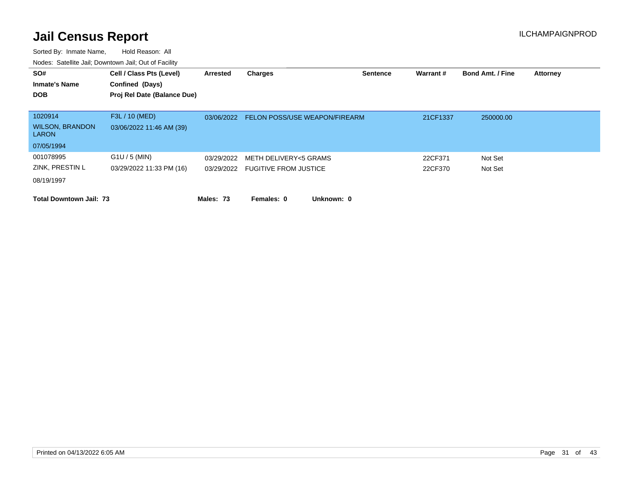| SO#<br><b>Inmate's Name</b><br><b>DOB</b>                       | Cell / Class Pts (Level)<br>Confined (Days)<br>Proj Rel Date (Balance Due) | Arrested   | <b>Charges</b>                                            | <b>Sentence</b> | Warrant#           | <b>Bond Amt. / Fine</b> | <b>Attorney</b> |
|-----------------------------------------------------------------|----------------------------------------------------------------------------|------------|-----------------------------------------------------------|-----------------|--------------------|-------------------------|-----------------|
| 1020914<br><b>WILSON, BRANDON</b><br><b>LARON</b><br>07/05/1994 | F3L / 10 (MED)<br>03/06/2022 11:46 AM (39)                                 | 03/06/2022 | <b>FELON POSS/USE WEAPON/FIREARM</b>                      |                 | 21CF1337           | 250000.00               |                 |
| 001078995<br>ZINK, PRESTIN L<br>08/19/1997                      | $G1U / 5$ (MIN)<br>03/29/2022 11:33 PM (16)                                | 03/29/2022 | METH DELIVERY<5 GRAMS<br>03/29/2022 FUGITIVE FROM JUSTICE |                 | 22CF371<br>22CF370 | Not Set<br>Not Set      |                 |
| <b>Total Downtown Jail: 73</b>                                  |                                                                            | Males: 73  | Females: 0<br>Unknown: 0                                  |                 |                    |                         |                 |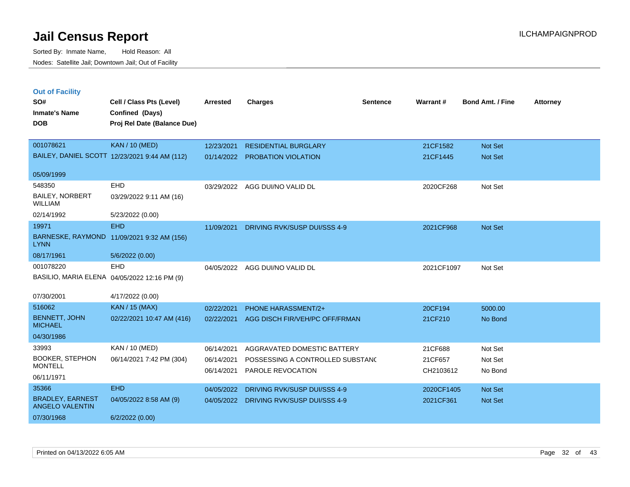| <b>Out of Facility</b> |          |
|------------------------|----------|
| SO#                    | Cell / 0 |
|                        |          |

| SO#                                               | Cell / Class Pts (Level)                      | <b>Arrested</b> | <b>Charges</b>                   | <b>Sentence</b> | Warrant#   | <b>Bond Amt. / Fine</b> | <b>Attorney</b> |
|---------------------------------------------------|-----------------------------------------------|-----------------|----------------------------------|-----------------|------------|-------------------------|-----------------|
| <b>Inmate's Name</b>                              | Confined (Days)                               |                 |                                  |                 |            |                         |                 |
| <b>DOB</b>                                        | Proj Rel Date (Balance Due)                   |                 |                                  |                 |            |                         |                 |
|                                                   |                                               |                 |                                  |                 |            |                         |                 |
| 001078621                                         | <b>KAN / 10 (MED)</b>                         | 12/23/2021      | <b>RESIDENTIAL BURGLARY</b>      |                 | 21CF1582   | Not Set                 |                 |
|                                                   | BAILEY, DANIEL SCOTT 12/23/2021 9:44 AM (112) | 01/14/2022      | <b>PROBATION VIOLATION</b>       |                 | 21CF1445   | Not Set                 |                 |
| 05/09/1999                                        |                                               |                 |                                  |                 |            |                         |                 |
| 548350                                            | <b>EHD</b>                                    | 03/29/2022      | AGG DUI/NO VALID DL              |                 | 2020CF268  | Not Set                 |                 |
| <b>BAILEY, NORBERT</b><br><b>WILLIAM</b>          | 03/29/2022 9:11 AM (16)                       |                 |                                  |                 |            |                         |                 |
| 02/14/1992                                        | 5/23/2022 (0.00)                              |                 |                                  |                 |            |                         |                 |
| 19971                                             | <b>EHD</b>                                    | 11/09/2021      | DRIVING RVK/SUSP DUI/SSS 4-9     |                 | 2021CF968  | Not Set                 |                 |
| <b>LYNN</b>                                       | BARNESKE, RAYMOND 11/09/2021 9:32 AM (156)    |                 |                                  |                 |            |                         |                 |
| 08/17/1961                                        | 5/6/2022 (0.00)                               |                 |                                  |                 |            |                         |                 |
| 001078220                                         | <b>EHD</b>                                    | 04/05/2022      | AGG DUI/NO VALID DL              |                 | 2021CF1097 | Not Set                 |                 |
|                                                   | BASILIO, MARIA ELENA 04/05/2022 12:16 PM (9)  |                 |                                  |                 |            |                         |                 |
| 07/30/2001                                        | 4/17/2022 (0.00)                              |                 |                                  |                 |            |                         |                 |
| 516062                                            | <b>KAN / 15 (MAX)</b>                         | 02/22/2021      | PHONE HARASSMENT/2+              |                 | 20CF194    | 5000.00                 |                 |
| <b>BENNETT, JOHN</b><br><b>MICHAEL</b>            | 02/22/2021 10:47 AM (416)                     | 02/22/2021      | AGG DISCH FIR/VEH/PC OFF/FRMAN   |                 | 21CF210    | No Bond                 |                 |
| 04/30/1986                                        |                                               |                 |                                  |                 |            |                         |                 |
| 33993                                             | KAN / 10 (MED)                                | 06/14/2021      | AGGRAVATED DOMESTIC BATTERY      |                 | 21CF688    | Not Set                 |                 |
| <b>BOOKER, STEPHON</b>                            | 06/14/2021 7:42 PM (304)                      | 06/14/2021      | POSSESSING A CONTROLLED SUBSTANC |                 | 21CF657    | Not Set                 |                 |
| <b>MONTELL</b>                                    |                                               | 06/14/2021      | PAROLE REVOCATION                |                 | CH2103612  | No Bond                 |                 |
| 06/11/1971                                        |                                               |                 |                                  |                 |            |                         |                 |
| 35366                                             | <b>EHD</b>                                    | 04/05/2022      | DRIVING RVK/SUSP DUI/SSS 4-9     |                 | 2020CF1405 | Not Set                 |                 |
| <b>BRADLEY, EARNEST</b><br><b>ANGELO VALENTIN</b> | 04/05/2022 8:58 AM (9)                        | 04/05/2022      | DRIVING RVK/SUSP DUI/SSS 4-9     |                 | 2021CF361  | Not Set                 |                 |
| 07/30/1968                                        | 6/2/2022(0.00)                                |                 |                                  |                 |            |                         |                 |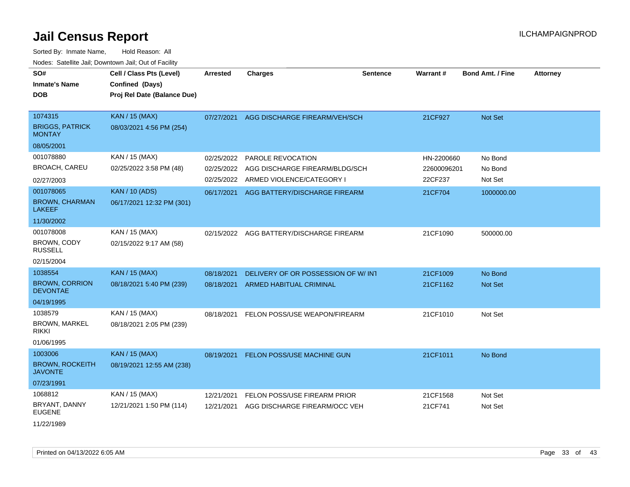| SO#<br><b>Inmate's Name</b><br>DOB                                     | Cell / Class Pts (Level)<br>Confined (Days)<br>Proj Rel Date (Balance Due) | <b>Arrested</b>                        | <b>Charges</b>                                                                   | <b>Sentence</b> | Warrant#                             | <b>Bond Amt. / Fine</b>       | <b>Attorney</b> |
|------------------------------------------------------------------------|----------------------------------------------------------------------------|----------------------------------------|----------------------------------------------------------------------------------|-----------------|--------------------------------------|-------------------------------|-----------------|
| 1074315<br><b>BRIGGS, PATRICK</b><br><b>MONTAY</b>                     | <b>KAN / 15 (MAX)</b><br>08/03/2021 4:56 PM (254)                          | 07/27/2021                             | AGG DISCHARGE FIREARM/VEH/SCH                                                    |                 | 21CF927                              | Not Set                       |                 |
| 08/05/2001                                                             |                                                                            |                                        |                                                                                  |                 |                                      |                               |                 |
| 001078880<br><b>BROACH, CAREU</b>                                      | KAN / 15 (MAX)<br>02/25/2022 3:58 PM (48)                                  | 02/25/2022<br>02/25/2022<br>02/25/2022 | PAROLE REVOCATION<br>AGG DISCHARGE FIREARM/BLDG/SCH<br>ARMED VIOLENCE/CATEGORY I |                 | HN-2200660<br>22600096201<br>22CF237 | No Bond<br>No Bond<br>Not Set |                 |
| 02/27/2003<br>001078065<br><b>BROWN, CHARMAN</b><br><b>LAKEEF</b>      | <b>KAN / 10 (ADS)</b><br>06/17/2021 12:32 PM (301)                         | 06/17/2021                             | AGG BATTERY/DISCHARGE FIREARM                                                    |                 | 21CF704                              | 1000000.00                    |                 |
| 11/30/2002<br>001078008<br>BROWN, CODY<br><b>RUSSELL</b><br>02/15/2004 | KAN / 15 (MAX)<br>02/15/2022 9:17 AM (58)                                  | 02/15/2022                             | AGG BATTERY/DISCHARGE FIREARM                                                    |                 | 21CF1090                             | 500000.00                     |                 |
| 1038554<br><b>BROWN, CORRION</b><br><b>DEVONTAE</b><br>04/19/1995      | <b>KAN / 15 (MAX)</b><br>08/18/2021 5:40 PM (239)                          | 08/18/2021<br>08/18/2021               | DELIVERY OF OR POSSESSION OF W/ INT<br><b>ARMED HABITUAL CRIMINAL</b>            |                 | 21CF1009<br>21CF1162                 | No Bond<br>Not Set            |                 |
| 1038579<br><b>BROWN, MARKEL</b><br>rikki<br>01/06/1995                 | KAN / 15 (MAX)<br>08/18/2021 2:05 PM (239)                                 | 08/18/2021                             | FELON POSS/USE WEAPON/FIREARM                                                    |                 | 21CF1010                             | Not Set                       |                 |
| 1003006<br><b>BROWN, ROCKEITH</b><br><b>JAVONTE</b><br>07/23/1991      | <b>KAN / 15 (MAX)</b><br>08/19/2021 12:55 AM (238)                         | 08/19/2021                             | FELON POSS/USE MACHINE GUN                                                       |                 | 21CF1011                             | No Bond                       |                 |
| 1068812<br>BRYANT, DANNY<br><b>EUGENE</b><br>11/22/1989                | KAN / 15 (MAX)<br>12/21/2021 1:50 PM (114)                                 | 12/21/2021<br>12/21/2021               | FELON POSS/USE FIREARM PRIOR<br>AGG DISCHARGE FIREARM/OCC VEH                    |                 | 21CF1568<br>21CF741                  | Not Set<br>Not Set            |                 |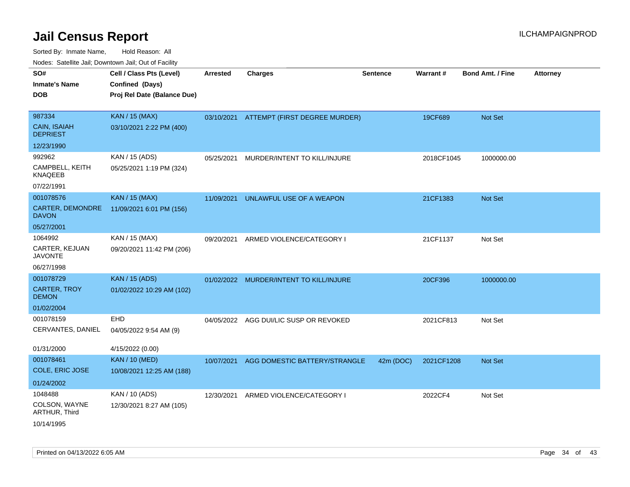| ivouss. Satellite Jali, Downtown Jali, Out of Facility |                             |                 |                                         |                 |            |                         |                 |
|--------------------------------------------------------|-----------------------------|-----------------|-----------------------------------------|-----------------|------------|-------------------------|-----------------|
| SO#                                                    | Cell / Class Pts (Level)    | <b>Arrested</b> | <b>Charges</b>                          | <b>Sentence</b> | Warrant#   | <b>Bond Amt. / Fine</b> | <b>Attorney</b> |
| Inmate's Name                                          | Confined (Days)             |                 |                                         |                 |            |                         |                 |
| DOB                                                    | Proj Rel Date (Balance Due) |                 |                                         |                 |            |                         |                 |
|                                                        |                             |                 |                                         |                 |            |                         |                 |
| 987334                                                 | <b>KAN / 15 (MAX)</b>       | 03/10/2021      | ATTEMPT (FIRST DEGREE MURDER)           |                 | 19CF689    | Not Set                 |                 |
| CAIN, ISAIAH<br><b>DEPRIEST</b>                        | 03/10/2021 2:22 PM (400)    |                 |                                         |                 |            |                         |                 |
| 12/23/1990                                             |                             |                 |                                         |                 |            |                         |                 |
| 992962                                                 | KAN / 15 (ADS)              | 05/25/2021      | MURDER/INTENT TO KILL/INJURE            |                 | 2018CF1045 | 1000000.00              |                 |
| CAMPBELL, KEITH<br>KNAQEEB                             | 05/25/2021 1:19 PM (324)    |                 |                                         |                 |            |                         |                 |
| 07/22/1991                                             |                             |                 |                                         |                 |            |                         |                 |
| 001078576                                              | <b>KAN / 15 (MAX)</b>       | 11/09/2021      | UNLAWFUL USE OF A WEAPON                |                 | 21CF1383   | <b>Not Set</b>          |                 |
| <b>CARTER, DEMONDRE</b><br>DAVON                       | 11/09/2021 6:01 PM (156)    |                 |                                         |                 |            |                         |                 |
| 05/27/2001                                             |                             |                 |                                         |                 |            |                         |                 |
| 1064992                                                | KAN / 15 (MAX)              | 09/20/2021      | ARMED VIOLENCE/CATEGORY I               |                 | 21CF1137   | Not Set                 |                 |
| CARTER, KEJUAN<br>JAVONTE                              | 09/20/2021 11:42 PM (206)   |                 |                                         |                 |            |                         |                 |
| 06/27/1998                                             |                             |                 |                                         |                 |            |                         |                 |
| 001078729                                              | <b>KAN / 15 (ADS)</b>       |                 | 01/02/2022 MURDER/INTENT TO KILL/INJURE |                 | 20CF396    | 1000000.00              |                 |
| CARTER, TROY<br><b>DEMON</b>                           | 01/02/2022 10:29 AM (102)   |                 |                                         |                 |            |                         |                 |
| 01/02/2004                                             |                             |                 |                                         |                 |            |                         |                 |
| 001078159                                              | EHD                         |                 | 04/05/2022 AGG DUI/LIC SUSP OR REVOKED  |                 | 2021CF813  | Not Set                 |                 |
| CERVANTES, DANIEL                                      | 04/05/2022 9:54 AM (9)      |                 |                                         |                 |            |                         |                 |
| 01/31/2000                                             | 4/15/2022 (0.00)            |                 |                                         |                 |            |                         |                 |
| 001078461                                              | <b>KAN / 10 (MED)</b>       | 10/07/2021      | AGG DOMESTIC BATTERY/STRANGLE           | 42m (DOC)       | 2021CF1208 | <b>Not Set</b>          |                 |
| COLE, ERIC JOSE                                        | 10/08/2021 12:25 AM (188)   |                 |                                         |                 |            |                         |                 |
| 01/24/2002                                             |                             |                 |                                         |                 |            |                         |                 |
| 1048488                                                | KAN / 10 (ADS)              | 12/30/2021      | ARMED VIOLENCE/CATEGORY I               |                 | 2022CF4    | Not Set                 |                 |
| COLSON, WAYNE<br>ARTHUR, Third                         | 12/30/2021 8:27 AM (105)    |                 |                                         |                 |            |                         |                 |
| 10/14/1995                                             |                             |                 |                                         |                 |            |                         |                 |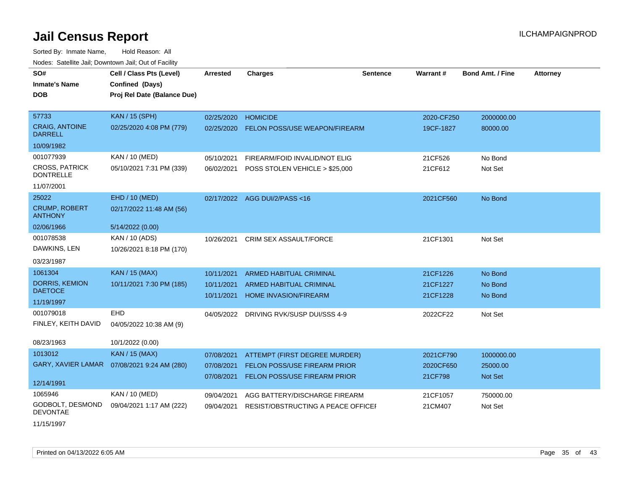| SO#                                       | Cell / Class Pts (Level)                     | <b>Arrested</b> | <b>Charges</b>                     | <b>Sentence</b> | <b>Warrant#</b> | <b>Bond Amt. / Fine</b> | <b>Attorney</b> |
|-------------------------------------------|----------------------------------------------|-----------------|------------------------------------|-----------------|-----------------|-------------------------|-----------------|
| <b>Inmate's Name</b>                      | Confined (Days)                              |                 |                                    |                 |                 |                         |                 |
| <b>DOB</b>                                | Proj Rel Date (Balance Due)                  |                 |                                    |                 |                 |                         |                 |
|                                           |                                              |                 |                                    |                 |                 |                         |                 |
| 57733                                     | <b>KAN / 15 (SPH)</b>                        | 02/25/2020      | <b>HOMICIDE</b>                    |                 | 2020-CF250      | 2000000.00              |                 |
| <b>CRAIG, ANTOINE</b><br><b>DARRELL</b>   | 02/25/2020 4:08 PM (779)                     | 02/25/2020      | FELON POSS/USE WEAPON/FIREARM      |                 | 19CF-1827       | 80000.00                |                 |
| 10/09/1982                                |                                              |                 |                                    |                 |                 |                         |                 |
| 001077939                                 | KAN / 10 (MED)                               | 05/10/2021      | FIREARM/FOID INVALID/NOT ELIG      |                 | 21CF526         | No Bond                 |                 |
| <b>CROSS, PATRICK</b><br><b>DONTRELLE</b> | 05/10/2021 7:31 PM (339)                     | 06/02/2021      | POSS STOLEN VEHICLE > \$25,000     |                 | 21CF612         | Not Set                 |                 |
| 11/07/2001                                |                                              |                 |                                    |                 |                 |                         |                 |
| 25022                                     | EHD / 10 (MED)                               |                 | 02/17/2022 AGG DUI/2/PASS<16       |                 | 2021CF560       | No Bond                 |                 |
| <b>CRUMP, ROBERT</b><br><b>ANTHONY</b>    | 02/17/2022 11:48 AM (56)                     |                 |                                    |                 |                 |                         |                 |
| 02/06/1966                                | 5/14/2022 (0.00)                             |                 |                                    |                 |                 |                         |                 |
| 001078538                                 | KAN / 10 (ADS)                               | 10/26/2021      | <b>CRIM SEX ASSAULT/FORCE</b>      |                 | 21CF1301        | Not Set                 |                 |
| DAWKINS, LEN                              | 10/26/2021 8:18 PM (170)                     |                 |                                    |                 |                 |                         |                 |
| 03/23/1987                                |                                              |                 |                                    |                 |                 |                         |                 |
| 1061304                                   | <b>KAN / 15 (MAX)</b>                        | 10/11/2021      | <b>ARMED HABITUAL CRIMINAL</b>     |                 | 21CF1226        | No Bond                 |                 |
| <b>DORRIS, KEMION</b>                     | 10/11/2021 7:30 PM (185)                     | 10/11/2021      | ARMED HABITUAL CRIMINAL            |                 | 21CF1227        | No Bond                 |                 |
| <b>DAETOCE</b>                            |                                              | 10/11/2021      | <b>HOME INVASION/FIREARM</b>       |                 | 21CF1228        | No Bond                 |                 |
| 11/19/1997                                |                                              |                 |                                    |                 |                 |                         |                 |
| 001079018                                 | <b>EHD</b>                                   | 04/05/2022      | DRIVING RVK/SUSP DUI/SSS 4-9       |                 | 2022CF22        | Not Set                 |                 |
| FINLEY, KEITH DAVID                       | 04/05/2022 10:38 AM (9)                      |                 |                                    |                 |                 |                         |                 |
| 08/23/1963                                | 10/1/2022 (0.00)                             |                 |                                    |                 |                 |                         |                 |
| 1013012                                   | <b>KAN / 15 (MAX)</b>                        | 07/08/2021      | ATTEMPT (FIRST DEGREE MURDER)      |                 | 2021CF790       | 1000000.00              |                 |
|                                           | GARY, XAVIER LAMAR  07/08/2021 9:24 AM (280) | 07/08/2021      | FELON POSS/USE FIREARM PRIOR       |                 | 2020CF650       | 25000.00                |                 |
|                                           |                                              | 07/08/2021      | FELON POSS/USE FIREARM PRIOR       |                 | 21CF798         | Not Set                 |                 |
| 12/14/1991                                |                                              |                 |                                    |                 |                 |                         |                 |
| 1065946                                   | KAN / 10 (MED)                               | 09/04/2021      | AGG BATTERY/DISCHARGE FIREARM      |                 | 21CF1057        | 750000.00               |                 |
| GODBOLT, DESMOND<br><b>DEVONTAE</b>       | 09/04/2021 1:17 AM (222)                     | 09/04/2021      | RESIST/OBSTRUCTING A PEACE OFFICEL |                 | 21CM407         | Not Set                 |                 |
| 11/15/1997                                |                                              |                 |                                    |                 |                 |                         |                 |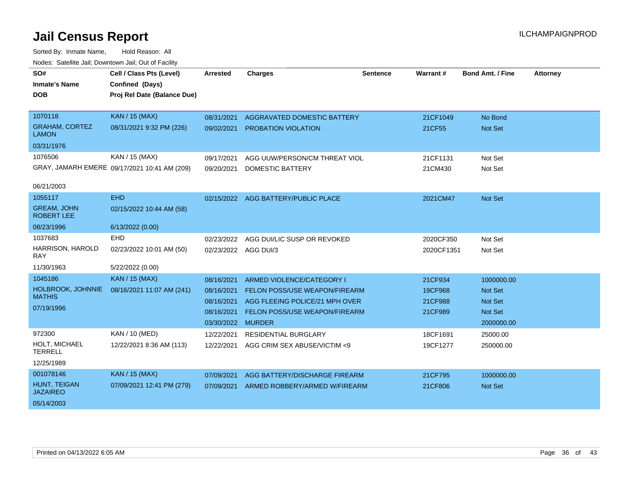| SO#<br><b>Inmate's Name</b><br><b>DOB</b>                        | Cell / Class Pts (Level)<br>Confined (Days)<br>Proj Rel Date (Balance Due) | <b>Arrested</b>                                                           | <b>Charges</b>                                                                                                                              | <b>Sentence</b> | <b>Warrant#</b>                          | <b>Bond Amt. / Fine</b>                                                        | <b>Attorney</b> |
|------------------------------------------------------------------|----------------------------------------------------------------------------|---------------------------------------------------------------------------|---------------------------------------------------------------------------------------------------------------------------------------------|-----------------|------------------------------------------|--------------------------------------------------------------------------------|-----------------|
| 1070118<br><b>GRAHAM, CORTEZ</b><br><b>LAMON</b>                 | <b>KAN / 15 (MAX)</b><br>08/31/2021 9:32 PM (226)                          | 08/31/2021<br>09/02/2021                                                  | AGGRAVATED DOMESTIC BATTERY<br><b>PROBATION VIOLATION</b>                                                                                   |                 | 21CF1049<br>21CF55                       | No Bond<br>Not Set                                                             |                 |
| 03/31/1976<br>1076506<br>06/21/2003                              | KAN / 15 (MAX)<br>GRAY, JAMARH EMERE 09/17/2021 10:41 AM (209)             | 09/17/2021<br>09/20/2021                                                  | AGG UUW/PERSON/CM THREAT VIOL<br><b>DOMESTIC BATTERY</b>                                                                                    |                 | 21CF1131<br>21CM430                      | Not Set<br>Not Set                                                             |                 |
| 1055117<br><b>GREAM, JOHN</b><br><b>ROBERT LEE</b><br>08/23/1996 | <b>EHD</b><br>02/15/2022 10:44 AM (58)<br>6/13/2022 (0.00)                 |                                                                           | 02/15/2022 AGG BATTERY/PUBLIC PLACE                                                                                                         |                 | 2021CM47                                 | <b>Not Set</b>                                                                 |                 |
| 1037683<br>HARRISON, HAROLD<br><b>RAY</b><br>11/30/1963          | <b>EHD</b><br>02/23/2022 10:01 AM (50)<br>5/22/2022 (0.00)                 | 02/23/2022<br>02/23/2022 AGG DUI/3                                        | AGG DUI/LIC SUSP OR REVOKED                                                                                                                 |                 | 2020CF350<br>2020CF1351                  | Not Set<br>Not Set                                                             |                 |
| 1045186<br>HOLBROOK, JOHNNIE<br><b>MATHIS</b><br>07/19/1996      | <b>KAN / 15 (MAX)</b><br>08/16/2021 11:07 AM (241)                         | 08/16/2021<br>08/16/2021<br>08/16/2021<br>08/16/2021<br>03/30/2022 MURDER | ARMED VIOLENCE/CATEGORY I<br><b>FELON POSS/USE WEAPON/FIREARM</b><br>AGG FLEEING POLICE/21 MPH OVER<br><b>FELON POSS/USE WEAPON/FIREARM</b> |                 | 21CF934<br>19CF968<br>21CF988<br>21CF989 | 1000000.00<br><b>Not Set</b><br><b>Not Set</b><br><b>Not Set</b><br>2000000.00 |                 |
| 972300<br>HOLT, MICHAEL<br><b>TERRELL</b><br>12/25/1989          | KAN / 10 (MED)<br>12/22/2021 8:36 AM (113)                                 | 12/22/2021<br>12/22/2021                                                  | RESIDENTIAL BURGLARY<br>AGG CRIM SEX ABUSE/VICTIM <9                                                                                        |                 | 18CF1691<br>19CF1277                     | 25000.00<br>250000.00                                                          |                 |
| 001078146<br>HUNT, TEIGAN<br><b>JAZAIREO</b><br>05/14/2003       | <b>KAN / 15 (MAX)</b><br>07/09/2021 12:41 PM (279)                         | 07/09/2021<br>07/09/2021                                                  | AGG BATTERY/DISCHARGE FIREARM<br>ARMED ROBBERY/ARMED W/FIREARM                                                                              |                 | 21CF795<br>21CF806                       | 1000000.00<br><b>Not Set</b>                                                   |                 |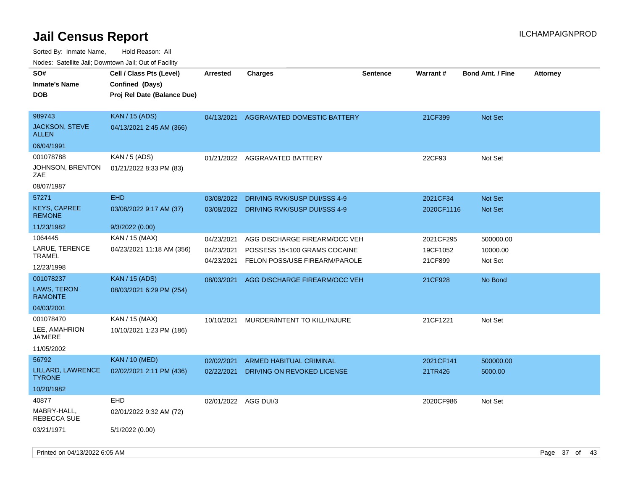| roaco. Calcinio dan, Downtown dan, Oal or Fability              |                                                                            |                                        |                                                                                                |                 |                                  |                                  |                 |
|-----------------------------------------------------------------|----------------------------------------------------------------------------|----------------------------------------|------------------------------------------------------------------------------------------------|-----------------|----------------------------------|----------------------------------|-----------------|
| SO#<br>Inmate's Name<br><b>DOB</b>                              | Cell / Class Pts (Level)<br>Confined (Days)<br>Proj Rel Date (Balance Due) | <b>Arrested</b>                        | <b>Charges</b>                                                                                 | <b>Sentence</b> | Warrant#                         | <b>Bond Amt. / Fine</b>          | <b>Attorney</b> |
| 989743<br>JACKSON, STEVE<br>ALLEN                               | <b>KAN / 15 (ADS)</b><br>04/13/2021 2:45 AM (366)                          | 04/13/2021                             | <b>AGGRAVATED DOMESTIC BATTERY</b>                                                             |                 | 21CF399                          | <b>Not Set</b>                   |                 |
| 06/04/1991                                                      |                                                                            |                                        |                                                                                                |                 |                                  |                                  |                 |
| 001078788<br>JOHNSON, BRENTON<br>ZAE<br>08/07/1987              | KAN / 5 (ADS)<br>01/21/2022 8:33 PM (83)                                   |                                        | 01/21/2022 AGGRAVATED BATTERY                                                                  |                 | 22CF93                           | Not Set                          |                 |
| 57271                                                           | <b>EHD</b>                                                                 |                                        |                                                                                                |                 |                                  |                                  |                 |
| <b>KEYS, CAPREE</b><br><b>REMONE</b>                            | 03/08/2022 9:17 AM (37)                                                    | 03/08/2022<br>03/08/2022               | DRIVING RVK/SUSP DUI/SSS 4-9<br>DRIVING RVK/SUSP DUI/SSS 4-9                                   |                 | 2021CF34<br>2020CF1116           | <b>Not Set</b><br><b>Not Set</b> |                 |
| 11/23/1982                                                      | 9/3/2022 (0.00)                                                            |                                        |                                                                                                |                 |                                  |                                  |                 |
| 1064445<br>LARUE, TERENCE<br>TRAMEL<br>12/23/1998               | KAN / 15 (MAX)<br>04/23/2021 11:18 AM (356)                                | 04/23/2021<br>04/23/2021<br>04/23/2021 | AGG DISCHARGE FIREARM/OCC VEH<br>POSSESS 15<100 GRAMS COCAINE<br>FELON POSS/USE FIREARM/PAROLE |                 | 2021CF295<br>19CF1052<br>21CF899 | 500000.00<br>10000.00<br>Not Set |                 |
| 001078237<br><b>LAWS, TERON</b><br><b>RAMONTE</b><br>04/03/2001 | <b>KAN / 15 (ADS)</b><br>08/03/2021 6:29 PM (254)                          | 08/03/2021                             | AGG DISCHARGE FIREARM/OCC VEH                                                                  |                 | 21CF928                          | No Bond                          |                 |
| 001078470<br>LEE, AMAHRION<br>JA'MERE<br>11/05/2002             | KAN / 15 (MAX)<br>10/10/2021 1:23 PM (186)                                 | 10/10/2021                             | MURDER/INTENT TO KILL/INJURE                                                                   |                 | 21CF1221                         | Not Set                          |                 |
| 56792                                                           | <b>KAN / 10 (MED)</b>                                                      | 02/02/2021                             | ARMED HABITUAL CRIMINAL                                                                        |                 | 2021CF141                        | 500000.00                        |                 |
| LILLARD, LAWRENCE<br>TYRONE.                                    | 02/02/2021 2:11 PM (436)                                                   | 02/22/2021                             | DRIVING ON REVOKED LICENSE                                                                     |                 | 21TR426                          | 5000.00                          |                 |
| 10/20/1982                                                      |                                                                            |                                        |                                                                                                |                 |                                  |                                  |                 |
| 40877<br>MABRY-HALL,<br>REBECCA SUE                             | <b>EHD</b><br>02/01/2022 9:32 AM (72)                                      | 02/01/2022 AGG DUI/3                   |                                                                                                |                 | 2020CF986                        | Not Set                          |                 |
| 03/21/1971                                                      | 5/1/2022 (0.00)                                                            |                                        |                                                                                                |                 |                                  |                                  |                 |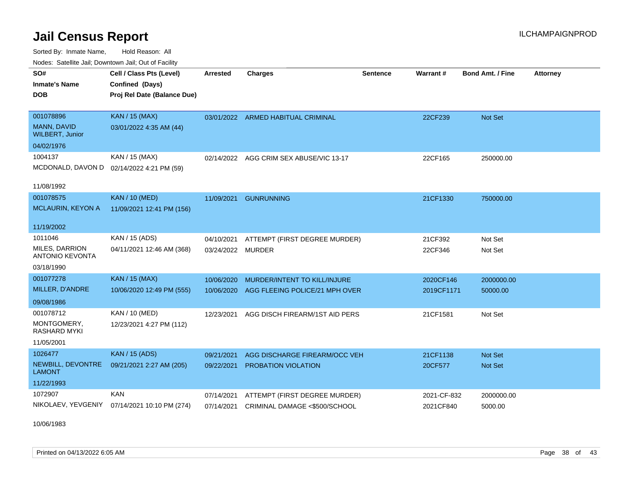Sorted By: Inmate Name, Hold Reason: All Nodes: Satellite Jail; Downtown Jail; Out of Facility

| <b>Neget Calculus Vall, Downlown Vall, Out of Fability</b> |                                           |                   |                                         |                 |             |                         |                 |
|------------------------------------------------------------|-------------------------------------------|-------------------|-----------------------------------------|-----------------|-------------|-------------------------|-----------------|
| SO#                                                        | Cell / Class Pts (Level)                  | <b>Arrested</b>   | <b>Charges</b>                          | <b>Sentence</b> | Warrant#    | <b>Bond Amt. / Fine</b> | <b>Attorney</b> |
| <b>Inmate's Name</b>                                       | Confined (Days)                           |                   |                                         |                 |             |                         |                 |
| <b>DOB</b>                                                 | Proj Rel Date (Balance Due)               |                   |                                         |                 |             |                         |                 |
|                                                            |                                           |                   |                                         |                 |             |                         |                 |
| 001078896                                                  | <b>KAN / 15 (MAX)</b>                     |                   | 03/01/2022 ARMED HABITUAL CRIMINAL      |                 | 22CF239     | Not Set                 |                 |
| MANN, DAVID<br><b>WILBERT, Junior</b>                      | 03/01/2022 4:35 AM (44)                   |                   |                                         |                 |             |                         |                 |
| 04/02/1976                                                 |                                           |                   |                                         |                 |             |                         |                 |
| 1004137                                                    | KAN / 15 (MAX)                            |                   | 02/14/2022 AGG CRIM SEX ABUSE/VIC 13-17 |                 | 22CF165     | 250000.00               |                 |
|                                                            | MCDONALD, DAVON D 02/14/2022 4:21 PM (59) |                   |                                         |                 |             |                         |                 |
|                                                            |                                           |                   |                                         |                 |             |                         |                 |
| 11/08/1992                                                 |                                           |                   |                                         |                 |             |                         |                 |
| 001078575                                                  | <b>KAN / 10 (MED)</b>                     | 11/09/2021        | <b>GUNRUNNING</b>                       |                 | 21CF1330    | 750000.00               |                 |
| <b>MCLAURIN, KEYON A</b>                                   | 11/09/2021 12:41 PM (156)                 |                   |                                         |                 |             |                         |                 |
|                                                            |                                           |                   |                                         |                 |             |                         |                 |
| 11/19/2002                                                 |                                           |                   |                                         |                 |             |                         |                 |
| 1011046                                                    | KAN / 15 (ADS)                            | 04/10/2021        | ATTEMPT (FIRST DEGREE MURDER)           |                 | 21CF392     | Not Set                 |                 |
| MILES, DARRION<br><b>ANTONIO KEVONTA</b>                   | 04/11/2021 12:46 AM (368)                 | 03/24/2022 MURDER |                                         |                 | 22CF346     | Not Set                 |                 |
| 03/18/1990                                                 |                                           |                   |                                         |                 |             |                         |                 |
| 001077278                                                  | <b>KAN / 15 (MAX)</b>                     | 10/06/2020        | MURDER/INTENT TO KILL/INJURE            |                 | 2020CF146   | 2000000.00              |                 |
| MILLER, D'ANDRE                                            | 10/06/2020 12:49 PM (555)                 | 10/06/2020        | AGG FLEEING POLICE/21 MPH OVER          |                 | 2019CF1171  | 50000.00                |                 |
| 09/08/1986                                                 |                                           |                   |                                         |                 |             |                         |                 |
| 001078712                                                  | KAN / 10 (MED)                            | 12/23/2021        | AGG DISCH FIREARM/1ST AID PERS          |                 | 21CF1581    | Not Set                 |                 |
| MONTGOMERY,<br>RASHARD MYKI                                | 12/23/2021 4:27 PM (112)                  |                   |                                         |                 |             |                         |                 |
| 11/05/2001                                                 |                                           |                   |                                         |                 |             |                         |                 |
| 1026477                                                    | <b>KAN / 15 (ADS)</b>                     | 09/21/2021        | AGG DISCHARGE FIREARM/OCC VEH           |                 | 21CF1138    | <b>Not Set</b>          |                 |
| NEWBILL, DEVONTRE<br><b>LAMONT</b>                         | 09/21/2021 2:27 AM (205)                  | 09/22/2021        | <b>PROBATION VIOLATION</b>              |                 | 20CF577     | Not Set                 |                 |
| 11/22/1993                                                 |                                           |                   |                                         |                 |             |                         |                 |
| 1072907                                                    | <b>KAN</b>                                | 07/14/2021        | ATTEMPT (FIRST DEGREE MURDER)           |                 | 2021-CF-832 | 2000000.00              |                 |
| NIKOLAEV, YEVGENIY                                         | 07/14/2021 10:10 PM (274)                 | 07/14/2021        | CRIMINAL DAMAGE <\$500/SCHOOL           |                 | 2021CF840   | 5000.00                 |                 |

10/06/1983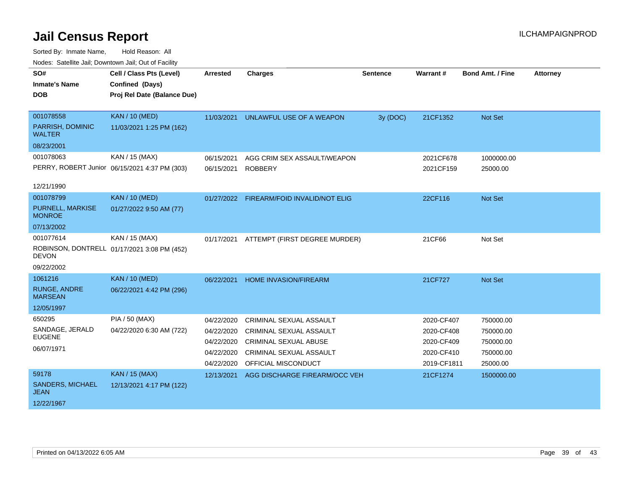| Noucs. Calcillity sail, Downtown sail, Out of Facility |                                               |                 |                                          |                 |             |                         |                 |
|--------------------------------------------------------|-----------------------------------------------|-----------------|------------------------------------------|-----------------|-------------|-------------------------|-----------------|
| SO#                                                    | Cell / Class Pts (Level)                      | <b>Arrested</b> | <b>Charges</b>                           | <b>Sentence</b> | Warrant#    | <b>Bond Amt. / Fine</b> | <b>Attorney</b> |
| <b>Inmate's Name</b>                                   | Confined (Days)                               |                 |                                          |                 |             |                         |                 |
| DOB                                                    | Proj Rel Date (Balance Due)                   |                 |                                          |                 |             |                         |                 |
|                                                        |                                               |                 |                                          |                 |             |                         |                 |
| 001078558                                              | <b>KAN / 10 (MED)</b>                         | 11/03/2021      | UNLAWFUL USE OF A WEAPON                 | 3y (DOC)        | 21CF1352    | Not Set                 |                 |
| PARRISH, DOMINIC<br><b>WALTER</b>                      | 11/03/2021 1:25 PM (162)                      |                 |                                          |                 |             |                         |                 |
| 08/23/2001                                             |                                               |                 |                                          |                 |             |                         |                 |
| 001078063                                              | KAN / 15 (MAX)                                | 06/15/2021      | AGG CRIM SEX ASSAULT/WEAPON              |                 | 2021CF678   | 1000000.00              |                 |
|                                                        | PERRY, ROBERT Junior 06/15/2021 4:37 PM (303) | 06/15/2021      | <b>ROBBERY</b>                           |                 | 2021CF159   | 25000.00                |                 |
|                                                        |                                               |                 |                                          |                 |             |                         |                 |
| 12/21/1990                                             |                                               |                 |                                          |                 |             |                         |                 |
| 001078799                                              | <b>KAN / 10 (MED)</b>                         |                 | 01/27/2022 FIREARM/FOID INVALID/NOT ELIG |                 | 22CF116     | Not Set                 |                 |
| <b>PURNELL, MARKISE</b><br><b>MONROE</b>               | 01/27/2022 9:50 AM (77)                       |                 |                                          |                 |             |                         |                 |
| 07/13/2002                                             |                                               |                 |                                          |                 |             |                         |                 |
| 001077614                                              | KAN / 15 (MAX)                                | 01/17/2021      | ATTEMPT (FIRST DEGREE MURDER)            |                 | 21CF66      | Not Set                 |                 |
| <b>DEVON</b>                                           | ROBINSON, DONTRELL 01/17/2021 3:08 PM (452)   |                 |                                          |                 |             |                         |                 |
| 09/22/2002                                             |                                               |                 |                                          |                 |             |                         |                 |
| 1061216                                                | <b>KAN / 10 (MED)</b>                         | 06/22/2021      | <b>HOME INVASION/FIREARM</b>             |                 | 21CF727     | <b>Not Set</b>          |                 |
| <b>RUNGE, ANDRE</b><br><b>MARSEAN</b>                  | 06/22/2021 4:42 PM (296)                      |                 |                                          |                 |             |                         |                 |
| 12/05/1997                                             |                                               |                 |                                          |                 |             |                         |                 |
| 650295                                                 | PIA / 50 (MAX)                                | 04/22/2020      | <b>CRIMINAL SEXUAL ASSAULT</b>           |                 | 2020-CF407  | 750000.00               |                 |
| SANDAGE, JERALD                                        | 04/22/2020 6:30 AM (722)                      | 04/22/2020      | <b>CRIMINAL SEXUAL ASSAULT</b>           |                 | 2020-CF408  | 750000.00               |                 |
| <b>EUGENE</b>                                          |                                               | 04/22/2020      | <b>CRIMINAL SEXUAL ABUSE</b>             |                 | 2020-CF409  | 750000.00               |                 |
| 06/07/1971                                             |                                               | 04/22/2020      | <b>CRIMINAL SEXUAL ASSAULT</b>           |                 | 2020-CF410  | 750000.00               |                 |
|                                                        |                                               | 04/22/2020      | OFFICIAL MISCONDUCT                      |                 | 2019-CF1811 | 25000.00                |                 |
| 59178                                                  | <b>KAN / 15 (MAX)</b>                         | 12/13/2021      | AGG DISCHARGE FIREARM/OCC VEH            |                 | 21CF1274    | 1500000.00              |                 |
| <b>SANDERS, MICHAEL</b><br><b>JEAN</b>                 | 12/13/2021 4:17 PM (122)                      |                 |                                          |                 |             |                         |                 |
| 12/22/1967                                             |                                               |                 |                                          |                 |             |                         |                 |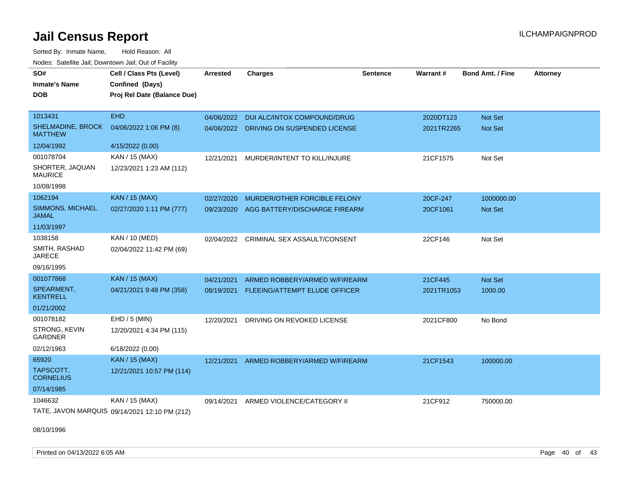Sorted By: Inmate Name, Hold Reason: All Nodes: Satellite Jail; Downtown Jail; Out of Facility

| SO#                                        | Cell / Class Pts (Level)                      | <b>Arrested</b> | <b>Charges</b>                          | <b>Sentence</b> | Warrant#   | <b>Bond Amt. / Fine</b> | <b>Attorney</b> |
|--------------------------------------------|-----------------------------------------------|-----------------|-----------------------------------------|-----------------|------------|-------------------------|-----------------|
| <b>Inmate's Name</b>                       | Confined (Days)                               |                 |                                         |                 |            |                         |                 |
| <b>DOB</b>                                 | Proj Rel Date (Balance Due)                   |                 |                                         |                 |            |                         |                 |
|                                            |                                               |                 |                                         |                 |            |                         |                 |
| 1013431                                    | <b>EHD</b>                                    | 04/06/2022      | DUI ALC/INTOX COMPOUND/DRUG             |                 | 2020DT123  | Not Set                 |                 |
| <b>SHELMADINE, BROCK</b><br><b>MATTHEW</b> | 04/06/2022 1:06 PM (8)                        |                 | 04/06/2022 DRIVING ON SUSPENDED LICENSE |                 | 2021TR2265 | <b>Not Set</b>          |                 |
| 12/04/1992                                 | 4/15/2022 (0.00)                              |                 |                                         |                 |            |                         |                 |
| 001078704                                  | KAN / 15 (MAX)                                | 12/21/2021      | MURDER/INTENT TO KILL/INJURE            |                 | 21CF1575   | Not Set                 |                 |
| SHORTER, JAQUAN<br><b>MAURICE</b>          | 12/23/2021 1:23 AM (112)                      |                 |                                         |                 |            |                         |                 |
| 10/08/1998                                 |                                               |                 |                                         |                 |            |                         |                 |
| 1062194                                    | <b>KAN / 15 (MAX)</b>                         | 02/27/2020      | MURDER/OTHER FORCIBLE FELONY            |                 | 20CF-247   | 1000000.00              |                 |
| SIMMONS, MICHAEL<br><b>JAMAL</b>           | 02/27/2020 1:11 PM (777)                      | 09/23/2020      | AGG BATTERY/DISCHARGE FIREARM           |                 | 20CF1061   | Not Set                 |                 |
| 11/03/1997                                 |                                               |                 |                                         |                 |            |                         |                 |
| 1038158                                    | <b>KAN / 10 (MED)</b>                         | 02/04/2022      | CRIMINAL SEX ASSAULT/CONSENT            |                 | 22CF146    | Not Set                 |                 |
| SMITH, RASHAD<br><b>JARECE</b>             | 02/04/2022 11:42 PM (69)                      |                 |                                         |                 |            |                         |                 |
| 09/16/1995                                 |                                               |                 |                                         |                 |            |                         |                 |
| 001077868                                  | <b>KAN / 15 (MAX)</b>                         | 04/21/2021      | ARMED ROBBERY/ARMED W/FIREARM           |                 | 21CF445    | Not Set                 |                 |
| SPEARMENT,<br><b>KENTRELL</b>              | 04/21/2021 9:48 PM (358)                      | 08/19/2021      | FLEEING/ATTEMPT ELUDE OFFICER           |                 | 2021TR1053 | 1000.00                 |                 |
| 01/21/2002                                 |                                               |                 |                                         |                 |            |                         |                 |
| 001078182                                  | EHD / 5 (MIN)                                 | 12/20/2021      | DRIVING ON REVOKED LICENSE              |                 | 2021CF800  | No Bond                 |                 |
| STRONG, KEVIN<br><b>GARDNER</b>            | 12/20/2021 4:34 PM (115)                      |                 |                                         |                 |            |                         |                 |
| 02/12/1963                                 | 6/18/2022 (0.00)                              |                 |                                         |                 |            |                         |                 |
| 65920                                      | KAN / 15 (MAX)                                | 12/21/2021      | ARMED ROBBERY/ARMED W/FIREARM           |                 | 21CF1543   | 100000.00               |                 |
| TAPSCOTT,<br><b>CORNELIUS</b>              | 12/21/2021 10:57 PM (114)                     |                 |                                         |                 |            |                         |                 |
| 07/14/1985                                 |                                               |                 |                                         |                 |            |                         |                 |
| 1046632                                    | KAN / 15 (MAX)                                | 09/14/2021      | ARMED VIOLENCE/CATEGORY II              |                 | 21CF912    | 750000.00               |                 |
|                                            | TATE, JAVON MARQUIS 09/14/2021 12:10 PM (212) |                 |                                         |                 |            |                         |                 |

08/10/1996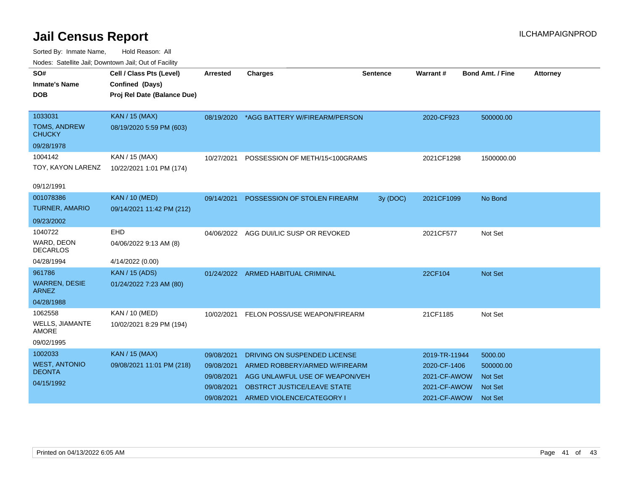| <u>Houce.</u> Catoling bail, Downtown bail, Out of Fability |                             |                 |                                          |                 |               |                         |                 |
|-------------------------------------------------------------|-----------------------------|-----------------|------------------------------------------|-----------------|---------------|-------------------------|-----------------|
| SO#                                                         | Cell / Class Pts (Level)    | <b>Arrested</b> | <b>Charges</b>                           | <b>Sentence</b> | Warrant#      | <b>Bond Amt. / Fine</b> | <b>Attorney</b> |
| <b>Inmate's Name</b>                                        | Confined (Days)             |                 |                                          |                 |               |                         |                 |
| DOB                                                         | Proj Rel Date (Balance Due) |                 |                                          |                 |               |                         |                 |
|                                                             |                             |                 |                                          |                 |               |                         |                 |
| 1033031                                                     | <b>KAN / 15 (MAX)</b>       |                 | 08/19/2020 *AGG BATTERY W/FIREARM/PERSON |                 | 2020-CF923    | 500000.00               |                 |
| <b>TOMS, ANDREW</b><br><b>CHUCKY</b>                        | 08/19/2020 5:59 PM (603)    |                 |                                          |                 |               |                         |                 |
| 09/28/1978                                                  |                             |                 |                                          |                 |               |                         |                 |
| 1004142                                                     | KAN / 15 (MAX)              | 10/27/2021      | POSSESSION OF METH/15<100GRAMS           |                 | 2021CF1298    | 1500000.00              |                 |
| TOY, KAYON LARENZ                                           | 10/22/2021 1:01 PM (174)    |                 |                                          |                 |               |                         |                 |
|                                                             |                             |                 |                                          |                 |               |                         |                 |
| 09/12/1991                                                  |                             |                 |                                          |                 |               |                         |                 |
| 001078386                                                   | <b>KAN / 10 (MED)</b>       | 09/14/2021      | POSSESSION OF STOLEN FIREARM             | 3y(DOC)         | 2021CF1099    | No Bond                 |                 |
| <b>TURNER, AMARIO</b>                                       | 09/14/2021 11:42 PM (212)   |                 |                                          |                 |               |                         |                 |
| 09/23/2002                                                  |                             |                 |                                          |                 |               |                         |                 |
| 1040722                                                     | <b>EHD</b>                  |                 | 04/06/2022 AGG DUI/LIC SUSP OR REVOKED   |                 | 2021CF577     | Not Set                 |                 |
| WARD, DEON<br><b>DECARLOS</b>                               | 04/06/2022 9:13 AM (8)      |                 |                                          |                 |               |                         |                 |
| 04/28/1994                                                  | 4/14/2022 (0.00)            |                 |                                          |                 |               |                         |                 |
| 961786                                                      | <b>KAN / 15 (ADS)</b>       |                 | 01/24/2022 ARMED HABITUAL CRIMINAL       |                 | 22CF104       | <b>Not Set</b>          |                 |
| <b>WARREN, DESIE</b><br><b>ARNEZ</b>                        | 01/24/2022 7:23 AM (80)     |                 |                                          |                 |               |                         |                 |
| 04/28/1988                                                  |                             |                 |                                          |                 |               |                         |                 |
| 1062558                                                     | <b>KAN / 10 (MED)</b>       | 10/02/2021      | FELON POSS/USE WEAPON/FIREARM            |                 | 21CF1185      | Not Set                 |                 |
| WELLS, JIAMANTE<br><b>AMORE</b>                             | 10/02/2021 8:29 PM (194)    |                 |                                          |                 |               |                         |                 |
| 09/02/1995                                                  |                             |                 |                                          |                 |               |                         |                 |
| 1002033                                                     | <b>KAN / 15 (MAX)</b>       | 09/08/2021      | DRIVING ON SUSPENDED LICENSE             |                 | 2019-TR-11944 | 5000.00                 |                 |
| <b>WEST, ANTONIO</b>                                        | 09/08/2021 11:01 PM (218)   | 09/08/2021      | ARMED ROBBERY/ARMED W/FIREARM            |                 | 2020-CF-1406  | 500000.00               |                 |
| <b>DEONTA</b>                                               |                             | 09/08/2021      | AGG UNLAWFUL USE OF WEAPON/VEH           |                 | 2021-CF-AWOW  | <b>Not Set</b>          |                 |
| 04/15/1992                                                  |                             | 09/08/2021      | OBSTRCT JUSTICE/LEAVE STATE              |                 | 2021-CF-AWOW  | <b>Not Set</b>          |                 |
|                                                             |                             | 09/08/2021      | ARMED VIOLENCE/CATEGORY I                |                 | 2021-CF-AWOW  | <b>Not Set</b>          |                 |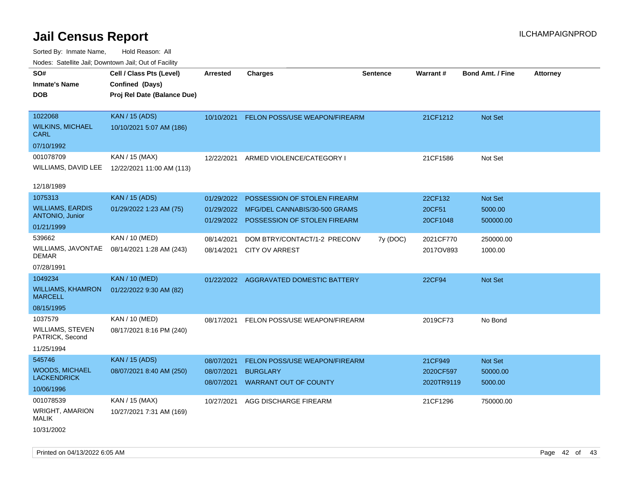| rougs. Calcinic Jan, Downtown Jan, Out of Facility                  |                                                                            |                                        |                                                                                               |                 |                                    |                                       |                 |
|---------------------------------------------------------------------|----------------------------------------------------------------------------|----------------------------------------|-----------------------------------------------------------------------------------------------|-----------------|------------------------------------|---------------------------------------|-----------------|
| SO#<br><b>Inmate's Name</b><br><b>DOB</b>                           | Cell / Class Pts (Level)<br>Confined (Days)<br>Proj Rel Date (Balance Due) | <b>Arrested</b>                        | <b>Charges</b>                                                                                | <b>Sentence</b> | Warrant#                           | <b>Bond Amt. / Fine</b>               | <b>Attorney</b> |
| 1022068<br><b>WILKINS, MICHAEL</b><br><b>CARL</b>                   | <b>KAN / 15 (ADS)</b><br>10/10/2021 5:07 AM (186)                          |                                        | 10/10/2021 FELON POSS/USE WEAPON/FIREARM                                                      |                 | 21CF1212                           | Not Set                               |                 |
| 07/10/1992<br>001078709<br>WILLIAMS, DAVID LEE<br>12/18/1989        | KAN / 15 (MAX)<br>12/22/2021 11:00 AM (113)                                | 12/22/2021                             | ARMED VIOLENCE/CATEGORY I                                                                     |                 | 21CF1586                           | Not Set                               |                 |
| 1075313<br><b>WILLIAMS, EARDIS</b><br>ANTONIO, Junior<br>01/21/1999 | <b>KAN / 15 (ADS)</b><br>01/29/2022 1:23 AM (75)                           | 01/29/2022<br>01/29/2022<br>01/29/2022 | POSSESSION OF STOLEN FIREARM<br>MFG/DEL CANNABIS/30-500 GRAMS<br>POSSESSION OF STOLEN FIREARM |                 | 22CF132<br>20CF51<br>20CF1048      | Not Set<br>5000.00<br>500000.00       |                 |
| 539662<br>WILLIAMS, JAVONTAE<br><b>DEMAR</b><br>07/28/1991          | KAN / 10 (MED)<br>08/14/2021 1:28 AM (243)                                 | 08/14/2021<br>08/14/2021               | DOM BTRY/CONTACT/1-2 PRECONV<br><b>CITY OV ARREST</b>                                         | 7y (DOC)        | 2021CF770<br>2017OV893             | 250000.00<br>1000.00                  |                 |
| 1049234<br><b>WILLIAMS, KHAMRON</b><br><b>MARCELL</b><br>08/15/1995 | <b>KAN / 10 (MED)</b><br>01/22/2022 9:30 AM (82)                           |                                        | 01/22/2022 AGGRAVATED DOMESTIC BATTERY                                                        |                 | 22CF94                             | <b>Not Set</b>                        |                 |
| 1037579<br><b>WILLIAMS, STEVEN</b><br>PATRICK, Second<br>11/25/1994 | KAN / 10 (MED)<br>08/17/2021 8:16 PM (240)                                 | 08/17/2021                             | FELON POSS/USE WEAPON/FIREARM                                                                 |                 | 2019CF73                           | No Bond                               |                 |
| 545746<br><b>WOODS, MICHAEL</b><br><b>LACKENDRICK</b><br>10/06/1996 | <b>KAN / 15 (ADS)</b><br>08/07/2021 8:40 AM (250)                          | 08/07/2021<br>08/07/2021<br>08/07/2021 | <b>FELON POSS/USE WEAPON/FIREARM</b><br><b>BURGLARY</b><br><b>WARRANT OUT OF COUNTY</b>       |                 | 21CF949<br>2020CF597<br>2020TR9119 | <b>Not Set</b><br>50000.00<br>5000.00 |                 |
| 001078539<br><b>WRIGHT, AMARION</b><br><b>MALIK</b><br>10/31/2002   | KAN / 15 (MAX)<br>10/27/2021 7:31 AM (169)                                 | 10/27/2021                             | AGG DISCHARGE FIREARM                                                                         |                 | 21CF1296                           | 750000.00                             |                 |